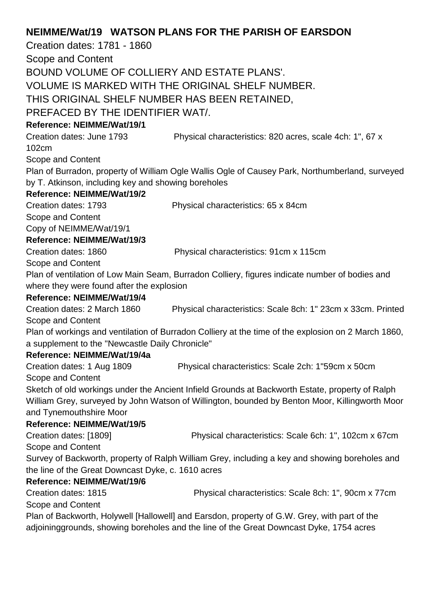# **NEIMME/Wat/19 WATSON PLANS FOR THE PARISH OF EARSDON**

Creation dates: 1781 - 1860 Scope and Content BOUND VOLUME OF COLLIERY AND ESTATE PLANS'. VOLUME IS MARKED WITH THE ORIGINAL SHELF NUMBER. THIS ORIGINAL SHELF NUMBER HAS BEEN RETAINED, PREFACED BY THE IDENTIFIER WAT/. **Reference: NEIMME/Wat/19/1** Creation dates: June 1793 Physical characteristics: 820 acres, scale 4ch: 1", 67 x 102cm Scope and Content Plan of Burradon, property of William Ogle Wallis Ogle of Causey Park, Northumberland, surveyed by T. Atkinson, including key and showing boreholes **Reference: NEIMME/Wat/19/2** Creation dates: 1793 Physical characteristics: 65 x 84cm Scope and Content Copy of NEIMME/Wat/19/1 **Reference: NEIMME/Wat/19/3** Creation dates: 1860 Physical characteristics: 91cm x 115cm Scope and Content Plan of ventilation of Low Main Seam, Burradon Colliery, figures indicate number of bodies and where they were found after the explosion **Reference: NEIMME/Wat/19/4** Creation dates: 2 March 1860 Physical characteristics: Scale 8ch: 1" 23cm x 33cm. Printed Scope and Content Plan of workings and ventilation of Burradon Colliery at the time of the explosion on 2 March 1860, a supplement to the "Newcastle Daily Chronicle" **Reference: NEIMME/Wat/19/4a** Creation dates: 1 Aug 1809 Physical characteristics: Scale 2ch: 1"59cm x 50cm Scope and Content Sketch of old workings under the Ancient Infield Grounds at Backworth Estate, property of Ralph William Grey, surveyed by John Watson of Willington, bounded by Benton Moor, Killingworth Moor and Tynemouthshire Moor **Reference: NEIMME/Wat/19/5** Creation dates: [1809] Physical characteristics: Scale 6ch: 1", 102cm x 67cm Scope and Content Survey of Backworth, property of Ralph William Grey, including a key and showing boreholes and the line of the Great Downcast Dyke, c. 1610 acres **Reference: NEIMME/Wat/19/6** Creation dates: 1815 Physical characteristics: Scale 8ch: 1", 90cm x 77cm Scope and Content Plan of Backworth, Holywell [Hallowell] and Earsdon, property of G.W. Grey, with part of the adjoininggrounds, showing boreholes and the line of the Great Downcast Dyke, 1754 acres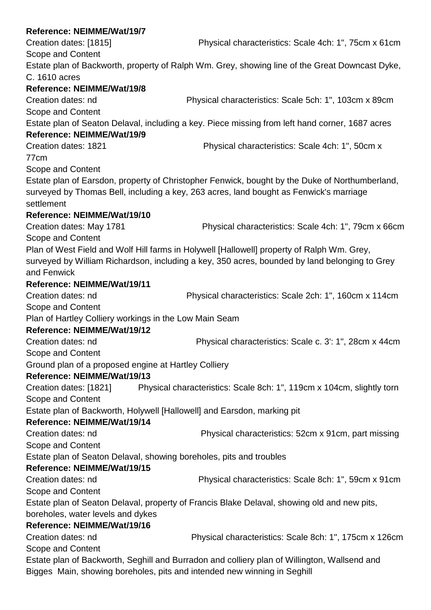| Reference: NEIMME/Wat/19/7                             |                                                                                                 |
|--------------------------------------------------------|-------------------------------------------------------------------------------------------------|
| Creation dates: [1815]                                 | Physical characteristics: Scale 4ch: 1", 75cm x 61cm                                            |
| Scope and Content                                      |                                                                                                 |
|                                                        | Estate plan of Backworth, property of Ralph Wm. Grey, showing line of the Great Downcast Dyke,  |
| C. 1610 acres                                          |                                                                                                 |
| Reference: NEIMME/Wat/19/8                             |                                                                                                 |
| Creation dates: nd                                     | Physical characteristics: Scale 5ch: 1", 103cm x 89cm                                           |
| Scope and Content                                      |                                                                                                 |
|                                                        | Estate plan of Seaton Delaval, including a key. Piece missing from left hand corner, 1687 acres |
| Reference: NEIMME/Wat/19/9                             |                                                                                                 |
| Creation dates: 1821                                   | Physical characteristics: Scale 4ch: 1", 50cm x                                                 |
| 77 <sub>cm</sub>                                       |                                                                                                 |
| Scope and Content                                      |                                                                                                 |
|                                                        | Estate plan of Earsdon, property of Christopher Fenwick, bought by the Duke of Northumberland,  |
|                                                        | surveyed by Thomas Bell, including a key, 263 acres, land bought as Fenwick's marriage          |
| settlement                                             |                                                                                                 |
| Reference: NEIMME/Wat/19/10                            |                                                                                                 |
| Creation dates: May 1781                               | Physical characteristics: Scale 4ch: 1", 79cm x 66cm                                            |
| Scope and Content                                      |                                                                                                 |
|                                                        | Plan of West Field and Wolf Hill farms in Holywell [Hallowell] property of Ralph Wm. Grey,      |
|                                                        | surveyed by William Richardson, including a key, 350 acres, bounded by land belonging to Grey   |
| and Fenwick                                            |                                                                                                 |
| Reference: NEIMME/Wat/19/11                            |                                                                                                 |
| Creation dates: nd                                     | Physical characteristics: Scale 2ch: 1", 160cm x 114cm                                          |
| Scope and Content                                      |                                                                                                 |
| Plan of Hartley Colliery workings in the Low Main Seam |                                                                                                 |
| Reference: NEIMME/Wat/19/12                            |                                                                                                 |
| Creation dates: nd                                     | Physical characteristics: Scale c. 3': 1", 28cm x 44cm                                          |
| Scope and Content                                      |                                                                                                 |
| Ground plan of a proposed engine at Hartley Colliery   |                                                                                                 |
| Reference: NEIMME/Wat/19/13                            |                                                                                                 |
| Creation dates: [1821]                                 | Physical characteristics: Scale 8ch: 1", 119cm x 104cm, slightly torn                           |
| Scope and Content                                      |                                                                                                 |
|                                                        | Estate plan of Backworth, Holywell [Hallowell] and Earsdon, marking pit                         |
| Reference: NEIMME/Wat/19/14                            |                                                                                                 |
| Creation dates: nd                                     | Physical characteristics: 52cm x 91cm, part missing                                             |
| Scope and Content                                      |                                                                                                 |
|                                                        | Estate plan of Seaton Delaval, showing boreholes, pits and troubles                             |
| Reference: NEIMME/Wat/19/15                            |                                                                                                 |
| Creation dates: nd                                     | Physical characteristics: Scale 8ch: 1", 59cm x 91cm                                            |
| Scope and Content                                      |                                                                                                 |
|                                                        | Estate plan of Seaton Delaval, property of Francis Blake Delaval, showing old and new pits,     |
| boreholes, water levels and dykes                      |                                                                                                 |
| Reference: NEIMME/Wat/19/16                            |                                                                                                 |
| Creation dates: nd                                     | Physical characteristics: Scale 8ch: 1", 175cm x 126cm                                          |
| Scope and Content                                      |                                                                                                 |
|                                                        | Estate plan of Backworth, Seghill and Burradon and colliery plan of Willington, Wallsend and    |
|                                                        | Bigges Main, showing boreholes, pits and intended new winning in Seghill                        |
|                                                        |                                                                                                 |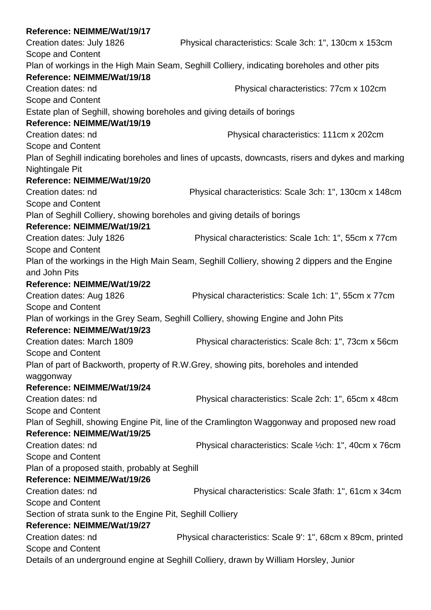| Reference: NEIMME/Wat/19/17                                               |                                                                                                    |
|---------------------------------------------------------------------------|----------------------------------------------------------------------------------------------------|
| Creation dates: July 1826                                                 | Physical characteristics: Scale 3ch: 1", 130cm x 153cm                                             |
| Scope and Content                                                         |                                                                                                    |
|                                                                           | Plan of workings in the High Main Seam, Seghill Colliery, indicating boreholes and other pits      |
| Reference: NEIMME/Wat/19/18                                               |                                                                                                    |
| Creation dates: nd                                                        | Physical characteristics: 77cm x 102cm                                                             |
| Scope and Content                                                         |                                                                                                    |
| Estate plan of Seghill, showing boreholes and giving details of borings   |                                                                                                    |
| Reference: NEIMME/Wat/19/19                                               |                                                                                                    |
| Creation dates: nd                                                        | Physical characteristics: 111cm x 202cm                                                            |
| Scope and Content                                                         |                                                                                                    |
|                                                                           | Plan of Seghill indicating boreholes and lines of upcasts, downcasts, risers and dykes and marking |
| Nightingale Pit                                                           |                                                                                                    |
| Reference: NEIMME/Wat/19/20                                               |                                                                                                    |
| Creation dates: nd                                                        | Physical characteristics: Scale 3ch: 1", 130cm x 148cm                                             |
| <b>Scope and Content</b>                                                  |                                                                                                    |
| Plan of Seghill Colliery, showing boreholes and giving details of borings |                                                                                                    |
| Reference: NEIMME/Wat/19/21                                               |                                                                                                    |
| Creation dates: July 1826                                                 | Physical characteristics: Scale 1ch: 1", 55cm x 77cm                                               |
| Scope and Content                                                         |                                                                                                    |
|                                                                           | Plan of the workings in the High Main Seam, Seghill Colliery, showing 2 dippers and the Engine     |
| and John Pits                                                             |                                                                                                    |
| Reference: NEIMME/Wat/19/22                                               |                                                                                                    |
| Creation dates: Aug 1826                                                  | Physical characteristics: Scale 1ch: 1", 55cm x 77cm                                               |
| Scope and Content                                                         |                                                                                                    |
|                                                                           | Plan of workings in the Grey Seam, Seghill Colliery, showing Engine and John Pits                  |
| Reference: NEIMME/Wat/19/23                                               |                                                                                                    |
| Creation dates: March 1809                                                | Physical characteristics: Scale 8ch: 1", 73cm x 56cm                                               |
| Scope and Content                                                         |                                                                                                    |
|                                                                           | Plan of part of Backworth, property of R.W.Grey, showing pits, boreholes and intended              |
| waggonway                                                                 |                                                                                                    |
| Reference: NEIMME/Wat/19/24                                               |                                                                                                    |
| Creation dates: nd                                                        | Physical characteristics: Scale 2ch: 1", 65cm x 48cm                                               |
| Scope and Content                                                         |                                                                                                    |
|                                                                           | Plan of Seghill, showing Engine Pit, line of the Cramlington Waggonway and proposed new road       |
| Reference: NEIMME/Wat/19/25                                               |                                                                                                    |
| Creation dates: nd                                                        | Physical characteristics: Scale 1/2ch: 1", 40cm x 76cm                                             |
| Scope and Content                                                         |                                                                                                    |
| Plan of a proposed staith, probably at Seghill                            |                                                                                                    |
| Reference: NEIMME/Wat/19/26                                               |                                                                                                    |
| Creation dates: nd                                                        | Physical characteristics: Scale 3fath: 1", 61cm x 34cm                                             |
| Scope and Content                                                         |                                                                                                    |
| Section of strata sunk to the Engine Pit, Seghill Colliery                |                                                                                                    |
| Reference: NEIMME/Wat/19/27                                               |                                                                                                    |
| Creation dates: nd                                                        | Physical characteristics: Scale 9: 1", 68cm x 89cm, printed                                        |
| Scope and Content                                                         |                                                                                                    |
|                                                                           | Details of an underground engine at Seghill Colliery, drawn by William Horsley, Junior             |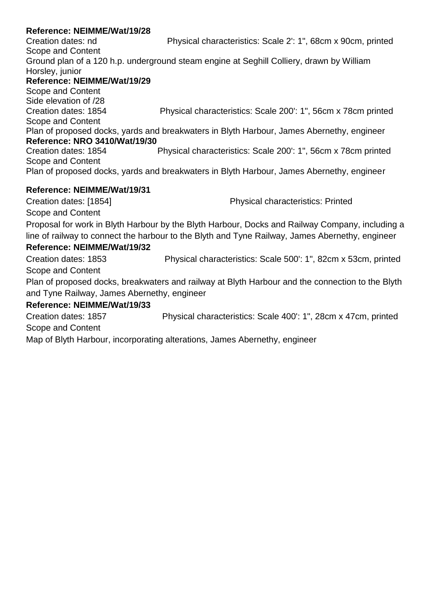Creation dates: nd Physical characteristics: Scale 2': 1", 68cm x 90cm, printed Scope and Content Ground plan of a 120 h.p. underground steam engine at Seghill Colliery, drawn by William Horsley, junior **Reference: NEIMME/Wat/19/29** Scope and Content Side elevation of /28 Creation dates: 1854 Physical characteristics: Scale 200': 1", 56cm x 78cm printed Scope and Content Plan of proposed docks, yards and breakwaters in Blyth Harbour, James Abernethy, engineer **Reference: NRO 3410/Wat/19/30** Creation dates: 1854 Physical characteristics: Scale 200': 1", 56cm x 78cm printed Scope and Content Plan of proposed docks, yards and breakwaters in Blyth Harbour, James Abernethy, engineer **Reference: NEIMME/Wat/19/31** Creation dates: [1854] Physical characteristics: Printed Scope and Content Proposal for work in Blyth Harbour by the Blyth Harbour, Docks and Railway Company, including a line of railway to connect the harbour to the Blyth and Tyne Railway, James Abernethy, engineer **Reference: NEIMME/Wat/19/32** Creation dates: 1853 Physical characteristics: Scale 500': 1", 82cm x 53cm, printed Scope and Content Plan of proposed docks, breakwaters and railway at Blyth Harbour and the connection to the Blyth and Tyne Railway, James Abernethy, engineer **Reference: NEIMME/Wat/19/33** Creation dates: 1857 Physical characteristics: Scale 400': 1", 28cm x 47cm, printed Scope and Content Map of Blyth Harbour, incorporating alterations, James Abernethy, engineer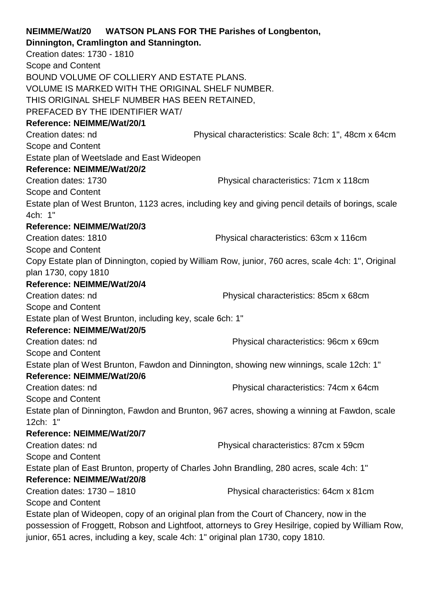|                                                                                                   | NEIMME/Wat/20 WATSON PLANS FOR THE Parishes of Longbenton,                                         |  |
|---------------------------------------------------------------------------------------------------|----------------------------------------------------------------------------------------------------|--|
| Dinnington, Cramlington and Stannington.                                                          |                                                                                                    |  |
| Creation dates: 1730 - 1810                                                                       |                                                                                                    |  |
| Scope and Content                                                                                 |                                                                                                    |  |
| BOUND VOLUME OF COLLIERY AND ESTATE PLANS.                                                        |                                                                                                    |  |
| VOLUME IS MARKED WITH THE ORIGINAL SHELF NUMBER.                                                  |                                                                                                    |  |
| THIS ORIGINAL SHELF NUMBER HAS BEEN RETAINED,                                                     |                                                                                                    |  |
| PREFACED BY THE IDENTIFIER WAT/                                                                   |                                                                                                    |  |
| Reference: NEIMME/Wat/20/1                                                                        |                                                                                                    |  |
| Creation dates: nd                                                                                | Physical characteristics: Scale 8ch: 1", 48cm x 64cm                                               |  |
| Scope and Content                                                                                 |                                                                                                    |  |
| Estate plan of Weetslade and East Wideopen                                                        |                                                                                                    |  |
| Reference: NEIMME/Wat/20/2                                                                        |                                                                                                    |  |
| Creation dates: 1730                                                                              | Physical characteristics: 71cm x 118cm                                                             |  |
| Scope and Content                                                                                 |                                                                                                    |  |
| 4ch: 1"                                                                                           | Estate plan of West Brunton, 1123 acres, including key and giving pencil details of borings, scale |  |
| Reference: NEIMME/Wat/20/3                                                                        |                                                                                                    |  |
| Creation dates: 1810                                                                              | Physical characteristics: 63cm x 116cm                                                             |  |
| Scope and Content                                                                                 |                                                                                                    |  |
|                                                                                                   | Copy Estate plan of Dinnington, copied by William Row, junior, 760 acres, scale 4ch: 1", Original  |  |
| plan 1730, copy 1810                                                                              |                                                                                                    |  |
| Reference: NEIMME/Wat/20/4                                                                        |                                                                                                    |  |
| Creation dates: nd                                                                                | Physical characteristics: 85cm x 68cm                                                              |  |
| Scope and Content                                                                                 |                                                                                                    |  |
| Estate plan of West Brunton, including key, scale 6ch: 1"                                         |                                                                                                    |  |
| Reference: NEIMME/Wat/20/5                                                                        |                                                                                                    |  |
| Creation dates: nd                                                                                | Physical characteristics: 96cm x 69cm                                                              |  |
| Scope and Content                                                                                 |                                                                                                    |  |
| Estate plan of West Brunton, Fawdon and Dinnington, showing new winnings, scale 12ch: 1"          |                                                                                                    |  |
| Reference: NEIMME/Wat/20/6                                                                        |                                                                                                    |  |
| Creation dates: nd                                                                                | Physical characteristics: 74cm x 64cm                                                              |  |
| Scope and Content                                                                                 |                                                                                                    |  |
| Estate plan of Dinnington, Fawdon and Brunton, 967 acres, showing a winning at Fawdon, scale      |                                                                                                    |  |
| 12ch: 1"                                                                                          |                                                                                                    |  |
| Reference: NEIMME/Wat/20/7                                                                        |                                                                                                    |  |
| Creation dates: nd                                                                                | Physical characteristics: 87cm x 59cm                                                              |  |
| Scope and Content                                                                                 |                                                                                                    |  |
|                                                                                                   | Estate plan of East Brunton, property of Charles John Brandling, 280 acres, scale 4ch: 1"          |  |
| Reference: NEIMME/Wat/20/8                                                                        |                                                                                                    |  |
| Creation dates: 1730 - 1810                                                                       | Physical characteristics: 64cm x 81cm                                                              |  |
| Scope and Content                                                                                 |                                                                                                    |  |
|                                                                                                   | Estate plan of Wideopen, copy of an original plan from the Court of Chancery, now in the           |  |
| possession of Froggett, Robson and Lightfoot, attorneys to Grey Hesilrige, copied by William Row, |                                                                                                    |  |
| junior, 651 acres, including a key, scale 4ch: 1" original plan 1730, copy 1810.                  |                                                                                                    |  |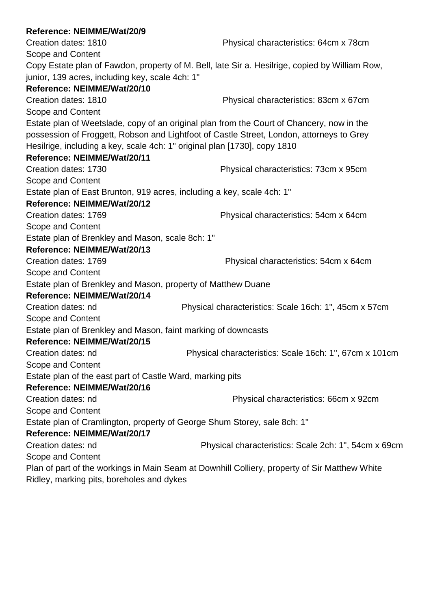| Physical characteristics: 64cm x 78cm                                                          |
|------------------------------------------------------------------------------------------------|
|                                                                                                |
| Copy Estate plan of Fawdon, property of M. Bell, late Sir a. Hesilrige, copied by William Row, |
|                                                                                                |
|                                                                                                |
| Physical characteristics: 83cm x 67cm                                                          |
|                                                                                                |
| Estate plan of Weetslade, copy of an original plan from the Court of Chancery, now in the      |
| possession of Froggett, Robson and Lightfoot of Castle Street, London, attorneys to Grey       |
| Hesilrige, including a key, scale 4ch: 1" original plan [1730], copy 1810                      |
|                                                                                                |
| Physical characteristics: 73cm x 95cm                                                          |
|                                                                                                |
| Estate plan of East Brunton, 919 acres, including a key, scale 4ch: 1"                         |
|                                                                                                |
| Physical characteristics: 54cm x 64cm                                                          |
|                                                                                                |
|                                                                                                |
|                                                                                                |
| Physical characteristics: 54cm x 64cm                                                          |
|                                                                                                |
| Estate plan of Brenkley and Mason, property of Matthew Duane                                   |
|                                                                                                |
| Physical characteristics: Scale 16ch: 1", 45cm x 57cm                                          |
|                                                                                                |
| Estate plan of Brenkley and Mason, faint marking of downcasts                                  |
|                                                                                                |
| Physical characteristics: Scale 16ch: 1", 67cm x 101cm                                         |
|                                                                                                |
| Estate plan of the east part of Castle Ward, marking pits                                      |
|                                                                                                |
| Physical characteristics: 66cm x 92cm                                                          |
|                                                                                                |
| Estate plan of Cramlington, property of George Shum Storey, sale 8ch: 1"                       |
|                                                                                                |
| Physical characteristics: Scale 2ch: 1", 54cm x 69cm                                           |
|                                                                                                |
| Plan of part of the workings in Main Seam at Downhill Colliery, property of Sir Matthew White  |
|                                                                                                |
|                                                                                                |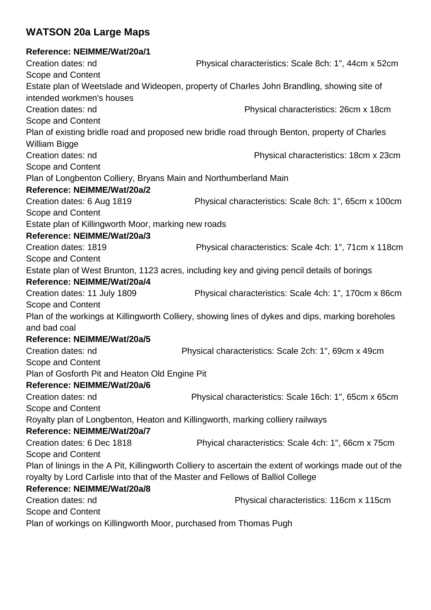# **WATSON 20a Large Maps**

# **Reference: NEIMME/Wat/20a/1**

| Creation dates: nd                                                | Physical characteristics: Scale 8ch: 1", 44cm x 52cm                                                    |
|-------------------------------------------------------------------|---------------------------------------------------------------------------------------------------------|
| Scope and Content                                                 |                                                                                                         |
|                                                                   | Estate plan of Weetslade and Wideopen, property of Charles John Brandling, showing site of              |
| intended workmen's houses                                         |                                                                                                         |
| Creation dates: nd                                                | Physical characteristics: 26cm x 18cm                                                                   |
| Scope and Content                                                 |                                                                                                         |
|                                                                   | Plan of existing bridle road and proposed new bridle road through Benton, property of Charles           |
| <b>William Bigge</b>                                              |                                                                                                         |
| Creation dates: nd                                                | Physical characteristics: 18cm x 23cm                                                                   |
| Scope and Content                                                 |                                                                                                         |
| Plan of Longbenton Colliery, Bryans Main and Northumberland Main  |                                                                                                         |
| Reference: NEIMME/Wat/20a/2                                       |                                                                                                         |
| Creation dates: 6 Aug 1819                                        | Physical characteristics: Scale 8ch: 1", 65cm x 100cm                                                   |
| Scope and Content                                                 |                                                                                                         |
| Estate plan of Killingworth Moor, marking new roads               |                                                                                                         |
| Reference: NEIMME/Wat/20a/3                                       |                                                                                                         |
| Creation dates: 1819                                              | Physical characteristics: Scale 4ch: 1", 71cm x 118cm                                                   |
| Scope and Content                                                 |                                                                                                         |
|                                                                   | Estate plan of West Brunton, 1123 acres, including key and giving pencil details of borings             |
| Reference: NEIMME/Wat/20a/4                                       |                                                                                                         |
| Creation dates: 11 July 1809                                      | Physical characteristics: Scale 4ch: 1", 170cm x 86cm                                                   |
| Scope and Content                                                 |                                                                                                         |
|                                                                   | Plan of the workings at Killingworth Colliery, showing lines of dykes and dips, marking boreholes       |
| and bad coal                                                      |                                                                                                         |
| Reference: NEIMME/Wat/20a/5                                       |                                                                                                         |
| Creation dates: nd                                                | Physical characteristics: Scale 2ch: 1", 69cm x 49cm                                                    |
| Scope and Content                                                 |                                                                                                         |
| Plan of Gosforth Pit and Heaton Old Engine Pit                    |                                                                                                         |
| Reference: NEIMME/Wat/20a/6                                       |                                                                                                         |
| Creation dates: nd                                                | Physical characteristics: Scale 16ch: 1", 65cm x 65cm                                                   |
| Scope and Content                                                 |                                                                                                         |
|                                                                   | Royalty plan of Longbenton, Heaton and Killingworth, marking colliery railways                          |
| Reference: NEIMME/Wat/20a/7                                       |                                                                                                         |
| Creation dates: 6 Dec 1818                                        | Phyical characteristics: Scale 4ch: 1", 66cm x 75cm                                                     |
| Scope and Content                                                 |                                                                                                         |
|                                                                   | Plan of linings in the A Pit, Killingworth Colliery to ascertain the extent of workings made out of the |
|                                                                   | royalty by Lord Carlisle into that of the Master and Fellows of Balliol College                         |
| Reference: NEIMME/Wat/20a/8                                       |                                                                                                         |
| Creation dates: nd                                                | Physical characteristics: 116cm x 115cm                                                                 |
| Scope and Content                                                 |                                                                                                         |
| Plan of workings on Killingworth Moor, purchased from Thomas Pugh |                                                                                                         |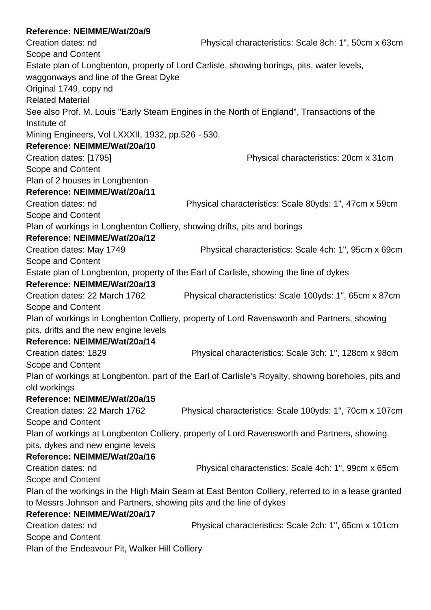Creation dates: ndPhysical characteristics: Scale 8ch: 1", 50cm x 63cm Scope and Content Estate plan of Longbenton, property of Lord Carlisle, showing borings, pits, water levels, waggonways and line of the Great Dyke Original 1749, copy nd Related Material See also Prof. M. Louis "Early Steam Engines in the North of England", Transactions of the Institute of Mining Engineers, Vol LXXXII, 1932, pp.526 - 530. **Reference: NEIMME/Wat/20a/10** Creation dates: [1795]Physical characteristics: 20cm x 31cm Scope and Content Plan of 2 houses in Longbenton **Reference: NEIMME/Wat/20a/11** Creation dates: ndPhysical characteristics: Scale 80yds: 1", 47cm x 59cm Scope and Content Plan of workings in Longbenton Colliery, showing drifts, pits and borings **Reference: NEIMME/Wat/20a/12** Creation dates: May 1749Physical characteristics: Scale 4ch: 1", 95cm x 69cm Scope and Content Estate plan of Longbenton, property of the Earl of Carlisle, showing the line of dykes **Reference: NEIMME/Wat/20a/13** Creation dates: 22 March 1762Physical characteristics: Scale 100yds: 1", 65cm x 87cm Scope and Content Plan of workings in Longbenton Colliery, property of Lord Ravensworth and Partners, showing pits, drifts and the new engine levels **Reference: NEIMME/Wat/20a/14** Creation dates: 1829Physical characteristics: Scale 3ch: 1", 128cm x 98cm Scope and Content Plan of workings at Longbenton, part of the Earl of Carlisle's Royalty, showing boreholes, pits and old workings **Reference: NEIMME/Wat/20a/15** Creation dates: 22 March 1762Physical characteristics: Scale 100yds: 1", 70cm x 107cm Scope and Content Plan of workings at Longbenton Colliery, property of Lord Ravensworth and Partners, showing pits, dykes and new engine levels **Reference: NEIMME/Wat/20a/16** Creation dates: ndPhysical characteristics: Scale 4ch: 1", 99cm x 65cm Scope and Content Plan of the workings in the High Main Seam at East Benton Colliery, referred to in a lease granted to Messrs Johnson and Partners, showing pits and the line of dykes **Reference: NEIMME/Wat/20a/17** Creation dates: ndPhysical characteristics: Scale 2ch: 1", 65cm x 101cm Scope and Content Plan of the Endeavour Pit, Walker Hill Colliery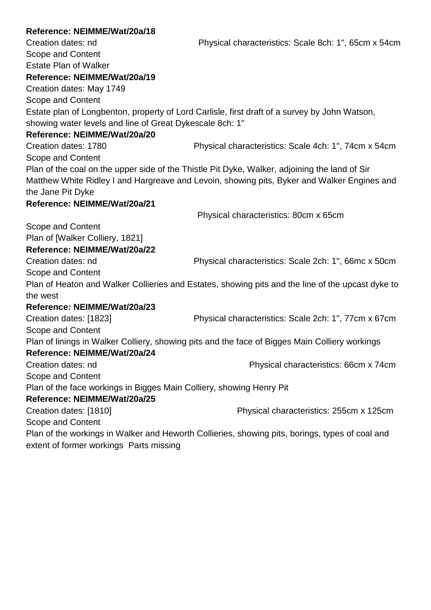| Reference: NEIMME/Wat/20a/18                                         |                                                                                                   |
|----------------------------------------------------------------------|---------------------------------------------------------------------------------------------------|
| Creation dates: nd                                                   | Physical characteristics: Scale 8ch: 1", 65cm x 54cm                                              |
| Scope and Content                                                    |                                                                                                   |
| <b>Estate Plan of Walker</b>                                         |                                                                                                   |
| Reference: NEIMME/Wat/20a/19                                         |                                                                                                   |
| Creation dates: May 1749                                             |                                                                                                   |
| Scope and Content                                                    |                                                                                                   |
|                                                                      | Estate plan of Longbenton, property of Lord Carlisle, first draft of a survey by John Watson,     |
| showing water levels and line of Great Dykescale 8ch: 1"             |                                                                                                   |
| Reference: NEIMME/Wat/20a/20                                         |                                                                                                   |
| Creation dates: 1780                                                 | Physical characteristics: Scale 4ch: 1", 74cm x 54cm                                              |
| Scope and Content                                                    |                                                                                                   |
|                                                                      | Plan of the coal on the upper side of the Thistle Pit Dyke, Walker, adjoining the land of Sir     |
|                                                                      | Matthew White Ridley I and Hargreave and Levoin, showing pits, Byker and Walker Engines and       |
| the Jane Pit Dyke                                                    |                                                                                                   |
| Reference: NEIMME/Wat/20a/21                                         |                                                                                                   |
|                                                                      | Physical characteristics: 80cm x 65cm                                                             |
| Scope and Content                                                    |                                                                                                   |
| Plan of [Walker Colliery, 1821]                                      |                                                                                                   |
| Reference: NEIMME/Wat/20a/22                                         |                                                                                                   |
| Creation dates: nd                                                   | Physical characteristics: Scale 2ch: 1", 66mc x 50cm                                              |
| Scope and Content                                                    |                                                                                                   |
|                                                                      | Plan of Heaton and Walker Collieries and Estates, showing pits and the line of the upcast dyke to |
| the west                                                             |                                                                                                   |
| Reference: NEIMME/Wat/20a/23                                         |                                                                                                   |
| Creation dates: [1823]                                               | Physical characteristics: Scale 2ch: 1", 77cm x 67cm                                              |
| Scope and Content                                                    |                                                                                                   |
|                                                                      | Plan of linings in Walker Colliery, showing pits and the face of Bigges Main Colliery workings    |
| Reference: NEIMME/Wat/20a/24                                         |                                                                                                   |
| Creation dates: nd                                                   | Physical characteristics: 66cm x 74cm                                                             |
| Scope and Content                                                    |                                                                                                   |
| Plan of the face workings in Bigges Main Colliery, showing Henry Pit |                                                                                                   |
| Reference: NEIMME/Wat/20a/25                                         |                                                                                                   |
| Creation dates: [1810]                                               | Physical characteristics: 255cm x 125cm                                                           |
| Scope and Content                                                    |                                                                                                   |
|                                                                      | Plan of the workings in Walker and Heworth Collieries, showing pits, borings, types of coal and   |
| extent of former workings Parts missing                              |                                                                                                   |
|                                                                      |                                                                                                   |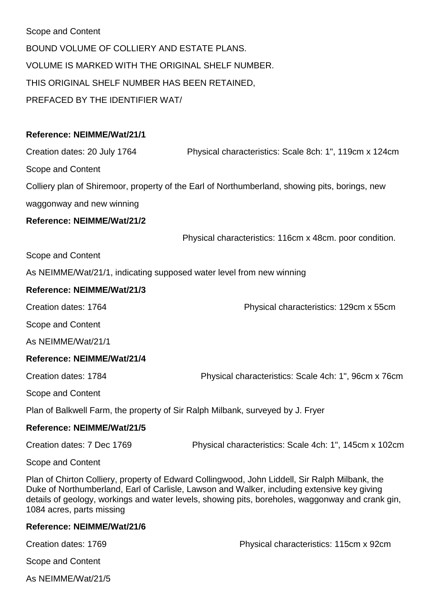Scope and Content BOUND VOLUME OF COLLIERY AND ESTATE PLANS. VOLUME IS MARKED WITH THE ORIGINAL SHELF NUMBER. THIS ORIGINAL SHELF NUMBER HAS BEEN RETAINED, PREFACED BY THE IDENTIFIER WAT/

## **Reference: NEIMME/Wat/21/1**

Creation dates: 20 July 1764 Physical characteristics: Scale 8ch: 1", 119cm x 124cm

Scope and Content

Colliery plan of Shiremoor, property of the Earl of Northumberland, showing pits, borings, new

waggonway and new winning

#### **Reference: NEIMME/Wat/21/2**

Physical characteristics: 116cm x 48cm. poor condition.

Scope and Content

As NEIMME/Wat/21/1, indicating supposed water level from new winning

#### **Reference: NEIMME/Wat/21/3**

Creation dates: 1764 Physical characteristics: 129cm x 55cm

Scope and Content

As NEIMME/Wat/21/1

#### **Reference: NEIMME/Wat/21/4**

Creation dates: 1784 Physical characteristics: Scale 4ch: 1", 96cm x 76cm

Scope and Content

Plan of Balkwell Farm, the property of Sir Ralph Milbank, surveyed by J. Fryer

#### **Reference: NEIMME/Wat/21/5**

Creation dates: 7 Dec 1769 Physical characteristics: Scale 4ch: 1", 145cm x 102cm

Scope and Content

Plan of Chirton Colliery, property of Edward Collingwood, John Liddell, Sir Ralph Milbank, the Duke of Northumberland, Earl of Carlisle, Lawson and Walker, including extensive key giving details of geology, workings and water levels, showing pits, boreholes, waggonway and crank gin, 1084 acres, parts missing

#### **Reference: NEIMME/Wat/21/6**

| Creation dates: 1769 | Physical characteristics: 115cm x 92cm |
|----------------------|----------------------------------------|
| Scope and Content    |                                        |

As NEIMME/Wat/21/5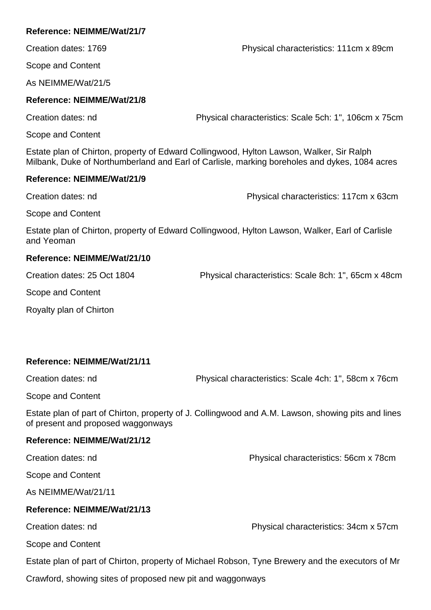Creation dates: 1769 Physical characteristics: 111cm x 89cm

Scope and Content

As NEIMME/Wat/21/5

### **Reference: NEIMME/Wat/21/8**

Creation dates: nd Physical characteristics: Scale 5ch: 1", 106cm x 75cm

Scope and Content

Estate plan of Chirton, property of Edward Collingwood, Hylton Lawson, Walker, Sir Ralph Milbank, Duke of Northumberland and Earl of Carlisle, marking boreholes and dykes, 1084 acres

#### **Reference: NEIMME/Wat/21/9**

Creation dates: nd Physical characteristics: 117cm x 63cm

Scope and Content

Estate plan of Chirton, property of Edward Collingwood, Hylton Lawson, Walker, Earl of Carlisle and Yeoman

## **Reference: NEIMME/Wat/21/10**

Creation dates: 25 Oct 1804 Physical characteristics: Scale 8ch: 1", 65cm x 48cm

Scope and Content

Royalty plan of Chirton

## **Reference: NEIMME/Wat/21/11**

Creation dates: nd Physical characteristics: Scale 4ch: 1", 58cm x 76cm

Scope and Content

Estate plan of part of Chirton, property of J. Collingwood and A.M. Lawson, showing pits and lines of present and proposed waggonways

#### **Reference: NEIMME/Wat/21/12**

Creation dates: nd Physical characteristics: 56cm x 78cm

Scope and Content

As NEIMME/Wat/21/11

## **Reference: NEIMME/Wat/21/13**

Creation dates: nd Physical characteristics: 34cm x 57cm

Scope and Content

Estate plan of part of Chirton, property of Michael Robson, Tyne Brewery and the executors of Mr

Crawford, showing sites of proposed new pit and waggonways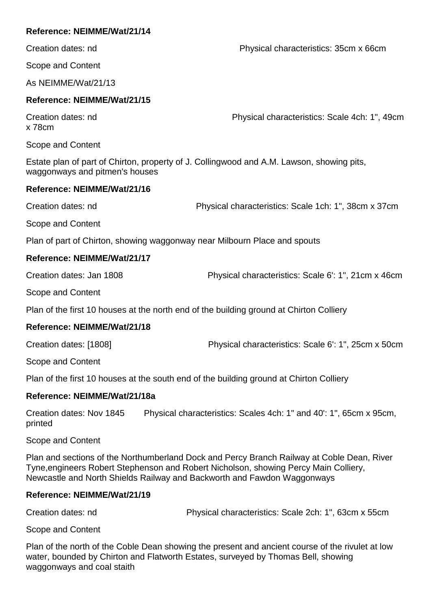Creation dates: nd Physical characteristics: 35cm x 66cm

Scope and Content

As NEIMME/Wat/21/13

### **Reference: NEIMME/Wat/21/15**

x 78cm

Creation dates: nd Physical characteristics: Scale 4ch: 1", 49cm

Scope and Content

Estate plan of part of Chirton, property of J. Collingwood and A.M. Lawson, showing pits, waggonways and pitmen's houses

#### **Reference: NEIMME/Wat/21/16**

Creation dates: nd Physical characteristics: Scale 1ch: 1", 38cm x 37cm

Scope and Content

Plan of part of Chirton, showing waggonway near Milbourn Place and spouts

#### **Reference: NEIMME/Wat/21/17**

Creation dates: Jan 1808 Physical characteristics: Scale 6': 1", 21cm x 46cm

Scope and Content

Plan of the first 10 houses at the north end of the building ground at Chirton Colliery

## **Reference: NEIMME/Wat/21/18**

Creation dates: [1808] Physical characteristics: Scale 6': 1", 25cm x 50cm

Scope and Content

Plan of the first 10 houses at the south end of the building ground at Chirton Colliery

## **Reference: NEIMME/Wat/21/18a**

Creation dates: Nov 1845 Physical characteristics: Scales 4ch: 1" and 40': 1", 65cm x 95cm, printed

Scope and Content

Plan and sections of the Northumberland Dock and Percy Branch Railway at Coble Dean, River Tyne,engineers Robert Stephenson and Robert Nicholson, showing Percy Main Colliery, Newcastle and North Shields Railway and Backworth and Fawdon Waggonways

#### **Reference: NEIMME/Wat/21/19**

Creation dates: nd Physical characteristics: Scale 2ch: 1", 63cm x 55cm

Scope and Content

Plan of the north of the Coble Dean showing the present and ancient course of the rivulet at low water, bounded by Chirton and Flatworth Estates, surveyed by Thomas Bell, showing waggonways and coal staith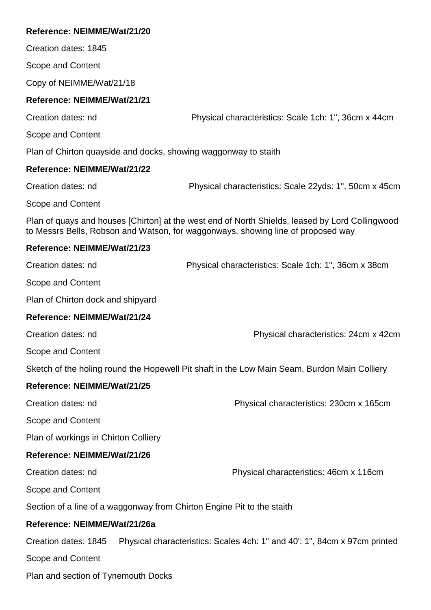Creation dates: 1845

Scope and Content

Copy of NEIMME/Wat/21/18

#### **Reference: NEIMME/Wat/21/21**

Creation dates: nd Physical characteristics: Scale 1ch: 1", 36cm x 44cm

Scope and Content

Plan of Chirton quayside and docks, showing waggonway to staith

#### **Reference: NEIMME/Wat/21/22**

Creation dates: nd Physical characteristics: Scale 22yds: 1", 50cm x 45cm

Scope and Content

Plan of quays and houses [Chirton] at the west end of North Shields, leased by Lord Collingwood to Messrs Bells, Robson and Watson, for waggonways, showing line of proposed way

#### **Reference: NEIMME/Wat/21/23**

| Creation dates: nd                | Physical characteristics: Scale 1ch: 1", 36cm x 38cm |
|-----------------------------------|------------------------------------------------------|
| Scope and Content                 |                                                      |
| Plan of Chirton dock and shipyard |                                                      |
| Reference: NEIMME/Wat/21/24       |                                                      |
|                                   |                                                      |

Creation dates: nd Physical characteristics: 24cm x 42cm

Scope and Content

Sketch of the holing round the Hopewell Pit shaft in the Low Main Seam, Burdon Main Colliery

### **Reference: NEIMME/Wat/21/25**

| Creation dates: nd | Physical characteristics: 230cm x 165cm |
|--------------------|-----------------------------------------|
|                    |                                         |

Scope and Content

Plan of workings in Chirton Colliery

#### **Reference: NEIMME/Wat/21/26**

Creation dates: nd Physical characteristics: 46cm x 116cm

Scope and Content

Section of a line of a waggonway from Chirton Engine Pit to the staith

#### **Reference: NEIMME/Wat/21/26a**

Creation dates: 1845 Physical characteristics: Scales 4ch: 1" and 40': 1", 84cm x 97cm printed

Scope and Content

Plan and section of Tynemouth Docks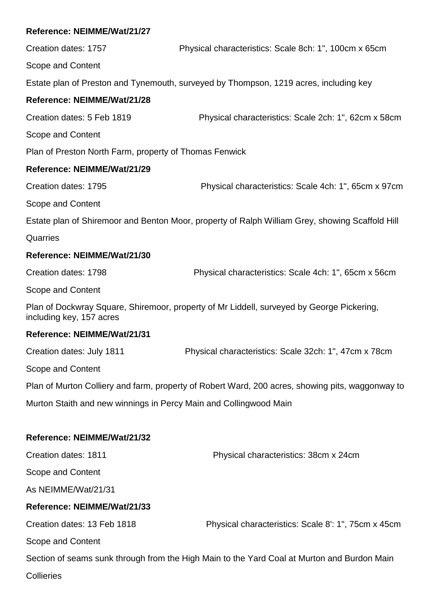Creation dates: 1757 Physical characteristics: Scale 8ch: 1", 100cm x 65cm

Scope and Content

Estate plan of Preston and Tynemouth, surveyed by Thompson, 1219 acres, including key

## **Reference: NEIMME/Wat/21/28**

Creation dates: 5 Feb 1819 Physical characteristics: Scale 2ch: 1", 62cm x 58cm

Scope and Content

Plan of Preston North Farm, property of Thomas Fenwick

#### **Reference: NEIMME/Wat/21/29**

Creation dates: 1795 Physical characteristics: Scale 4ch: 1", 65cm x 97cm Scope and Content

Estate plan of Shiremoor and Benton Moor, property of Ralph William Grey, showing Scaffold Hill

**Quarries** 

#### **Reference: NEIMME/Wat/21/30**

Creation dates: 1798 Physical characteristics: Scale 4ch: 1", 65cm x 56cm

Scope and Content

Plan of Dockwray Square, Shiremoor, property of Mr Liddell, surveyed by George Pickering, including key, 157 acres

#### **Reference: NEIMME/Wat/21/31**

Creation dates: July 1811 Physical characteristics: Scale 32ch: 1", 47cm x 78cm

Scope and Content

Plan of Murton Colliery and farm, property of Robert Ward, 200 acres, showing pits, waggonway to

Murton Staith and new winnings in Percy Main and Collingwood Main

#### **Reference: NEIMME/Wat/21/32**

Creation dates: 1811 Physical characteristics: 38cm x 24cm Scope and Content As NEIMME/Wat/21/31 **Reference: NEIMME/Wat/21/33** Creation dates: 13 Feb 1818 Physical characteristics: Scale 8': 1", 75cm x 45cm Scope and Content Section of seams sunk through from the High Main to the Yard Coal at Murton and Burdon Main

**Collieries**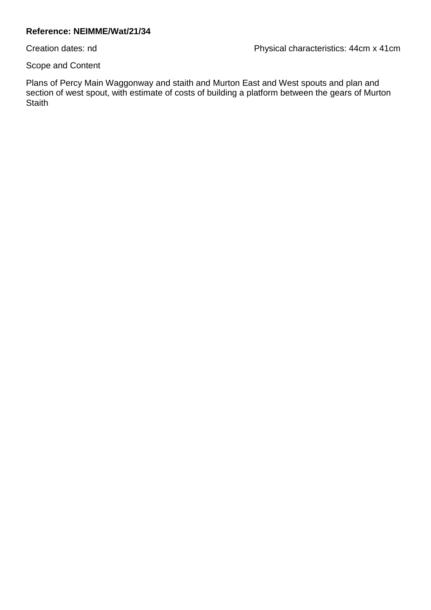Creation dates: nd Physical characteristics: 44cm x 41cm

Scope and Content

Plans of Percy Main Waggonway and staith and Murton East and West spouts and plan and section of west spout, with estimate of costs of building a platform between the gears of Murton **Staith**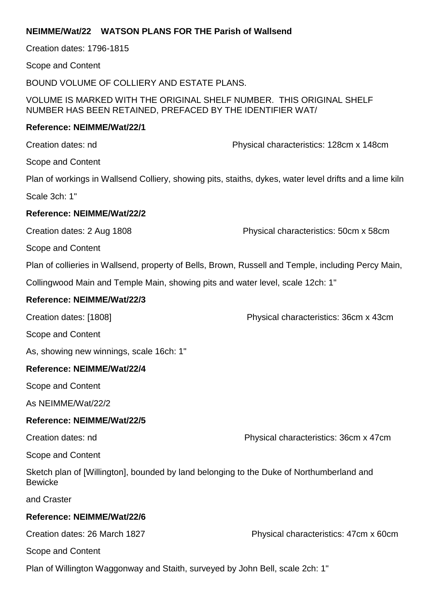#### **NEIMME/Wat/22 WATSON PLANS FOR THE Parish of Wallsend**

Creation dates: 1796-1815

Scope and Content

BOUND VOLUME OF COLLIERY AND ESTATE PLANS.

VOLUME IS MARKED WITH THE ORIGINAL SHELF NUMBER. THIS ORIGINAL SHELF NUMBER HAS BEEN RETAINED, PREFACED BY THE IDENTIFIER WAT/

#### **Reference: NEIMME/Wat/22/1**

Creation dates: nd Physical characteristics: 128cm x 148cm

Scope and Content

Plan of workings in Wallsend Colliery, showing pits, staiths, dykes, water level drifts and a lime kiln

Scale 3ch: 1"

#### **Reference: NEIMME/Wat/22/2**

Creation dates: 2 Aug 1808 Physical characteristics: 50cm x 58cm

Scope and Content

Plan of collieries in Wallsend, property of Bells, Brown, Russell and Temple, including Percy Main,

Collingwood Main and Temple Main, showing pits and water level, scale 12ch: 1"

#### **Reference: NEIMME/Wat/22/3**

Creation dates: [1808] Physical characteristics: 36cm x 43cm

Scope and Content

As, showing new winnings, scale 16ch: 1"

#### **Reference: NEIMME/Wat/22/4**

Scope and Content

As NEIMME/Wat/22/2

#### **Reference: NEIMME/Wat/22/5**

Creation dates: nd Physical characteristics: 36cm x 47cm

Scope and Content

Sketch plan of [Willington], bounded by land belonging to the Duke of Northumberland and **Bewicke** 

and Craster

#### **Reference: NEIMME/Wat/22/6**

Creation dates: 26 March 1827 Physical characteristics: 47cm x 60cm

Scope and Content

Plan of Willington Waggonway and Staith, surveyed by John Bell, scale 2ch: 1"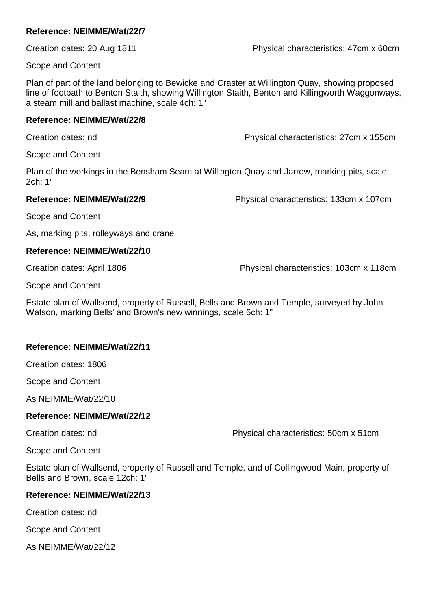Creation dates: 20 Aug 1811 Physical characteristics: 47cm x 60cm

Scope and Content

Plan of part of the land belonging to Bewicke and Craster at Willington Quay, showing proposed line of footpath to Benton Staith, showing Willington Staith, Benton and Killingworth Waggonways, a steam mill and ballast machine, scale 4ch: 1"

#### **Reference: NEIMME/Wat/22/8**

Creation dates: nd Physical characteristics: 27cm x 155cm

Scope and Content

Plan of the workings in the Bensham Seam at Willington Quay and Jarrow, marking pits, scale 2ch: 1",

**Reference: NEIMME/Wat/22/9** Physical characteristics: 133cm x 107cm

Scope and Content

As, marking pits, rolleyways and crane

#### **Reference: NEIMME/Wat/22/10**

Creation dates: April 1806 Physical characteristics: 103cm x 118cm

Scope and Content

Estate plan of Wallsend, property of Russell, Bells and Brown and Temple, surveyed by John Watson, marking Bells' and Brown's new winnings, scale 6ch: 1"

#### **Reference: NEIMME/Wat/22/11**

Creation dates: 1806

Scope and Content

As NEIMME/Wat/22/10

#### **Reference: NEIMME/Wat/22/12**

Creation dates: nd Physical characteristics: 50cm x 51cm

Scope and Content

Estate plan of Wallsend, property of Russell and Temple, and of Collingwood Main, property of Bells and Brown, scale 12ch: 1"

#### **Reference: NEIMME/Wat/22/13**

Creation dates: nd

Scope and Content

As NEIMME/Wat/22/12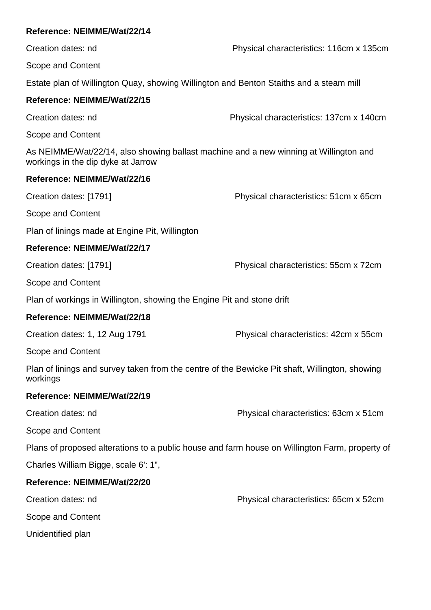| Reference: NEIMME/Wat/22/14                                                                                                 |                                         |
|-----------------------------------------------------------------------------------------------------------------------------|-----------------------------------------|
| Creation dates: nd                                                                                                          | Physical characteristics: 116cm x 135cm |
| Scope and Content                                                                                                           |                                         |
| Estate plan of Willington Quay, showing Willington and Benton Staiths and a steam mill                                      |                                         |
| Reference: NEIMME/Wat/22/15                                                                                                 |                                         |
| Creation dates: nd                                                                                                          | Physical characteristics: 137cm x 140cm |
| Scope and Content                                                                                                           |                                         |
| As NEIMME/Wat/22/14, also showing ballast machine and a new winning at Willington and<br>workings in the dip dyke at Jarrow |                                         |
| Reference: NEIMME/Wat/22/16                                                                                                 |                                         |
| Creation dates: [1791]                                                                                                      | Physical characteristics: 51cm x 65cm   |
| Scope and Content                                                                                                           |                                         |
| Plan of linings made at Engine Pit, Willington                                                                              |                                         |
| Reference: NEIMME/Wat/22/17                                                                                                 |                                         |
| Creation dates: [1791]                                                                                                      | Physical characteristics: 55cm x 72cm   |
| Scope and Content                                                                                                           |                                         |
| Plan of workings in Willington, showing the Engine Pit and stone drift                                                      |                                         |
| Reference: NEIMME/Wat/22/18                                                                                                 |                                         |
| Creation dates: 1, 12 Aug 1791                                                                                              | Physical characteristics: 42cm x 55cm   |
| Scope and Content                                                                                                           |                                         |
| Plan of linings and survey taken from the centre of the Bewicke Pit shaft, Willington, showing<br>workings                  |                                         |
| Reference: NEIMME/Wat/22/19                                                                                                 |                                         |
| Creation dates: nd                                                                                                          | Physical characteristics: 63cm x 51cm   |
| Scope and Content                                                                                                           |                                         |
| Plans of proposed alterations to a public house and farm house on Willington Farm, property of                              |                                         |
| Charles William Bigge, scale 6': 1",                                                                                        |                                         |
| Reference: NEIMME/Wat/22/20                                                                                                 |                                         |
| Creation dates: nd                                                                                                          | Physical characteristics: 65cm x 52cm   |
| Scope and Content                                                                                                           |                                         |
| Unidentified plan                                                                                                           |                                         |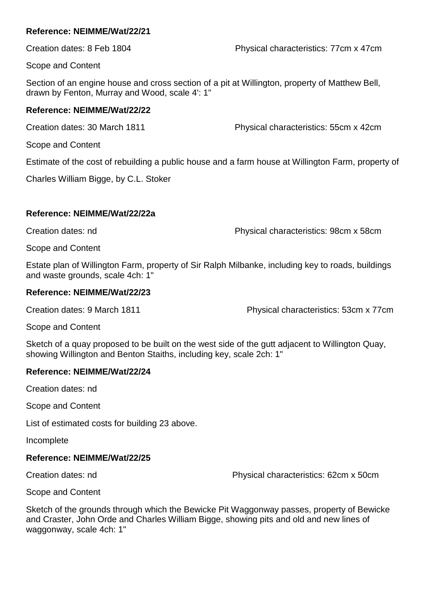Creation dates: 8 Feb 1804 Physical characteristics: 77cm x 47cm

Scope and Content

Section of an engine house and cross section of a pit at Willington, property of Matthew Bell, drawn by Fenton, Murray and Wood, scale 4': 1"

#### **Reference: NEIMME/Wat/22/22**

Creation dates: 30 March 1811 Physical characteristics: 55cm x 42cm

Scope and Content

Estimate of the cost of rebuilding a public house and a farm house at Willington Farm, property of

Charles William Bigge, by C.L. Stoker

#### **Reference: NEIMME/Wat/22/22a**

Creation dates: nd Physical characteristics: 98cm x 58cm

Scope and Content

Estate plan of Willington Farm, property of Sir Ralph Milbanke, including key to roads, buildings and waste grounds, scale 4ch: 1"

#### **Reference: NEIMME/Wat/22/23**

Creation dates: 9 March 1811 Physical characteristics: 53cm x 77cm

Scope and Content

Sketch of a quay proposed to be built on the west side of the gutt adjacent to Willington Quay, showing Willington and Benton Staiths, including key, scale 2ch: 1"

#### **Reference: NEIMME/Wat/22/24**

Creation dates: nd

Scope and Content

List of estimated costs for building 23 above.

Incomplete

#### **Reference: NEIMME/Wat/22/25**

Creation dates: nd Physical characteristics: 62cm x 50cm

Scope and Content

Sketch of the grounds through which the Bewicke Pit Waggonway passes, property of Bewicke and Craster, John Orde and Charles William Bigge, showing pits and old and new lines of waggonway, scale 4ch: 1"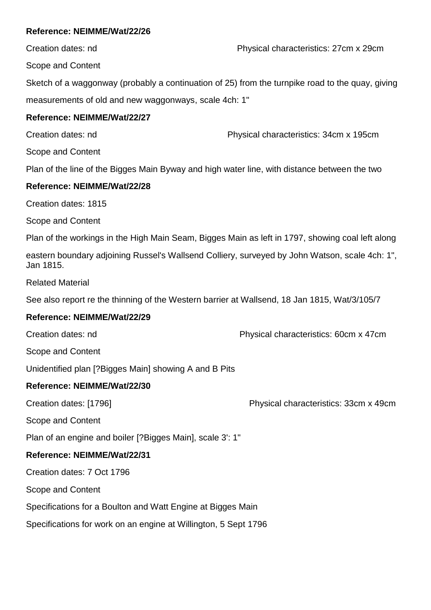Creation dates: nd Physical characteristics: 27cm x 29cm

Scope and Content

Sketch of a waggonway (probably a continuation of 25) from the turnpike road to the quay, giving measurements of old and new waggonways, scale 4ch: 1"

## **Reference: NEIMME/Wat/22/27**

Creation dates: nd Physical characteristics: 34cm x 195cm

Scope and Content

Plan of the line of the Bigges Main Byway and high water line, with distance between the two

## **Reference: NEIMME/Wat/22/28**

Creation dates: 1815

Scope and Content

Plan of the workings in the High Main Seam, Bigges Main as left in 1797, showing coal left along

eastern boundary adjoining Russel's Wallsend Colliery, surveyed by John Watson, scale 4ch: 1", Jan 1815.

Related Material

See also report re the thinning of the Western barrier at Wallsend, 18 Jan 1815, Wat/3/105/7

## **Reference: NEIMME/Wat/22/29**

Creation dates: nd Physical characteristics: 60cm x 47cm

Scope and Content

Unidentified plan [?Bigges Main] showing A and B Pits

## **Reference: NEIMME/Wat/22/30**

Creation dates: [1796] Physical characteristics: 33cm x 49cm

Scope and Content

Plan of an engine and boiler [?Bigges Main], scale 3': 1"

## **Reference: NEIMME/Wat/22/31**

Creation dates: 7 Oct 1796

Scope and Content

Specifications for a Boulton and Watt Engine at Bigges Main

Specifications for work on an engine at Willington, 5 Sept 1796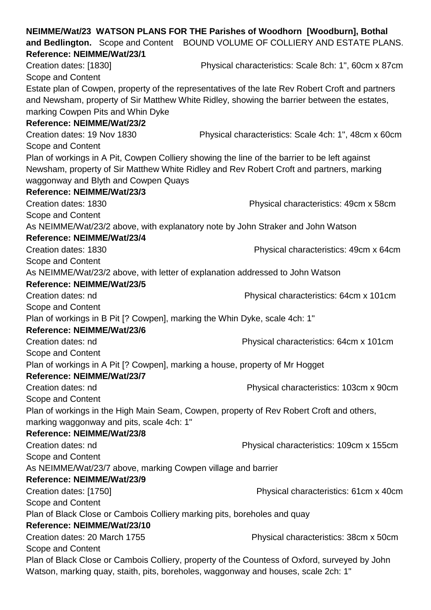|                                                                                          |                                      | NEIMME/Wat/23 WATSON PLANS FOR THE Parishes of Woodhorn [Woodburn], Bothal                       |
|------------------------------------------------------------------------------------------|--------------------------------------|--------------------------------------------------------------------------------------------------|
|                                                                                          |                                      | and Bedlington. Scope and Content BOUND VOLUME OF COLLIERY AND ESTATE PLANS.                     |
| Reference: NEIMME/Wat/23/1                                                               |                                      |                                                                                                  |
| Creation dates: [1830]                                                                   |                                      | Physical characteristics: Scale 8ch: 1", 60cm x 87cm                                             |
| Scope and Content                                                                        |                                      |                                                                                                  |
|                                                                                          |                                      | Estate plan of Cowpen, property of the representatives of the late Rev Robert Croft and partners |
|                                                                                          |                                      | and Newsham, property of Sir Matthew White Ridley, showing the barrier between the estates,      |
|                                                                                          | marking Cowpen Pits and Whin Dyke    |                                                                                                  |
| Reference: NEIMME/Wat/23/2                                                               |                                      |                                                                                                  |
| Creation dates: 19 Nov 1830                                                              |                                      | Physical characteristics: Scale 4ch: 1", 48cm x 60cm                                             |
| Scope and Content                                                                        |                                      |                                                                                                  |
|                                                                                          |                                      | Plan of workings in A Pit, Cowpen Colliery showing the line of the barrier to be left against    |
|                                                                                          |                                      | Newsham, property of Sir Matthew White Ridley and Rev Robert Croft and partners, marking         |
|                                                                                          | waggonway and Blyth and Cowpen Quays |                                                                                                  |
| Reference: NEIMME/Wat/23/3                                                               |                                      |                                                                                                  |
| Creation dates: 1830                                                                     |                                      | Physical characteristics: 49cm x 58cm                                                            |
| Scope and Content                                                                        |                                      |                                                                                                  |
|                                                                                          |                                      | As NEIMME/Wat/23/2 above, with explanatory note by John Straker and John Watson                  |
| Reference: NEIMME/Wat/23/4                                                               |                                      |                                                                                                  |
| Creation dates: 1830                                                                     |                                      | Physical characteristics: 49cm x 64cm                                                            |
| Scope and Content                                                                        |                                      |                                                                                                  |
|                                                                                          |                                      | As NEIMME/Wat/23/2 above, with letter of explanation addressed to John Watson                    |
| Reference: NEIMME/Wat/23/5                                                               |                                      |                                                                                                  |
| Creation dates: nd                                                                       |                                      | Physical characteristics: 64cm x 101cm                                                           |
| Scope and Content                                                                        |                                      |                                                                                                  |
|                                                                                          |                                      | Plan of workings in B Pit [? Cowpen], marking the Whin Dyke, scale 4ch: 1"                       |
| Reference: NEIMME/Wat/23/6                                                               |                                      |                                                                                                  |
| Creation dates: nd                                                                       |                                      | Physical characteristics: 64cm x 101cm                                                           |
| Scope and Content                                                                        |                                      |                                                                                                  |
|                                                                                          |                                      | Plan of workings in A Pit [? Cowpen], marking a house, property of Mr Hogget                     |
| Reference: NEIMME/Wat/23/7                                                               |                                      |                                                                                                  |
| Creation dates: nd                                                                       |                                      | Physical characteristics: 103cm x 90cm                                                           |
| Scope and Content                                                                        |                                      |                                                                                                  |
| Plan of workings in the High Main Seam, Cowpen, property of Rev Robert Croft and others, |                                      |                                                                                                  |
| marking waggonway and pits, scale 4ch: 1"                                                |                                      |                                                                                                  |
| Reference: NEIMME/Wat/23/8                                                               |                                      |                                                                                                  |
| Creation dates: nd                                                                       |                                      | Physical characteristics: 109cm x 155cm                                                          |
| Scope and Content                                                                        |                                      |                                                                                                  |
|                                                                                          |                                      | As NEIMME/Wat/23/7 above, marking Cowpen village and barrier                                     |
| Reference: NEIMME/Wat/23/9                                                               |                                      |                                                                                                  |
| Creation dates: [1750]                                                                   |                                      | Physical characteristics: 61cm x 40cm                                                            |
| Scope and Content                                                                        |                                      |                                                                                                  |
| Plan of Black Close or Cambois Colliery marking pits, boreholes and quay                 |                                      |                                                                                                  |
| Reference: NEIMME/Wat/23/10                                                              |                                      |                                                                                                  |
| Creation dates: 20 March 1755                                                            |                                      | Physical characteristics: 38cm x 50cm                                                            |
| Scope and Content                                                                        |                                      |                                                                                                  |
|                                                                                          |                                      | Plan of Black Close or Cambois Colliery, property of the Countess of Oxford, surveyed by John    |
| Watson, marking quay, staith, pits, boreholes, waggonway and houses, scale 2ch: 1"       |                                      |                                                                                                  |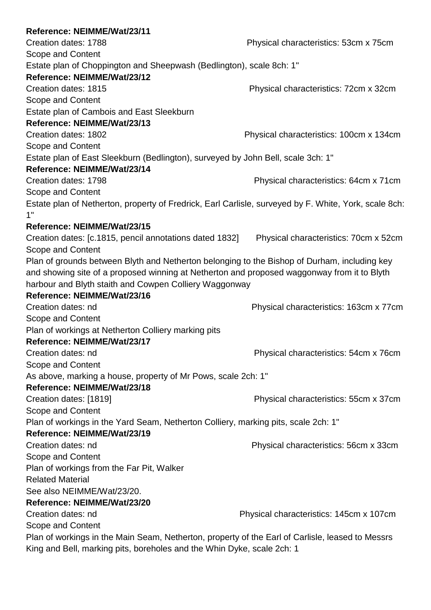| Reference: NEIMME/Wat/23/11                                                                           |                                         |
|-------------------------------------------------------------------------------------------------------|-----------------------------------------|
| Creation dates: 1788                                                                                  | Physical characteristics: 53cm x 75cm   |
| Scope and Content                                                                                     |                                         |
| Estate plan of Choppington and Sheepwash (Bedlington), scale 8ch: 1"                                  |                                         |
| Reference: NEIMME/Wat/23/12                                                                           |                                         |
| Creation dates: 1815                                                                                  | Physical characteristics: 72cm x 32cm   |
| Scope and Content                                                                                     |                                         |
| Estate plan of Cambois and East Sleekburn                                                             |                                         |
| Reference: NEIMME/Wat/23/13                                                                           |                                         |
| Creation dates: 1802                                                                                  | Physical characteristics: 100cm x 134cm |
| Scope and Content                                                                                     |                                         |
| Estate plan of East Sleekburn (Bedlington), surveyed by John Bell, scale 3ch: 1"                      |                                         |
| Reference: NEIMME/Wat/23/14                                                                           |                                         |
| Creation dates: 1798                                                                                  | Physical characteristics: 64cm x 71cm   |
| Scope and Content                                                                                     |                                         |
| Estate plan of Netherton, property of Fredrick, Earl Carlisle, surveyed by F. White, York, scale 8ch: |                                         |
| 1"                                                                                                    |                                         |
| Reference: NEIMME/Wat/23/15                                                                           |                                         |
| Creation dates: [c.1815, pencil annotations dated 1832]                                               | Physical characteristics: 70cm x 52cm   |
| Scope and Content                                                                                     |                                         |
| Plan of grounds between Blyth and Netherton belonging to the Bishop of Durham, including key          |                                         |
| and showing site of a proposed winning at Netherton and proposed waggonway from it to Blyth           |                                         |
| harbour and Blyth staith and Cowpen Colliery Waggonway                                                |                                         |
| Reference: NEIMME/Wat/23/16                                                                           |                                         |
| Creation dates: nd                                                                                    | Physical characteristics: 163cm x 77cm  |
| Scope and Content                                                                                     |                                         |
| Plan of workings at Netherton Colliery marking pits                                                   |                                         |
| Reference: NEIMME/Wat/23/17                                                                           |                                         |
| Creation dates: nd                                                                                    | Physical characteristics: 54cm x 76cm   |
| Scope and Content                                                                                     |                                         |
| As above, marking a house, property of Mr Pows, scale 2ch: 1"                                         |                                         |
| Reference: NEIMME/Wat/23/18                                                                           |                                         |
| Creation dates: [1819]                                                                                | Physical characteristics: 55cm x 37cm   |
| Scope and Content                                                                                     |                                         |
| Plan of workings in the Yard Seam, Netherton Colliery, marking pits, scale 2ch: 1"                    |                                         |
| Reference: NEIMME/Wat/23/19                                                                           |                                         |
| Creation dates: nd                                                                                    | Physical characteristics: 56cm x 33cm   |
| Scope and Content                                                                                     |                                         |
| Plan of workings from the Far Pit, Walker                                                             |                                         |
| <b>Related Material</b>                                                                               |                                         |
| See also NEIMME/Wat/23/20.                                                                            |                                         |
| Reference: NEIMME/Wat/23/20                                                                           |                                         |
| Creation dates: nd                                                                                    | Physical characteristics: 145cm x 107cm |
| Scope and Content                                                                                     |                                         |
| Plan of workings in the Main Seam, Netherton, property of the Earl of Carlisle, leased to Messrs      |                                         |
| King and Bell, marking pits, boreholes and the Whin Dyke, scale 2ch: 1                                |                                         |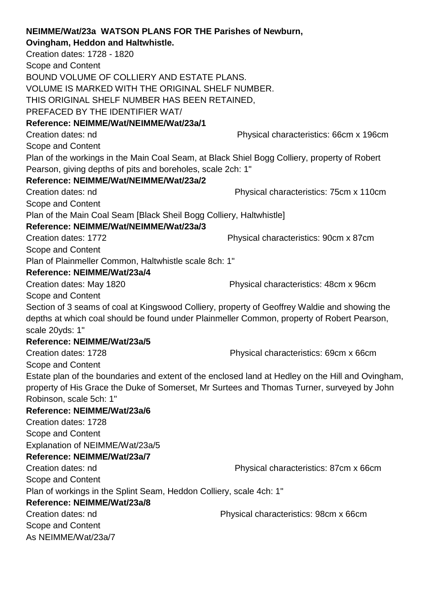| NEIMME/Wat/23a WATSON PLANS FOR THE Parishes of Newburn,                                          |                                        |
|---------------------------------------------------------------------------------------------------|----------------------------------------|
| Ovingham, Heddon and Haltwhistle.                                                                 |                                        |
| Creation dates: 1728 - 1820                                                                       |                                        |
| Scope and Content                                                                                 |                                        |
| BOUND VOLUME OF COLLIERY AND ESTATE PLANS.                                                        |                                        |
| VOLUME IS MARKED WITH THE ORIGINAL SHELF NUMBER.                                                  |                                        |
| THIS ORIGINAL SHELF NUMBER HAS BEEN RETAINED,                                                     |                                        |
| PREFACED BY THE IDENTIFIER WAT/                                                                   |                                        |
| Reference: NEIMME/Wat/NEIMME/Wat/23a/1                                                            |                                        |
| Creation dates: nd                                                                                | Physical characteristics: 66cm x 196cm |
| Scope and Content                                                                                 |                                        |
| Plan of the workings in the Main Coal Seam, at Black Shiel Bogg Colliery, property of Robert      |                                        |
| Pearson, giving depths of pits and boreholes, scale 2ch: 1"                                       |                                        |
| Reference: NEIMME/Wat/NEIMME/Wat/23a/2                                                            |                                        |
| Creation dates: nd                                                                                | Physical characteristics: 75cm x 110cm |
| Scope and Content                                                                                 |                                        |
| Plan of the Main Coal Seam [Black Sheil Bogg Colliery, Haltwhistle]                               |                                        |
| Reference: NEIMME/Wat/NEIMME/Wat/23a/3                                                            |                                        |
| Creation dates: 1772                                                                              | Physical characteristics: 90cm x 87cm  |
| Scope and Content                                                                                 |                                        |
| Plan of Plainmeller Common, Haltwhistle scale 8ch: 1"                                             |                                        |
| Reference: NEIMME/Wat/23a/4                                                                       |                                        |
| Creation dates: May 1820                                                                          | Physical characteristics: 48cm x 96cm  |
| Scope and Content                                                                                 |                                        |
| Section of 3 seams of coal at Kingswood Colliery, property of Geoffrey Waldie and showing the     |                                        |
| depths at which coal should be found under Plainmeller Common, property of Robert Pearson,        |                                        |
| scale 20yds: 1"                                                                                   |                                        |
| Reference: NEIMME/Wat/23a/5                                                                       |                                        |
| Creation dates: 1728                                                                              | Physical characteristics: 69cm x 66cm  |
| Scope and Content                                                                                 |                                        |
| Estate plan of the boundaries and extent of the enclosed land at Hedley on the Hill and Ovingham, |                                        |
| property of His Grace the Duke of Somerset, Mr Surtees and Thomas Turner, surveyed by John        |                                        |
| Robinson, scale 5ch: 1"                                                                           |                                        |
| Reference: NEIMME/Wat/23a/6                                                                       |                                        |
| Creation dates: 1728                                                                              |                                        |
| Scope and Content                                                                                 |                                        |
| Explanation of NEIMME/Wat/23a/5                                                                   |                                        |
| Reference: NEIMME/Wat/23a/7                                                                       |                                        |
| Creation dates: nd                                                                                | Physical characteristics: 87cm x 66cm  |
| Scope and Content                                                                                 |                                        |
| Plan of workings in the Splint Seam, Heddon Colliery, scale 4ch: 1"                               |                                        |
| Reference: NEIMME/Wat/23a/8                                                                       |                                        |
| Creation dates: nd                                                                                | Physical characteristics: 98cm x 66cm  |
| Scope and Content                                                                                 |                                        |
| As NEIMME/Wat/23a/7                                                                               |                                        |
|                                                                                                   |                                        |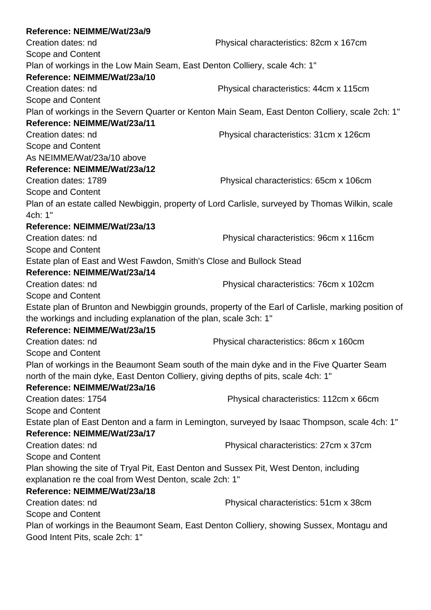| Reference: NEIMME/Wat/23a/9                                                                     |                                                                                                     |  |
|-------------------------------------------------------------------------------------------------|-----------------------------------------------------------------------------------------------------|--|
| Creation dates: nd                                                                              | Physical characteristics: 82cm x 167cm                                                              |  |
| Scope and Content                                                                               |                                                                                                     |  |
| Plan of workings in the Low Main Seam, East Denton Colliery, scale 4ch: 1"                      |                                                                                                     |  |
| Reference: NEIMME/Wat/23a/10                                                                    |                                                                                                     |  |
| Creation dates: nd                                                                              | Physical characteristics: 44cm x 115cm                                                              |  |
| Scope and Content                                                                               |                                                                                                     |  |
| Plan of workings in the Severn Quarter or Kenton Main Seam, East Denton Colliery, scale 2ch: 1" |                                                                                                     |  |
| Reference: NEIMME/Wat/23a/11                                                                    |                                                                                                     |  |
| Creation dates: nd                                                                              | Physical characteristics: 31cm x 126cm                                                              |  |
| Scope and Content                                                                               |                                                                                                     |  |
| As NEIMME/Wat/23a/10 above                                                                      |                                                                                                     |  |
| Reference: NEIMME/Wat/23a/12                                                                    |                                                                                                     |  |
| Creation dates: 1789                                                                            | Physical characteristics: 65cm x 106cm                                                              |  |
| Scope and Content                                                                               |                                                                                                     |  |
| Plan of an estate called Newbiggin, property of Lord Carlisle, surveyed by Thomas Wilkin, scale |                                                                                                     |  |
| 4ch: 1"                                                                                         |                                                                                                     |  |
| Reference: NEIMME/Wat/23a/13                                                                    |                                                                                                     |  |
| Creation dates: nd                                                                              | Physical characteristics: 96cm x 116cm                                                              |  |
| Scope and Content                                                                               |                                                                                                     |  |
| Estate plan of East and West Fawdon, Smith's Close and Bullock Stead                            |                                                                                                     |  |
| Reference: NEIMME/Wat/23a/14                                                                    |                                                                                                     |  |
| Creation dates: nd                                                                              | Physical characteristics: 76cm x 102cm                                                              |  |
| Scope and Content                                                                               |                                                                                                     |  |
|                                                                                                 | Estate plan of Brunton and Newbiggin grounds, property of the Earl of Carlisle, marking position of |  |
| the workings and including explanation of the plan, scale 3ch: 1"                               |                                                                                                     |  |
| Reference: NEIMME/Wat/23a/15                                                                    |                                                                                                     |  |
| Creation dates: nd                                                                              | Physical characteristics: 86cm x 160cm                                                              |  |
| Scope and Content                                                                               |                                                                                                     |  |
| Plan of workings in the Beaumont Seam south of the main dyke and in the Five Quarter Seam       |                                                                                                     |  |
| north of the main dyke, East Denton Colliery, giving depths of pits, scale 4ch: 1"              |                                                                                                     |  |
| Reference: NEIMME/Wat/23a/16<br>Creation dates: 1754                                            |                                                                                                     |  |
|                                                                                                 | Physical characteristics: 112cm x 66cm                                                              |  |
| Scope and Content                                                                               |                                                                                                     |  |
| Estate plan of East Denton and a farm in Lemington, surveyed by Isaac Thompson, scale 4ch: 1"   |                                                                                                     |  |
| Reference: NEIMME/Wat/23a/17                                                                    |                                                                                                     |  |
| Creation dates: nd                                                                              | Physical characteristics: 27cm x 37cm                                                               |  |
| Scope and Content                                                                               |                                                                                                     |  |
| Plan showing the site of Tryal Pit, East Denton and Sussex Pit, West Denton, including          |                                                                                                     |  |
| explanation re the coal from West Denton, scale 2ch: 1"                                         |                                                                                                     |  |
| Reference: NEIMME/Wat/23a/18                                                                    |                                                                                                     |  |
| Creation dates: nd                                                                              | Physical characteristics: 51cm x 38cm                                                               |  |
| Scope and Content                                                                               |                                                                                                     |  |
| Plan of workings in the Beaumont Seam, East Denton Colliery, showing Sussex, Montagu and        |                                                                                                     |  |
| Good Intent Pits, scale 2ch: 1"                                                                 |                                                                                                     |  |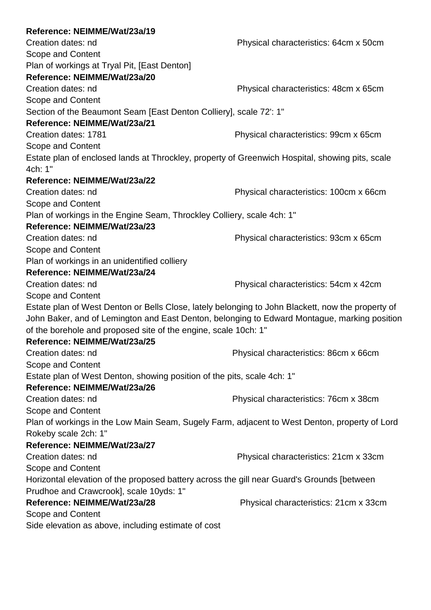| Reference: NEIMME/Wat/23a/19                                                                               |                                        |  |
|------------------------------------------------------------------------------------------------------------|----------------------------------------|--|
| Creation dates: nd                                                                                         | Physical characteristics: 64cm x 50cm  |  |
| Scope and Content                                                                                          |                                        |  |
| Plan of workings at Tryal Pit, [East Denton]                                                               |                                        |  |
| Reference: NEIMME/Wat/23a/20                                                                               |                                        |  |
| Creation dates: nd                                                                                         | Physical characteristics: 48cm x 65cm  |  |
| Scope and Content                                                                                          |                                        |  |
| Section of the Beaumont Seam [East Denton Colliery], scale 72': 1"                                         |                                        |  |
| Reference: NEIMME/Wat/23a/21                                                                               |                                        |  |
| Creation dates: 1781                                                                                       | Physical characteristics: 99cm x 65cm  |  |
| Scope and Content                                                                                          |                                        |  |
| Estate plan of enclosed lands at Throckley, property of Greenwich Hospital, showing pits, scale<br>4ch: 1" |                                        |  |
| Reference: NEIMME/Wat/23a/22                                                                               |                                        |  |
| Creation dates: nd                                                                                         | Physical characteristics: 100cm x 66cm |  |
| Scope and Content                                                                                          |                                        |  |
| Plan of workings in the Engine Seam, Throckley Colliery, scale 4ch: 1"                                     |                                        |  |
| Reference: NEIMME/Wat/23a/23                                                                               |                                        |  |
| Creation dates: nd                                                                                         | Physical characteristics: 93cm x 65cm  |  |
| Scope and Content                                                                                          |                                        |  |
| Plan of workings in an unidentified colliery                                                               |                                        |  |
| Reference: NEIMME/Wat/23a/24                                                                               |                                        |  |
| Creation dates: nd                                                                                         | Physical characteristics: 54cm x 42cm  |  |
| Scope and Content                                                                                          |                                        |  |
| Estate plan of West Denton or Bells Close, lately belonging to John Blackett, now the property of          |                                        |  |
| John Baker, and of Lemington and East Denton, belonging to Edward Montague, marking position               |                                        |  |
| of the borehole and proposed site of the engine, scale 10ch: 1"                                            |                                        |  |
| Reference: NEIMME/Wat/23a/25                                                                               |                                        |  |
| Creation dates: nd                                                                                         | Physical characteristics: 86cm x 66cm  |  |
| Scope and Content                                                                                          |                                        |  |
| Estate plan of West Denton, showing position of the pits, scale 4ch: 1"                                    |                                        |  |
| Reference: NEIMME/Wat/23a/26                                                                               |                                        |  |
| Creation dates: nd                                                                                         | Physical characteristics: 76cm x 38cm  |  |
| Scope and Content                                                                                          |                                        |  |
| Plan of workings in the Low Main Seam, Sugely Farm, adjacent to West Denton, property of Lord              |                                        |  |
| Rokeby scale 2ch: 1"                                                                                       |                                        |  |
| Reference: NEIMME/Wat/23a/27                                                                               |                                        |  |
| Creation dates: nd                                                                                         | Physical characteristics: 21cm x 33cm  |  |
| Scope and Content                                                                                          |                                        |  |
| Horizontal elevation of the proposed battery across the gill near Guard's Grounds [between                 |                                        |  |
| Prudhoe and Crawcrook], scale 10yds: 1"                                                                    |                                        |  |
| Reference: NEIMME/Wat/23a/28                                                                               | Physical characteristics: 21cm x 33cm  |  |
| Scope and Content                                                                                          |                                        |  |
| Side elevation as above, including estimate of cost                                                        |                                        |  |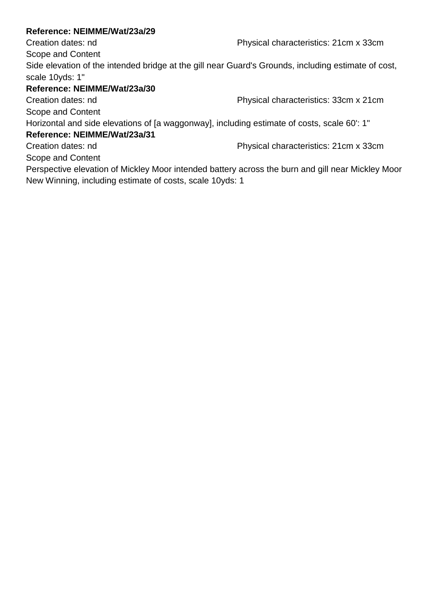Creation dates: nd Physical characteristics: 21cm x 33cm

Scope and Content

Side elevation of the intended bridge at the gill near Guard's Grounds, including estimate of cost, scale 10yds: 1"

## **Reference: NEIMME/Wat/23a/30**

Creation dates: nd Physical characteristics: 33cm x 21cm

Scope and Content

Horizontal and side elevations of [a waggonway], including estimate of costs, scale 60': 1"

## **Reference: NEIMME/Wat/23a/31**

Creation dates: nd Physical characteristics: 21cm x 33cm Scope and Content

Perspective elevation of Mickley Moor intended battery across the burn and gill near Mickley Moor New Winning, including estimate of costs, scale 10yds: 1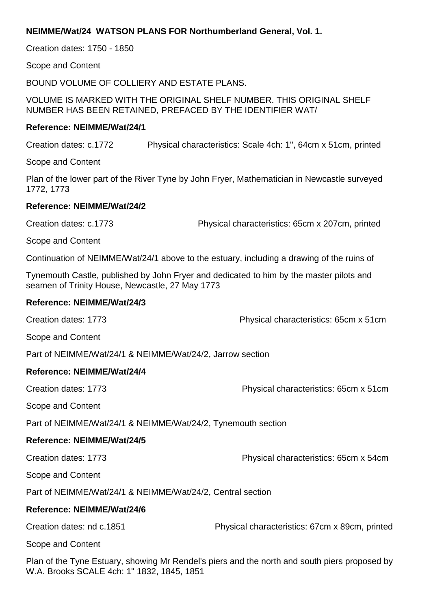## **NEIMME/Wat/24 WATSON PLANS FOR Northumberland General, Vol. 1.**

Creation dates: 1750 - 1850

Scope and Content

BOUND VOLUME OF COLLIERY AND ESTATE PLANS.

VOLUME IS MARKED WITH THE ORIGINAL SHELF NUMBER. THIS ORIGINAL SHELF NUMBER HAS BEEN RETAINED, PREFACED BY THE IDENTIFIER WAT/

#### **Reference: NEIMME/Wat/24/1**

Creation dates: c.1772 Physical characteristics: Scale 4ch: 1", 64cm x 51cm, printed

Scope and Content

Plan of the lower part of the River Tyne by John Fryer, Mathematician in Newcastle surveyed 1772, 1773

#### **Reference: NEIMME/Wat/24/2**

Creation dates: c.1773 Physical characteristics: 65cm x 207cm, printed

Scope and Content

Continuation of NEIMME/Wat/24/1 above to the estuary, including a drawing of the ruins of

Tynemouth Castle, published by John Fryer and dedicated to him by the master pilots and seamen of Trinity House, Newcastle, 27 May 1773

#### **Reference: NEIMME/Wat/24/3**

Creation dates: 1773 Physical characteristics: 65cm x 51cm

Scope and Content

Part of NEIMME/Wat/24/1 & NEIMME/Wat/24/2, Jarrow section

#### **Reference: NEIMME/Wat/24/4**

Creation dates: 1773 Physical characteristics: 65cm x 51cm

Scope and Content

Part of NEIMME/Wat/24/1 & NEIMME/Wat/24/2, Tynemouth section

## **Reference: NEIMME/Wat/24/5**

Creation dates: 1773 Physical characteristics: 65cm x 54cm

Scope and Content

Part of NEIMME/Wat/24/1 & NEIMME/Wat/24/2, Central section

## **Reference: NEIMME/Wat/24/6**

Creation dates: nd c.1851 Physical characteristics: 67cm x 89cm, printed

Scope and Content

Plan of the Tyne Estuary, showing Mr Rendel's piers and the north and south piers proposed by W.A. Brooks SCALE 4ch: 1" 1832, 1845, 1851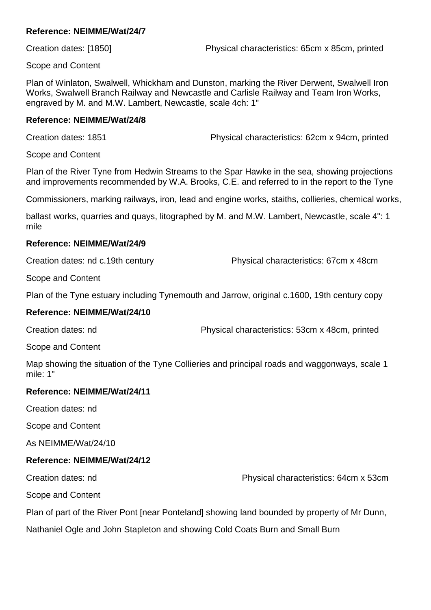Creation dates: [1850] Physical characteristics: 65cm x 85cm, printed

Scope and Content

Plan of Winlaton, Swalwell, Whickham and Dunston, marking the River Derwent, Swalwell Iron Works, Swalwell Branch Railway and Newcastle and Carlisle Railway and Team Iron Works, engraved by M. and M.W. Lambert, Newcastle, scale 4ch: 1"

#### **Reference: NEIMME/Wat/24/8**

Creation dates: 1851 Physical characteristics: 62cm x 94cm, printed

Scope and Content

Plan of the River Tyne from Hedwin Streams to the Spar Hawke in the sea, showing projections and improvements recommended by W.A. Brooks, C.E. and referred to in the report to the Tyne

Commissioners, marking railways, iron, lead and engine works, staiths, collieries, chemical works,

ballast works, quarries and quays, litographed by M. and M.W. Lambert, Newcastle, scale 4": 1 mile

#### **Reference: NEIMME/Wat/24/9**

Creation dates: nd c.19th century Physical characteristics: 67cm x 48cm

Scope and Content

Plan of the Tyne estuary including Tynemouth and Jarrow, original c.1600, 19th century copy

#### **Reference: NEIMME/Wat/24/10**

Creation dates: nd Physical characteristics: 53cm x 48cm, printed

Scope and Content

Map showing the situation of the Tyne Collieries and principal roads and waggonways, scale 1 mile: 1"

#### **Reference: NEIMME/Wat/24/11**

Creation dates: nd

Scope and Content

As NEIMME/Wat/24/10

#### **Reference: NEIMME/Wat/24/12**

Creation dates: nd Physical characteristics: 64cm x 53cm

Scope and Content

Plan of part of the River Pont [near Ponteland] showing land bounded by property of Mr Dunn,

Nathaniel Ogle and John Stapleton and showing Cold Coats Burn and Small Burn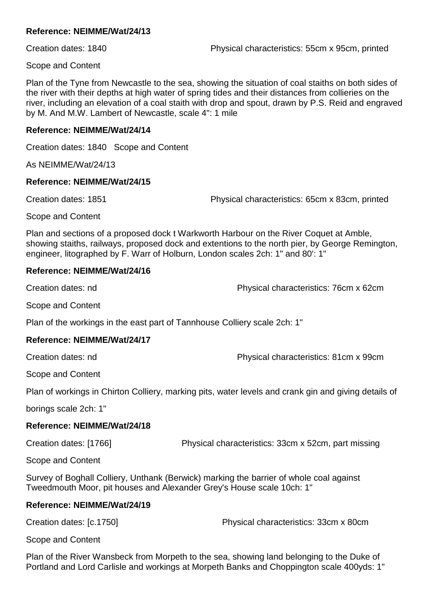Creation dates: 1840 Physical characteristics: 55cm x 95cm, printed

Scope and Content

Plan of the Tyne from Newcastle to the sea, showing the situation of coal staiths on both sides of the river with their depths at high water of spring tides and their distances from collieries on the river, including an elevation of a coal staith with drop and spout, drawn by P.S. Reid and engraved by M. And M.W. Lambert of Newcastle, scale 4": 1 mile

#### **Reference: NEIMME/Wat/24/14**

Creation dates: 1840 Scope and Content

As NEIMME/Wat/24/13

#### **Reference: NEIMME/Wat/24/15**

Creation dates: 1851 Physical characteristics: 65cm x 83cm, printed

Scope and Content

Plan and sections of a proposed dock t Warkworth Harbour on the River Coquet at Amble, showing staiths, railways, proposed dock and extentions to the north pier, by George Remington, engineer, litographed by F. Warr of Holburn, London scales 2ch: 1" and 80': 1"

#### **Reference: NEIMME/Wat/24/16**

Creation dates: nd Physical characteristics: 76cm x 62cm

Scope and Content

Plan of the workings in the east part of Tannhouse Colliery scale 2ch: 1"

#### **Reference: NEIMME/Wat/24/17**

Creation dates: nd Physical characteristics: 81cm x 99cm

Scope and Content

Plan of workings in Chirton Colliery, marking pits, water levels and crank gin and giving details of

borings scale 2ch: 1"

#### **Reference: NEIMME/Wat/24/18**

Creation dates: [1766] Physical characteristics: 33cm x 52cm, part missing

Scope and Content

Survey of Boghall Colliery, Unthank (Berwick) marking the barrier of whole coal against Tweedmouth Moor, pit houses and Alexander Grey's House scale 10ch: 1"

#### **Reference: NEIMME/Wat/24/19**

Creation dates: [c.1750] Physical characteristics: 33cm x 80cm

Scope and Content

Plan of the River Wansbeck from Morpeth to the sea, showing land belonging to the Duke of Portland and Lord Carlisle and workings at Morpeth Banks and Choppington scale 400yds: 1"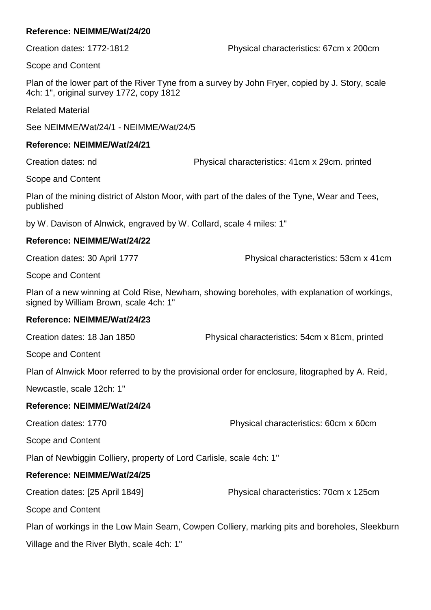Scope and Content

Plan of the lower part of the River Tyne from a survey by John Fryer, copied by J. Story, scale 4ch: 1", original survey 1772, copy 1812

Related Material

See NEIMME/Wat/24/1 - NEIMME/Wat/24/5

#### **Reference: NEIMME/Wat/24/21**

Creation dates: nd Physical characteristics: 41cm x 29cm. printed

Scope and Content

Plan of the mining district of Alston Moor, with part of the dales of the Tyne, Wear and Tees, published

by W. Davison of Alnwick, engraved by W. Collard, scale 4 miles: 1"

#### **Reference: NEIMME/Wat/24/22**

Creation dates: 30 April 1777 Physical characteristics: 53cm x 41cm

Scope and Content

Plan of a new winning at Cold Rise, Newham, showing boreholes, with explanation of workings, signed by William Brown, scale 4ch: 1"

#### **Reference: NEIMME/Wat/24/23**

Creation dates: 18 Jan 1850 Physical characteristics: 54cm x 81cm, printed

Scope and Content

Plan of Alnwick Moor referred to by the provisional order for enclosure, litographed by A. Reid,

Newcastle, scale 12ch: 1"

#### **Reference: NEIMME/Wat/24/24**

Creation dates: 1770 Physical characteristics: 60cm x 60cm

Scope and Content

Plan of Newbiggin Colliery, property of Lord Carlisle, scale 4ch: 1"

## **Reference: NEIMME/Wat/24/25**

Creation dates: [25 April 1849] Physical characteristics: 70cm x 125cm

Scope and Content

Plan of workings in the Low Main Seam, Cowpen Colliery, marking pits and boreholes, Sleekburn

Village and the River Blyth, scale 4ch: 1"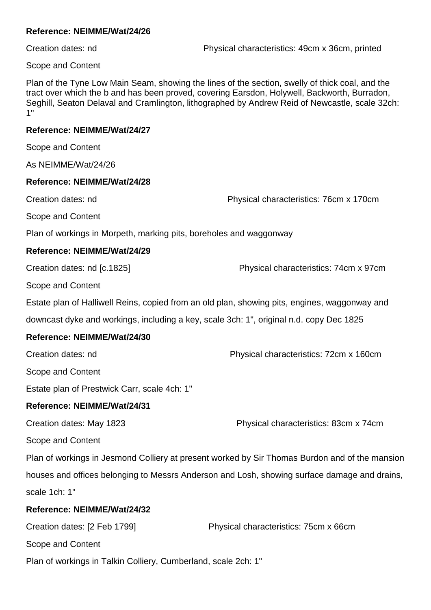Creation dates: nd Physical characteristics: 49cm x 36cm, printed

Scope and Content

Plan of the Tyne Low Main Seam, showing the lines of the section, swelly of thick coal, and the tract over which the b and has been proved, covering Earsdon, Holywell, Backworth, Burradon, Seghill, Seaton Delaval and Cramlington, lithographed by Andrew Reid of Newcastle, scale 32ch: 1"

#### **Reference: NEIMME/Wat/24/27**

Scope and Content

As NEIMME/Wat/24/26

#### **Reference: NEIMME/Wat/24/28**

Creation dates: nd Physical characteristics: 76cm x 170cm

Scope and Content

Plan of workings in Morpeth, marking pits, boreholes and waggonway

#### **Reference: NEIMME/Wat/24/29**

Creation dates: nd [c.1825] Physical characteristics: 74cm x 97cm

Scope and Content

Estate plan of Halliwell Reins, copied from an old plan, showing pits, engines, waggonway and

downcast dyke and workings, including a key, scale 3ch: 1", original n.d. copy Dec 1825

#### **Reference: NEIMME/Wat/24/30**

Creation dates: nd Physical characteristics: 72cm x 160cm

Scope and Content

Estate plan of Prestwick Carr, scale 4ch: 1"

#### **Reference: NEIMME/Wat/24/31**

Creation dates: May 1823 Physical characteristics: 83cm x 74cm

Scope and Content

Plan of workings in Jesmond Colliery at present worked by Sir Thomas Burdon and of the mansion houses and offices belonging to Messrs Anderson and Losh, showing surface damage and drains, scale 1ch: 1"

#### **Reference: NEIMME/Wat/24/32**

| Creation dates: [2 Feb 1799]                                   | Physical characteristics: 75cm x 66cm |
|----------------------------------------------------------------|---------------------------------------|
| Scope and Content                                              |                                       |
| Plan of workings in Talkin Colliery, Cumberland, scale 2ch: 1" |                                       |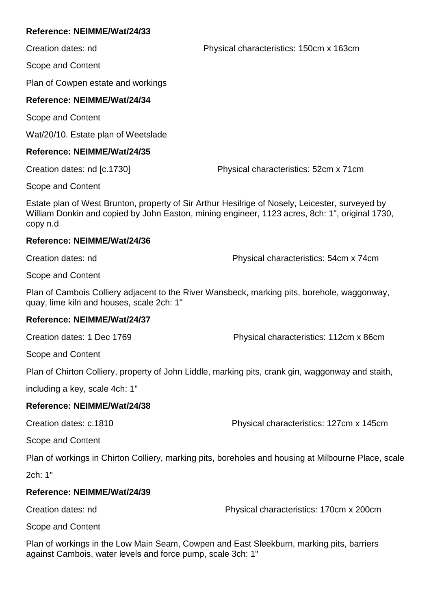Creation dates: nd Physical characteristics: 150cm x 163cm

Scope and Content

Plan of Cowpen estate and workings

### **Reference: NEIMME/Wat/24/34**

Scope and Content

Wat/20/10. Estate plan of Weetslade

#### **Reference: NEIMME/Wat/24/35**

Creation dates: nd [c.1730] Physical characteristics: 52cm x 71cm

Scope and Content

Estate plan of West Brunton, property of Sir Arthur Hesilrige of Nosely, Leicester, surveyed by William Donkin and copied by John Easton, mining engineer, 1123 acres, 8ch: 1", original 1730, copy n.d

#### **Reference: NEIMME/Wat/24/36**

Creation dates: nd Physical characteristics: 54cm x 74cm

Scope and Content

Plan of Cambois Colliery adjacent to the River Wansbeck, marking pits, borehole, waggonway, quay, lime kiln and houses, scale 2ch: 1"

#### **Reference: NEIMME/Wat/24/37**

Creation dates: 1 Dec 1769 Physical characteristics: 112cm x 86cm

Scope and Content

Plan of Chirton Colliery, property of John Liddle, marking pits, crank gin, waggonway and staith,

including a key, scale 4ch: 1"

#### **Reference: NEIMME/Wat/24/38**

Creation dates: c.1810 Physical characteristics: 127cm x 145cm

Scope and Content

Plan of workings in Chirton Colliery, marking pits, boreholes and housing at Milbourne Place, scale

2ch: 1"

#### **Reference: NEIMME/Wat/24/39**

Creation dates: nd Physical characteristics: 170cm x 200cm

Scope and Content

Plan of workings in the Low Main Seam, Cowpen and East Sleekburn, marking pits, barriers against Cambois, water levels and force pump, scale 3ch: 1"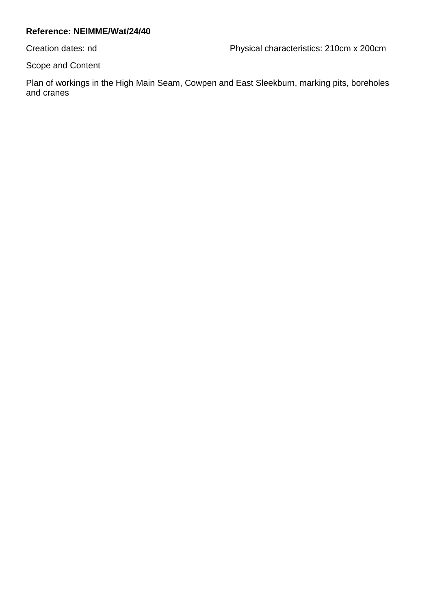Creation dates: nd Physical characteristics: 210cm x 200cm

Scope and Content

Plan of workings in the High Main Seam, Cowpen and East Sleekburn, marking pits, boreholes and cranes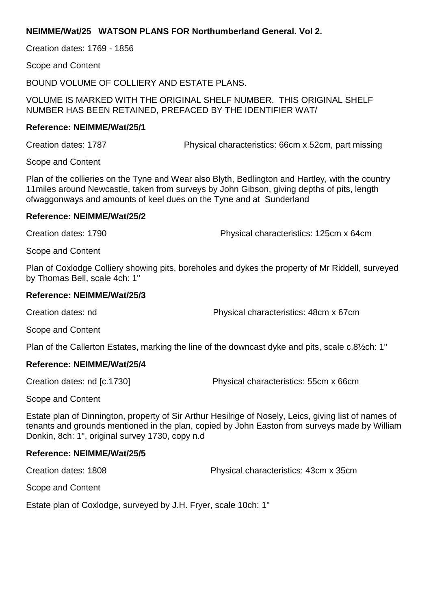#### **NEIMME/Wat/25 WATSON PLANS FOR Northumberland General. Vol 2.**

Creation dates: 1769 - 1856

Scope and Content

BOUND VOLUME OF COLLIERY AND ESTATE PLANS.

VOLUME IS MARKED WITH THE ORIGINAL SHELF NUMBER. THIS ORIGINAL SHELF NUMBER HAS BEEN RETAINED, PREFACED BY THE IDENTIFIER WAT/

#### **Reference: NEIMME/Wat/25/1**

Creation dates: 1787 Physical characteristics: 66cm x 52cm, part missing

Scope and Content

Plan of the collieries on the Tyne and Wear also Blyth, Bedlington and Hartley, with the country 11miles around Newcastle, taken from surveys by John Gibson, giving depths of pits, length ofwaggonways and amounts of keel dues on the Tyne and at Sunderland

#### **Reference: NEIMME/Wat/25/2**

Creation dates: 1790 Physical characteristics: 125cm x 64cm

Scope and Content

Plan of Coxlodge Colliery showing pits, boreholes and dykes the property of Mr Riddell, surveyed by Thomas Bell, scale 4ch: 1"

#### **Reference: NEIMME/Wat/25/3**

Creation dates: nd Physical characteristics: 48cm x 67cm

Scope and Content

Plan of the Callerton Estates, marking the line of the downcast dyke and pits, scale c.8½ch: 1"

#### **Reference: NEIMME/Wat/25/4**

Creation dates: nd [c.1730] Physical characteristics: 55cm x 66cm

Scope and Content

Estate plan of Dinnington, property of Sir Arthur Hesilrige of Nosely, Leics, giving list of names of tenants and grounds mentioned in the plan, copied by John Easton from surveys made by William Donkin, 8ch: 1", original survey 1730, copy n.d

#### **Reference: NEIMME/Wat/25/5**

Creation dates: 1808 Physical characteristics: 43cm x 35cm

Scope and Content

Estate plan of Coxlodge, surveyed by J.H. Fryer, scale 10ch: 1"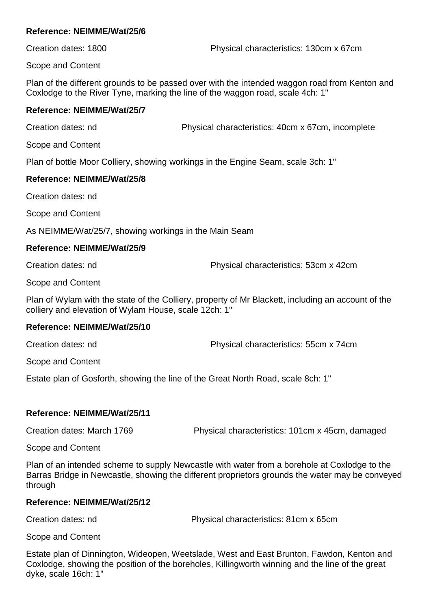Creation dates: 1800 Physical characteristics: 130cm x 67cm

Scope and Content

Plan of the different grounds to be passed over with the intended waggon road from Kenton and Coxlodge to the River Tyne, marking the line of the waggon road, scale 4ch: 1"

### **Reference: NEIMME/Wat/25/7**

Creation dates: nd Physical characteristics: 40cm x 67cm, incomplete

Scope and Content

Plan of bottle Moor Colliery, showing workings in the Engine Seam, scale 3ch: 1"

## **Reference: NEIMME/Wat/25/8**

Creation dates: nd

Scope and Content

As NEIMME/Wat/25/7, showing workings in the Main Seam

## **Reference: NEIMME/Wat/25/9**

Creation dates: nd Physical characteristics: 53cm x 42cm

Scope and Content

Plan of Wylam with the state of the Colliery, property of Mr Blackett, including an account of the colliery and elevation of Wylam House, scale 12ch: 1"

## **Reference: NEIMME/Wat/25/10**

Creation dates: nd Physical characteristics: 55cm x 74cm

Scope and Content

Estate plan of Gosforth, showing the line of the Great North Road, scale 8ch: 1"

## **Reference: NEIMME/Wat/25/11**

Creation dates: March 1769 Physical characteristics: 101cm x 45cm, damaged

Scope and Content

Plan of an intended scheme to supply Newcastle with water from a borehole at Coxlodge to the Barras Bridge in Newcastle, showing the different proprietors grounds the water may be conveyed through

## **Reference: NEIMME/Wat/25/12**

Creation dates: nd Physical characteristics: 81cm x 65cm

Scope and Content

Estate plan of Dinnington, Wideopen, Weetslade, West and East Brunton, Fawdon, Kenton and Coxlodge, showing the position of the boreholes, Killingworth winning and the line of the great dyke, scale 16ch: 1"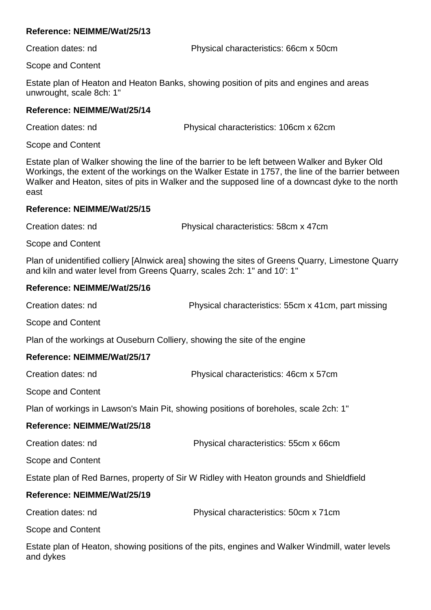Creation dates: nd Physical characteristics: 66cm x 50cm

Scope and Content

Estate plan of Heaton and Heaton Banks, showing position of pits and engines and areas unwrought, scale 8ch: 1"

### **Reference: NEIMME/Wat/25/14**

Creation dates: nd Physical characteristics: 106cm x 62cm

Scope and Content

Estate plan of Walker showing the line of the barrier to be left between Walker and Byker Old Workings, the extent of the workings on the Walker Estate in 1757, the line of the barrier between Walker and Heaton, sites of pits in Walker and the supposed line of a downcast dyke to the north east

#### **Reference: NEIMME/Wat/25/15**

Creation dates: nd Physical characteristics: 58cm x 47cm

Scope and Content

Plan of unidentified colliery [Alnwick area] showing the sites of Greens Quarry, Limestone Quarry and kiln and water level from Greens Quarry, scales 2ch: 1" and 10': 1"

## **Reference: NEIMME/Wat/25/16**

Creation dates: nd Physical characteristics: 55cm x 41cm, part missing Scope and Content Plan of the workings at Ouseburn Colliery, showing the site of the engine **Reference: NEIMME/Wat/25/17** Creation dates: nd Physical characteristics: 46cm x 57cm Scope and Content Plan of workings in Lawson's Main Pit, showing positions of boreholes, scale 2ch: 1" **Reference: NEIMME/Wat/25/18** Creation dates: nd Physical characteristics: 55cm x 66cm Scope and Content Estate plan of Red Barnes, property of Sir W Ridley with Heaton grounds and Shieldfield

## **Reference: NEIMME/Wat/25/19**

Creation dates: nd Physical characteristics: 50cm x 71cm

Scope and Content

Estate plan of Heaton, showing positions of the pits, engines and Walker Windmill, water levels and dykes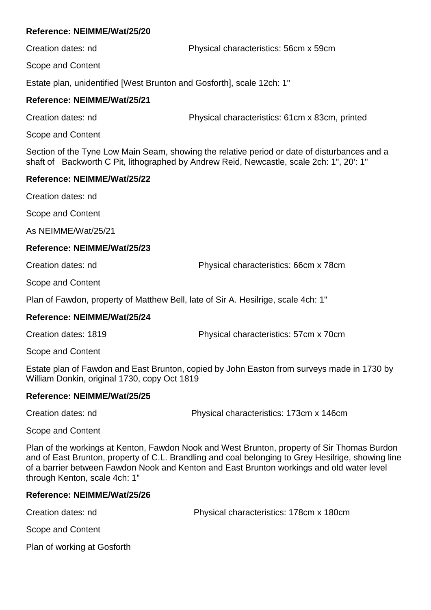Creation dates: nd Physical characteristics: 56cm x 59cm

Scope and Content

Estate plan, unidentified [West Brunton and Gosforth], scale 12ch: 1"

# **Reference: NEIMME/Wat/25/21**

Creation dates: nd Physical characteristics: 61cm x 83cm, printed

Scope and Content

Section of the Tyne Low Main Seam, showing the relative period or date of disturbances and a shaft of Backworth C Pit, lithographed by Andrew Reid, Newcastle, scale 2ch: 1", 20': 1"

# **Reference: NEIMME/Wat/25/22**

Creation dates: nd

Scope and Content

As NEIMME/Wat/25/21

# **Reference: NEIMME/Wat/25/23**

Creation dates: nd Physical characteristics: 66cm x 78cm

Scope and Content

Plan of Fawdon, property of Matthew Bell, late of Sir A. Hesilrige, scale 4ch: 1"

# **Reference: NEIMME/Wat/25/24**

Creation dates: 1819 Physical characteristics: 57cm x 70cm

Scope and Content

Estate plan of Fawdon and East Brunton, copied by John Easton from surveys made in 1730 by William Donkin, original 1730, copy Oct 1819

# **Reference: NEIMME/Wat/25/25**

Creation dates: nd Physical characteristics: 173cm x 146cm

Scope and Content

Plan of the workings at Kenton, Fawdon Nook and West Brunton, property of Sir Thomas Burdon and of East Brunton, property of C.L. Brandling and coal belonging to Grey Hesilrige, showing line of a barrier between Fawdon Nook and Kenton and East Brunton workings and old water level through Kenton, scale 4ch: 1"

# **Reference: NEIMME/Wat/25/26**

Creation dates: nd Physical characteristics: 178cm x 180cm

Scope and Content

Plan of working at Gosforth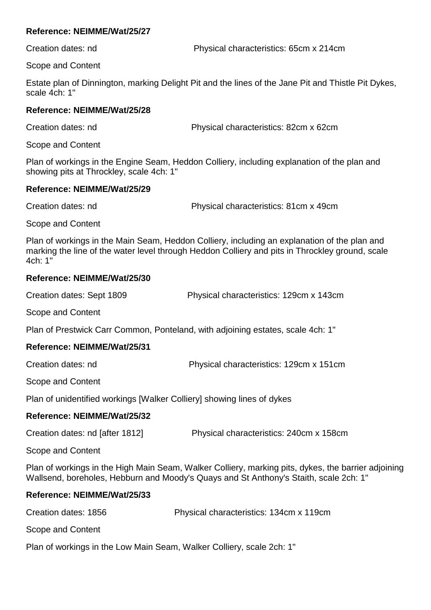Creation dates: nd Physical characteristics: 65cm x 214cm

Scope and Content

Estate plan of Dinnington, marking Delight Pit and the lines of the Jane Pit and Thistle Pit Dykes, scale 4ch: 1"

# **Reference: NEIMME/Wat/25/28**

Creation dates: nd Physical characteristics: 82cm x 62cm

Scope and Content

Plan of workings in the Engine Seam, Heddon Colliery, including explanation of the plan and showing pits at Throckley, scale 4ch: 1"

# **Reference: NEIMME/Wat/25/29**

Creation dates: nd Physical characteristics: 81cm x 49cm

Scope and Content

Plan of workings in the Main Seam, Heddon Colliery, including an explanation of the plan and marking the line of the water level through Heddon Colliery and pits in Throckley ground, scale 4ch: 1"

# **Reference: NEIMME/Wat/25/30**

| Creation dates: Sept 1809 | Physical characteristics: 129cm x 143cm |
|---------------------------|-----------------------------------------|
|                           |                                         |

Scope and Content

Plan of Prestwick Carr Common, Ponteland, with adjoining estates, scale 4ch: 1"

# **Reference: NEIMME/Wat/25/31**

| Creation dates: nd | Physical characteristics: 129cm x 151cm |
|--------------------|-----------------------------------------|
|--------------------|-----------------------------------------|

Scope and Content

Plan of unidentified workings [Walker Colliery] showing lines of dykes

# **Reference: NEIMME/Wat/25/32**

Scope and Content

Plan of workings in the High Main Seam, Walker Colliery, marking pits, dykes, the barrier adjoining Wallsend, boreholes, Hebburn and Moody's Quays and St Anthony's Staith, scale 2ch: 1"

# **Reference: NEIMME/Wat/25/33**

| Creation dates: 1856 | Physical characteristics: 134cm x 119cm |
|----------------------|-----------------------------------------|
| Scope and Content    |                                         |
|                      |                                         |

Plan of workings in the Low Main Seam, Walker Colliery, scale 2ch: 1"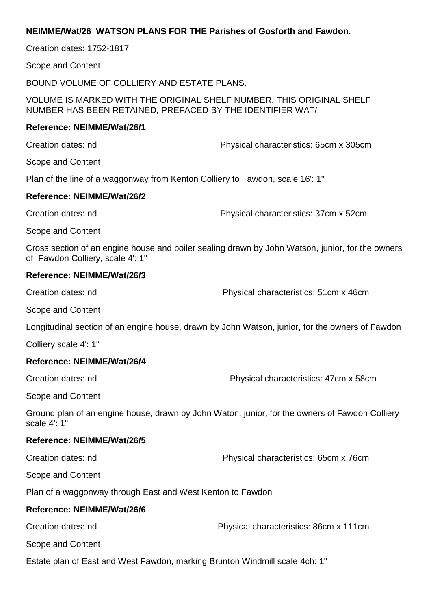# **NEIMME/Wat/26 WATSON PLANS FOR THE Parishes of Gosforth and Fawdon.**

Creation dates: 1752-1817

Scope and Content

BOUND VOLUME OF COLLIERY AND ESTATE PLANS.

VOLUME IS MARKED WITH THE ORIGINAL SHELF NUMBER. THIS ORIGINAL SHELF NUMBER HAS BEEN RETAINED, PREFACED BY THE IDENTIFIER WAT/

#### **Reference: NEIMME/Wat/26/1**

Creation dates: nd Physical characteristics: 65cm x 305cm

Scope and Content

Plan of the line of a waggonway from Kenton Colliery to Fawdon, scale 16': 1"

#### **Reference: NEIMME/Wat/26/2**

Creation dates: nd Physical characteristics: 37cm x 52cm

Scope and Content

Cross section of an engine house and boiler sealing drawn by John Watson, junior, for the owners of Fawdon Colliery, scale 4': 1"

#### **Reference: NEIMME/Wat/26/3**

Creation dates: nd Physical characteristics: 51cm x 46cm

Scope and Content

Longitudinal section of an engine house, drawn by John Watson, junior, for the owners of Fawdon

Colliery scale 4': 1"

#### **Reference: NEIMME/Wat/26/4**

Creation dates: nd Physical characteristics: 47cm x 58cm

Scope and Content

Ground plan of an engine house, drawn by John Waton, junior, for the owners of Fawdon Colliery scale 4': 1"

#### **Reference: NEIMME/Wat/26/5**

Creation dates: nd Physical characteristics: 65cm x 76cm

Scope and Content

Plan of a waggonway through East and West Kenton to Fawdon

#### **Reference: NEIMME/Wat/26/6**

Creation dates: nd Physical characteristics: 86cm x 111cm

Scope and Content

Estate plan of East and West Fawdon, marking Brunton Windmill scale 4ch: 1"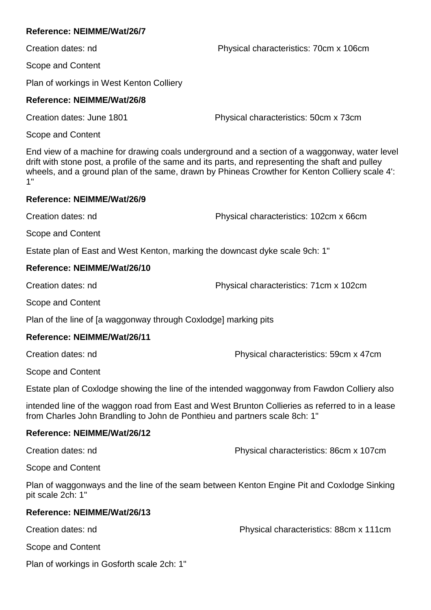Creation dates: nd Physical characteristics: 70cm x 106cm

Scope and Content

Plan of workings in West Kenton Colliery

# **Reference: NEIMME/Wat/26/8**

Creation dates: June 1801 Physical characteristics: 50cm x 73cm

Scope and Content

End view of a machine for drawing coals underground and a section of a waggonway, water level drift with stone post, a profile of the same and its parts, and representing the shaft and pulley wheels, and a ground plan of the same, drawn by Phineas Crowther for Kenton Colliery scale 4': 1"

# **Reference: NEIMME/Wat/26/9**

Creation dates: nd Physical characteristics: 102cm x 66cm

Scope and Content

Estate plan of East and West Kenton, marking the downcast dyke scale 9ch: 1"

# **Reference: NEIMME/Wat/26/10**

Creation dates: nd Physical characteristics: 71cm x 102cm

Scope and Content

Plan of the line of [a waggonway through Coxlodge] marking pits

# **Reference: NEIMME/Wat/26/11**

Creation dates: nd Physical characteristics: 59cm x 47cm

Scope and Content

Estate plan of Coxlodge showing the line of the intended waggonway from Fawdon Colliery also

intended line of the waggon road from East and West Brunton Collieries as referred to in a lease from Charles John Brandling to John de Ponthieu and partners scale 8ch: 1"

# **Reference: NEIMME/Wat/26/12**

Creation dates: nd Physical characteristics: 86cm x 107cm

Scope and Content

Plan of waggonways and the line of the seam between Kenton Engine Pit and Coxlodge Sinking pit scale 2ch: 1"

# **Reference: NEIMME/Wat/26/13**

Creation dates: nd Physical characteristics: 88cm x 111cm

Scope and Content

Plan of workings in Gosforth scale 2ch: 1"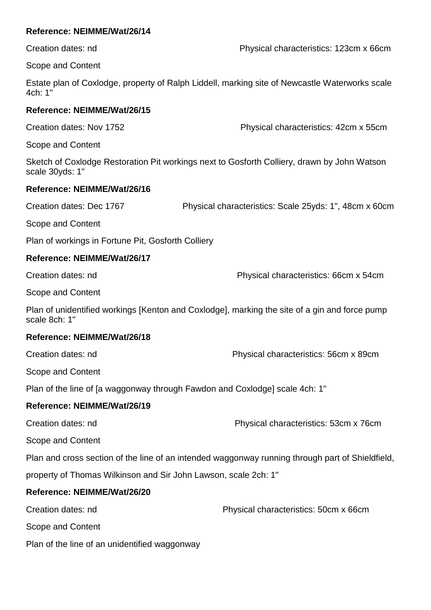Creation dates: nd Physical characteristics: 123cm x 66cm

Scope and Content

Estate plan of Coxlodge, property of Ralph Liddell, marking site of Newcastle Waterworks scale 4ch: 1"

# **Reference: NEIMME/Wat/26/15**

Creation dates: Nov 1752 Physical characteristics: 42cm x 55cm

Scope and Content

Sketch of Coxlodge Restoration Pit workings next to Gosforth Colliery, drawn by John Watson scale 30yds: 1"

# **Reference: NEIMME/Wat/26/16**

Creation dates: Dec 1767 Physical characteristics: Scale 25yds: 1", 48cm x 60cm

Scope and Content

Plan of workings in Fortune Pit, Gosforth Colliery

# **Reference: NEIMME/Wat/26/17**

Creation dates: nd Physical characteristics: 66cm x 54cm

Scope and Content

Plan of unidentified workings [Kenton and Coxlodge], marking the site of a gin and force pump scale 8ch: 1"

# **Reference: NEIMME/Wat/26/18**

Creation dates: nd Physical characteristics: 56cm x 89cm

Scope and Content

Plan of the line of [a waggonway through Fawdon and Coxlodge] scale 4ch: 1"

# **Reference: NEIMME/Wat/26/19**

Creation dates: nd Physical characteristics: 53cm x 76cm

Scope and Content

Plan and cross section of the line of an intended waggonway running through part of Shieldfield,

property of Thomas Wilkinson and Sir John Lawson, scale 2ch: 1"

# **Reference: NEIMME/Wat/26/20**

Creation dates: nd Physical characteristics: 50cm x 66cm

Scope and Content

Plan of the line of an unidentified waggonway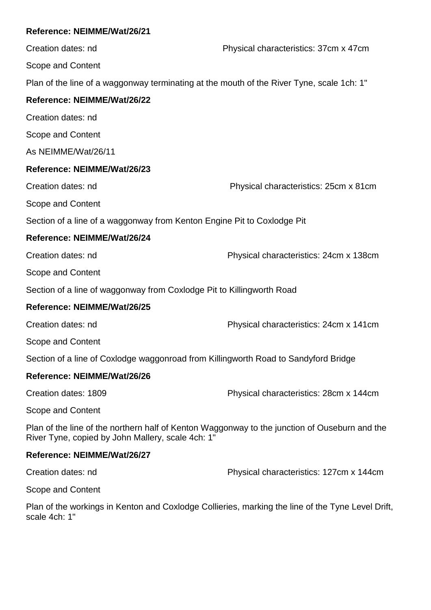Creation dates: nd Physical characteristics: 37cm x 47cm Scope and Content Plan of the line of a waggonway terminating at the mouth of the River Tyne, scale 1ch: 1" **Reference: NEIMME/Wat/26/22** Creation dates: nd Scope and Content As NEIMME/Wat/26/11 **Reference: NEIMME/Wat/26/23** Creation dates: nd Physical characteristics: 25cm x 81cm Scope and Content Section of a line of a waggonway from Kenton Engine Pit to Coxlodge Pit **Reference: NEIMME/Wat/26/24** Creation dates: nd Physical characteristics: 24cm x 138cm Scope and Content Section of a line of waggonway from Coxlodge Pit to Killingworth Road **Reference: NEIMME/Wat/26/25** Creation dates: nd Physical characteristics: 24cm x 141cm Scope and Content Section of a line of Coxlodge waggonroad from Killingworth Road to Sandyford Bridge **Reference: NEIMME/Wat/26/26** Creation dates: 1809 Physical characteristics: 28cm x 144cm Scope and Content Plan of the line of the northern half of Kenton Waggonway to the junction of Ouseburn and the River Tyne, copied by John Mallery, scale 4ch: 1"

# **Reference: NEIMME/Wat/26/27**

Creation dates: nd Physical characteristics: 127cm x 144cm

Scope and Content

Plan of the workings in Kenton and Coxlodge Collieries, marking the line of the Tyne Level Drift, scale 4ch: 1"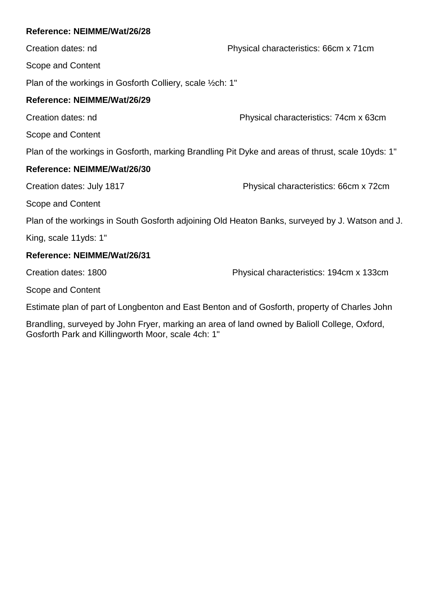Creation dates: nd Physical characteristics: 66cm x 71cm Scope and Content

Plan of the workings in Gosforth Colliery, scale ½ch: 1"

# **Reference: NEIMME/Wat/26/29**

Creation dates: nd Physical characteristics: 74cm x 63cm

Scope and Content

Plan of the workings in Gosforth, marking Brandling Pit Dyke and areas of thrust, scale 10yds: 1"

# **Reference: NEIMME/Wat/26/30**

Creation dates: July 1817 Physical characteristics: 66cm x 72cm

Scope and Content

Plan of the workings in South Gosforth adjoining Old Heaton Banks, surveyed by J. Watson and J.

King, scale 11yds: 1"

# **Reference: NEIMME/Wat/26/31**

Creation dates: 1800 Physical characteristics: 194cm x 133cm

Scope and Content

Estimate plan of part of Longbenton and East Benton and of Gosforth, property of Charles John

Brandling, surveyed by John Fryer, marking an area of land owned by Balioll College, Oxford, Gosforth Park and Killingworth Moor, scale 4ch: 1"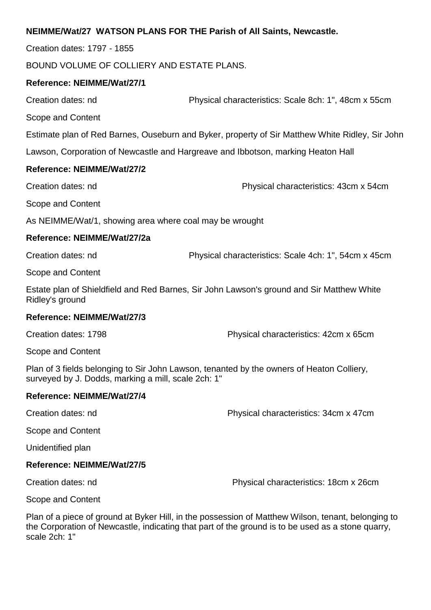# **NEIMME/Wat/27 WATSON PLANS FOR THE Parish of All Saints, Newcastle.**

Creation dates: 1797 - 1855

BOUND VOLUME OF COLLIERY AND ESTATE PLANS.

## **Reference: NEIMME/Wat/27/1**

Creation dates: nd Physical characteristics: Scale 8ch: 1", 48cm x 55cm

Scope and Content

Estimate plan of Red Barnes, Ouseburn and Byker, property of Sir Matthew White Ridley, Sir John

Lawson, Corporation of Newcastle and Hargreave and Ibbotson, marking Heaton Hall

## **Reference: NEIMME/Wat/27/2**

Creation dates: nd Physical characteristics: 43cm x 54cm

Scope and Content

As NEIMME/Wat/1, showing area where coal may be wrought

## **Reference: NEIMME/Wat/27/2a**

Creation dates: nd Physical characteristics: Scale 4ch: 1", 54cm x 45cm

Scope and Content

Estate plan of Shieldfield and Red Barnes, Sir John Lawson's ground and Sir Matthew White Ridley's ground

#### **Reference: NEIMME/Wat/27/3**

Creation dates: 1798 Physical characteristics: 42cm x 65cm

Scope and Content

Plan of 3 fields belonging to Sir John Lawson, tenanted by the owners of Heaton Colliery, surveyed by J. Dodds, marking a mill, scale 2ch: 1"

# **Reference: NEIMME/Wat/27/4**

Creation dates: nd Physical characteristics: 34cm x 47cm

Scope and Content

Unidentified plan

#### **Reference: NEIMME/Wat/27/5**

Creation dates: nd Physical characteristics: 18cm x 26cm

Scope and Content

Plan of a piece of ground at Byker Hill, in the possession of Matthew Wilson, tenant, belonging to the Corporation of Newcastle, indicating that part of the ground is to be used as a stone quarry, scale 2ch: 1"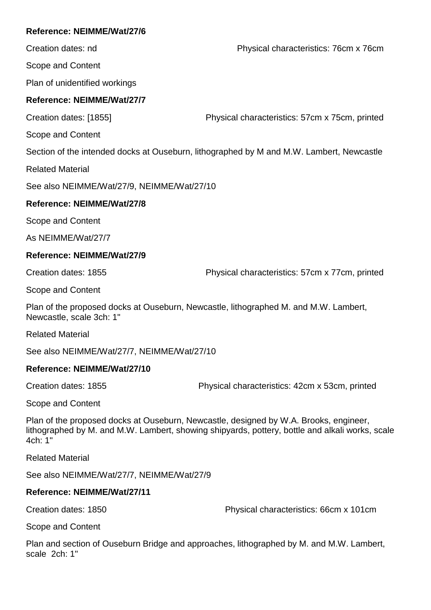Creation dates: nd Physical characteristics: 76cm x 76cm

Scope and Content

Plan of unidentified workings

# **Reference: NEIMME/Wat/27/7**

Creation dates: [1855] Physical characteristics: 57cm x 75cm, printed

Scope and Content

Section of the intended docks at Ouseburn, lithographed by M and M.W. Lambert, Newcastle

Related Material

See also NEIMME/Wat/27/9, NEIMME/Wat/27/10

# **Reference: NEIMME/Wat/27/8**

Scope and Content

As NEIMME/Wat/27/7

# **Reference: NEIMME/Wat/27/9**

Creation dates: 1855 Physical characteristics: 57cm x 77cm, printed

Scope and Content

Plan of the proposed docks at Ouseburn, Newcastle, lithographed M. and M.W. Lambert, Newcastle, scale 3ch: 1"

Related Material

See also NEIMME/Wat/27/7, NEIMME/Wat/27/10

# **Reference: NEIMME/Wat/27/10**

Creation dates: 1855 Physical characteristics: 42cm x 53cm, printed

Scope and Content

Plan of the proposed docks at Ouseburn, Newcastle, designed by W.A. Brooks, engineer, lithographed by M. and M.W. Lambert, showing shipyards, pottery, bottle and alkali works, scale 4ch: 1"

Related Material

See also NEIMME/Wat/27/7, NEIMME/Wat/27/9

# **Reference: NEIMME/Wat/27/11**

Creation dates: 1850 Physical characteristics: 66cm x 101cm

Scope and Content

Plan and section of Ouseburn Bridge and approaches, lithographed by M. and M.W. Lambert, scale 2ch: 1"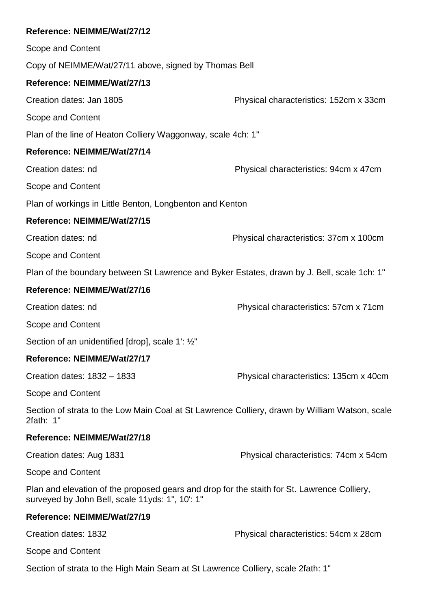| Reference: NEIMME/Wat/27/12                                                                                                                    |                                        |
|------------------------------------------------------------------------------------------------------------------------------------------------|----------------------------------------|
| Scope and Content                                                                                                                              |                                        |
| Copy of NEIMME/Wat/27/11 above, signed by Thomas Bell                                                                                          |                                        |
| Reference: NEIMME/Wat/27/13                                                                                                                    |                                        |
| Creation dates: Jan 1805                                                                                                                       | Physical characteristics: 152cm x 33cm |
| Scope and Content                                                                                                                              |                                        |
| Plan of the line of Heaton Colliery Waggonway, scale 4ch: 1"                                                                                   |                                        |
| Reference: NEIMME/Wat/27/14                                                                                                                    |                                        |
| Creation dates: nd                                                                                                                             | Physical characteristics: 94cm x 47cm  |
| Scope and Content                                                                                                                              |                                        |
| Plan of workings in Little Benton, Longbenton and Kenton                                                                                       |                                        |
| Reference: NEIMME/Wat/27/15                                                                                                                    |                                        |
| Creation dates: nd                                                                                                                             | Physical characteristics: 37cm x 100cm |
| Scope and Content                                                                                                                              |                                        |
| Plan of the boundary between St Lawrence and Byker Estates, drawn by J. Bell, scale 1ch: 1"                                                    |                                        |
| Reference: NEIMME/Wat/27/16                                                                                                                    |                                        |
| Creation dates: nd                                                                                                                             | Physical characteristics: 57cm x 71cm  |
| Scope and Content                                                                                                                              |                                        |
| Section of an unidentified [drop], scale 1': 1/2"                                                                                              |                                        |
| Reference: NEIMME/Wat/27/17                                                                                                                    |                                        |
| Creation dates: 1832 - 1833                                                                                                                    | Physical characteristics: 135cm x 40cm |
| Scope and Content                                                                                                                              |                                        |
| Section of strata to the Low Main Coal at St Lawrence Colliery, drawn by William Watson, scale<br>2fath: 1"                                    |                                        |
| Reference: NEIMME/Wat/27/18                                                                                                                    |                                        |
| Creation dates: Aug 1831                                                                                                                       | Physical characteristics: 74cm x 54cm  |
| Scope and Content                                                                                                                              |                                        |
| Plan and elevation of the proposed gears and drop for the staith for St. Lawrence Colliery,<br>surveyed by John Bell, scale 11yds: 1", 10': 1" |                                        |
| Reference: NEIMME/Wat/27/19                                                                                                                    |                                        |
| Creation dates: 1832                                                                                                                           | Physical characteristics: 54cm x 28cm  |
| Scope and Content                                                                                                                              |                                        |
| Section of strata to the High Main Seam at St Lawrence Colliery, scale 2fath: 1"                                                               |                                        |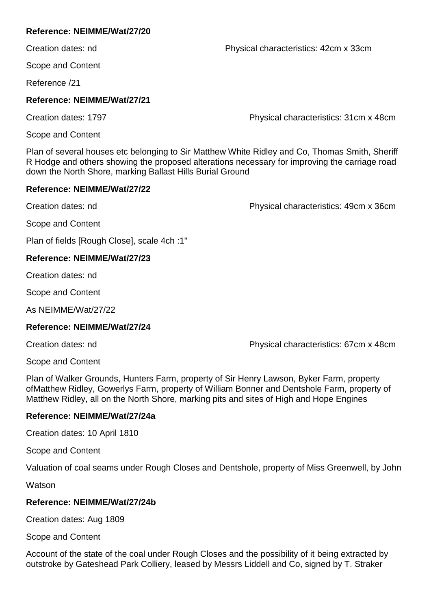Creation dates: nd Physical characteristics: 42cm x 33cm

Scope and Content

Reference /21

# **Reference: NEIMME/Wat/27/21**

Creation dates: 1797 Creation dates: 1797

Scope and Content

Plan of several houses etc belonging to Sir Matthew White Ridley and Co, Thomas Smith, Sheriff R Hodge and others showing the proposed alterations necessary for improving the carriage road down the North Shore, marking Ballast Hills Burial Ground

# **Reference: NEIMME/Wat/27/22**

Creation dates: nd Physical characteristics: 49cm x 36cm

Scope and Content

Plan of fields [Rough Close], scale 4ch :1"

# **Reference: NEIMME/Wat/27/23**

Creation dates: nd

Scope and Content

As NEIMME/Wat/27/22

# **Reference: NEIMME/Wat/27/24**

Creation dates: nd Physical characteristics: 67cm x 48cm

Scope and Content

Plan of Walker Grounds, Hunters Farm, property of Sir Henry Lawson, Byker Farm, property ofMatthew Ridley, Gowerlys Farm, property of William Bonner and Dentshole Farm, property of Matthew Ridley, all on the North Shore, marking pits and sites of High and Hope Engines

# **Reference: NEIMME/Wat/27/24a**

Creation dates: 10 April 1810

Scope and Content

Valuation of coal seams under Rough Closes and Dentshole, property of Miss Greenwell, by John

Watson

# **Reference: NEIMME/Wat/27/24b**

Creation dates: Aug 1809

Scope and Content

Account of the state of the coal under Rough Closes and the possibility of it being extracted by outstroke by Gateshead Park Colliery, leased by Messrs Liddell and Co, signed by T. Straker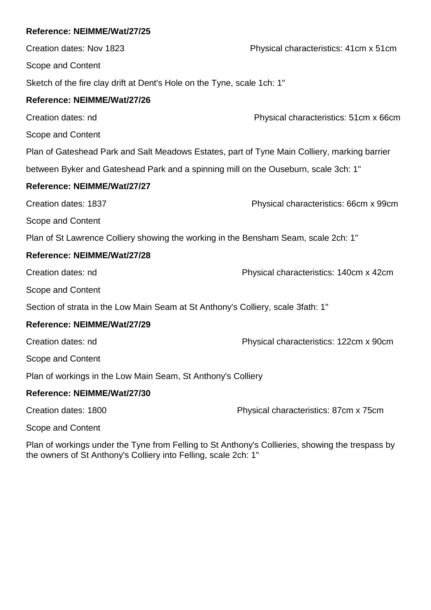Creation dates: Nov 1823 Physical characteristics: 41cm x 51cm Scope and Content Sketch of the fire clay drift at Dent's Hole on the Tyne, scale 1ch: 1" **Reference: NEIMME/Wat/27/26** Creation dates: nd Physical characteristics: 51cm x 66cm Scope and Content Plan of Gateshead Park and Salt Meadows Estates, part of Tyne Main Colliery, marking barrier between Byker and Gateshead Park and a spinning mill on the Ouseburn, scale 3ch: 1" **Reference: NEIMME/Wat/27/27** Creation dates: 1837 Physical characteristics: 66cm x 99cm Scope and Content Plan of St Lawrence Colliery showing the working in the Bensham Seam, scale 2ch: 1" **Reference: NEIMME/Wat/27/28** Creation dates: nd Physical characteristics: 140cm x 42cm Scope and Content Section of strata in the Low Main Seam at St Anthony's Colliery, scale 3fath: 1" **Reference: NEIMME/Wat/27/29** Creation dates: nd Physical characteristics: 122cm x 90cm Scope and Content Plan of workings in the Low Main Seam, St Anthony's Colliery **Reference: NEIMME/Wat/27/30** Creation dates: 1800 Physical characteristics: 87cm x 75cm Scope and Content

Plan of workings under the Tyne from Felling to St Anthony's Collieries, showing the trespass by the owners of St Anthony's Colliery into Felling, scale 2ch: 1"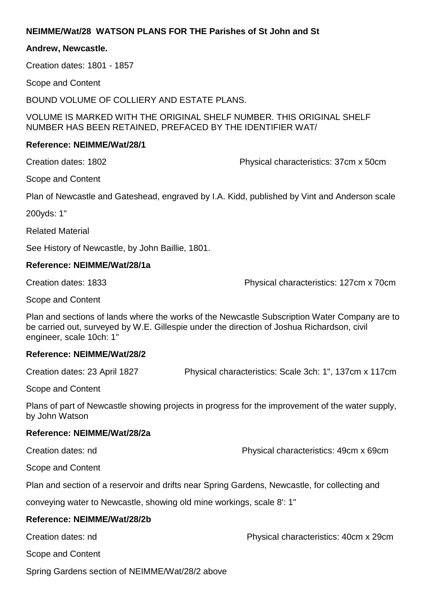# **NEIMME/Wat/28 WATSON PLANS FOR THE Parishes of St John and St**

### **Andrew, Newcastle.**

Creation dates: 1801 - 1857

Scope and Content

BOUND VOLUME OF COLLIERY AND ESTATE PLANS.

VOLUME IS MARKED WITH THE ORIGINAL SHELF NUMBER. THIS ORIGINAL SHELF NUMBER HAS BEEN RETAINED, PREFACED BY THE IDENTIFIER WAT/

## **Reference: NEIMME/Wat/28/1**

Creation dates: 1802 Physical characteristics: 37cm x 50cm

Scope and Content

Plan of Newcastle and Gateshead, engraved by I.A. Kidd, published by Vint and Anderson scale

200yds: 1"

Related Material

See History of Newcastle, by John Baillie, 1801.

## **Reference: NEIMME/Wat/28/1a**

Creation dates: 1833 Physical characteristics: 127cm x 70cm

Scope and Content

Plan and sections of lands where the works of the Newcastle Subscription Water Company are to be carried out, surveyed by W.E. Gillespie under the direction of Joshua Richardson, civil engineer, scale 10ch: 1"

# **Reference: NEIMME/Wat/28/2**

Creation dates: 23 April 1827 Physical characteristics: Scale 3ch: 1", 137cm x 117cm

Scope and Content

Plans of part of Newcastle showing projects in progress for the improvement of the water supply, by John Watson

#### **Reference: NEIMME/Wat/28/2a**

Creation dates: nd Physical characteristics: 49cm x 69cm

Scope and Content

Plan and section of a reservoir and drifts near Spring Gardens, Newcastle, for collecting and

conveying water to Newcastle, showing old mine workings, scale 8': 1"

# **Reference: NEIMME/Wat/28/2b**

Creation dates: nd Physical characteristics: 40cm x 29cm

Scope and Content

Spring Gardens section of NEIMME/Wat/28/2 above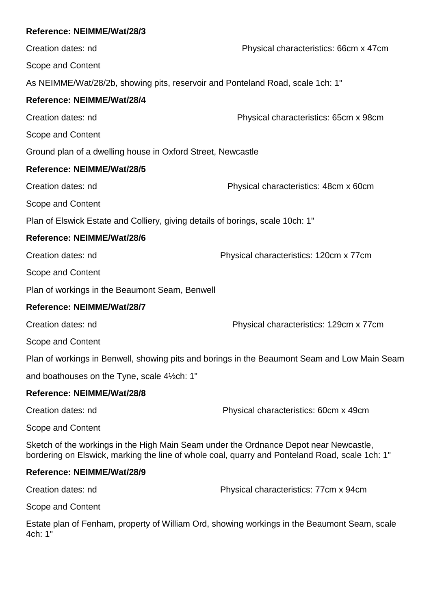| Reference: NEIMME/Wat/28/3                                                            |                                                                                                |
|---------------------------------------------------------------------------------------|------------------------------------------------------------------------------------------------|
| Creation dates: nd                                                                    | Physical characteristics: 66cm x 47cm                                                          |
| Scope and Content                                                                     |                                                                                                |
| As NEIMME/Wat/28/2b, showing pits, reservoir and Ponteland Road, scale 1ch: 1"        |                                                                                                |
| Reference: NEIMME/Wat/28/4                                                            |                                                                                                |
| Creation dates: nd                                                                    | Physical characteristics: 65cm x 98cm                                                          |
| Scope and Content                                                                     |                                                                                                |
| Ground plan of a dwelling house in Oxford Street, Newcastle                           |                                                                                                |
| Reference: NEIMME/Wat/28/5                                                            |                                                                                                |
| Creation dates: nd                                                                    | Physical characteristics: 48cm x 60cm                                                          |
| Scope and Content                                                                     |                                                                                                |
| Plan of Elswick Estate and Colliery, giving details of borings, scale 10ch: 1"        |                                                                                                |
| Reference: NEIMME/Wat/28/6                                                            |                                                                                                |
| Creation dates: nd                                                                    | Physical characteristics: 120cm x 77cm                                                         |
| Scope and Content                                                                     |                                                                                                |
| Plan of workings in the Beaumont Seam, Benwell                                        |                                                                                                |
| Reference: NEIMME/Wat/28/7                                                            |                                                                                                |
| Creation dates: nd                                                                    | Physical characteristics: 129cm x 77cm                                                         |
| Scope and Content                                                                     |                                                                                                |
|                                                                                       | Plan of workings in Benwell, showing pits and borings in the Beaumont Seam and Low Main Seam   |
| and boathouses on the Tyne, scale 41/2ch: 1"                                          |                                                                                                |
| Reference: NEIMME/Wat/28/8                                                            |                                                                                                |
| Creation dates: nd                                                                    | Physical characteristics: 60cm x 49cm                                                          |
| Scope and Content                                                                     |                                                                                                |
| Sketch of the workings in the High Main Seam under the Ordnance Depot near Newcastle, | bordering on Elswick, marking the line of whole coal, quarry and Ponteland Road, scale 1ch: 1" |

Creation dates: nd Physical characteristics: 77cm x 94cm

Scope and Content

Estate plan of Fenham, property of William Ord, showing workings in the Beaumont Seam, scale 4ch: 1"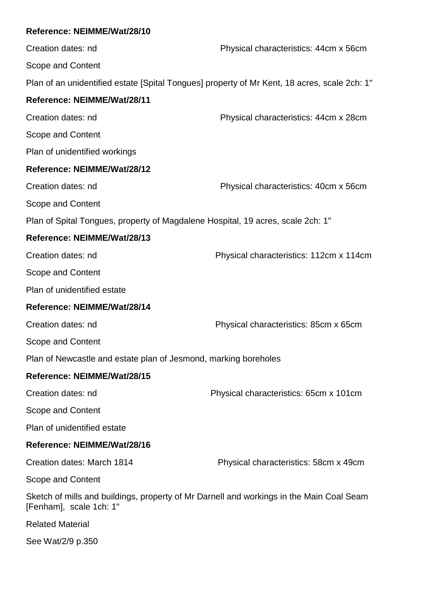Creation dates: nd Physical characteristics: 44cm x 56cm Scope and Content Plan of an unidentified estate [Spital Tongues] property of Mr Kent, 18 acres, scale 2ch: 1" **Reference: NEIMME/Wat/28/11** Creation dates: nd Physical characteristics: 44cm x 28cm Scope and Content Plan of unidentified workings **Reference: NEIMME/Wat/28/12** Creation dates: nd Physical characteristics: 40cm x 56cm Scope and Content Plan of Spital Tongues, property of Magdalene Hospital, 19 acres, scale 2ch: 1" **Reference: NEIMME/Wat/28/13** Creation dates: nd Physical characteristics: 112cm x 114cm Scope and Content Plan of unidentified estate **Reference: NEIMME/Wat/28/14** Creation dates: nd Physical characteristics: 85cm x 65cm Scope and Content Plan of Newcastle and estate plan of Jesmond, marking boreholes **Reference: NEIMME/Wat/28/15** Creation dates: nd Physical characteristics: 65cm x 101cm Scope and Content Plan of unidentified estate **Reference: NEIMME/Wat/28/16** Creation dates: March 1814 Physical characteristics: 58cm x 49cm Scope and Content Sketch of mills and buildings, property of Mr Darnell and workings in the Main Coal Seam [Fenham], scale 1ch: 1" Related Material See Wat/2/9 p.350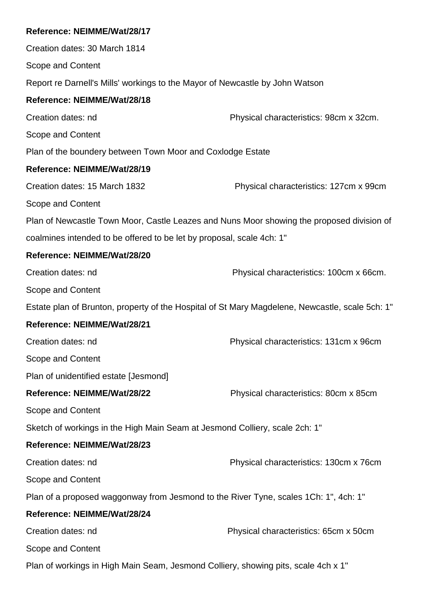Creation dates: 30 March 1814 Scope and Content Report re Darnell's Mills' workings to the Mayor of Newcastle by John Watson **Reference: NEIMME/Wat/28/18** Creation dates: nd Physical characteristics: 98cm x 32cm. Scope and Content Plan of the boundery between Town Moor and Coxlodge Estate **Reference: NEIMME/Wat/28/19** Creation dates: 15 March 1832 Physical characteristics: 127cm x 99cm Scope and Content Plan of Newcastle Town Moor, Castle Leazes and Nuns Moor showing the proposed division of coalmines intended to be offered to be let by proposal, scale 4ch: 1" **Reference: NEIMME/Wat/28/20** Creation dates: nd Physical characteristics: 100cm x 66cm. Scope and Content Estate plan of Brunton, property of the Hospital of St Mary Magdelene, Newcastle, scale 5ch: 1" **Reference: NEIMME/Wat/28/21** Creation dates: nd Physical characteristics: 131cm x 96cm Scope and Content Plan of unidentified estate [Jesmond] **Reference: NEIMME/Wat/28/22** Physical characteristics: 80cm x 85cm Scope and Content Sketch of workings in the High Main Seam at Jesmond Colliery, scale 2ch: 1" **Reference: NEIMME/Wat/28/23** Creation dates: nd Physical characteristics: 130cm x 76cm Scope and Content Plan of a proposed waggonway from Jesmond to the River Tyne, scales 1Ch: 1", 4ch: 1" **Reference: NEIMME/Wat/28/24** Creation dates: nd Physical characteristics: 65cm x 50cm Scope and Content Plan of workings in High Main Seam, Jesmond Colliery, showing pits, scale 4ch x 1"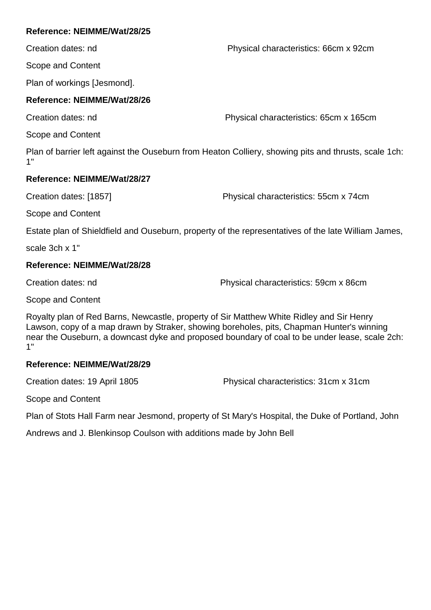Creation dates: nd Physical characteristics: 66cm x 92cm

Scope and Content

Plan of workings [Jesmond].

# **Reference: NEIMME/Wat/28/26**

Creation dates: nd Physical characteristics: 65cm x 165cm

Scope and Content

Plan of barrier left against the Ouseburn from Heaton Colliery, showing pits and thrusts, scale 1ch: 1"

# **Reference: NEIMME/Wat/28/27**

Creation dates: [1857] Physical characteristics: 55cm x 74cm

Scope and Content

Estate plan of Shieldfield and Ouseburn, property of the representatives of the late William James,

scale 3ch x 1"

# **Reference: NEIMME/Wat/28/28**

Creation dates: nd Physical characteristics: 59cm x 86cm

Scope and Content

Royalty plan of Red Barns, Newcastle, property of Sir Matthew White Ridley and Sir Henry Lawson, copy of a map drawn by Straker, showing boreholes, pits, Chapman Hunter's winning near the Ouseburn, a downcast dyke and proposed boundary of coal to be under lease, scale 2ch: 1"

# **Reference: NEIMME/Wat/28/29**

Creation dates: 19 April 1805 Physical characteristics: 31cm x 31cm

Scope and Content

Plan of Stots Hall Farm near Jesmond, property of St Mary's Hospital, the Duke of Portland, John

Andrews and J. Blenkinsop Coulson with additions made by John Bell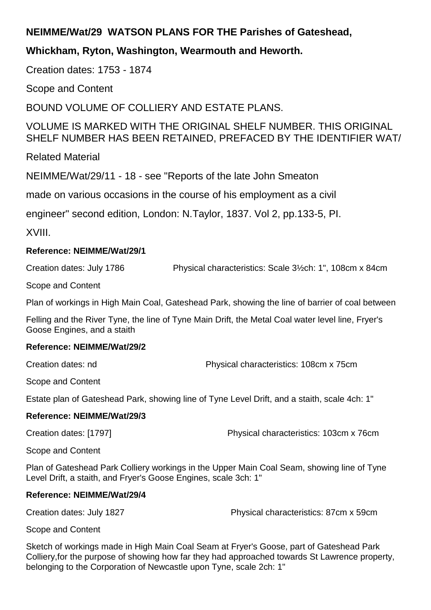# **NEIMME/Wat/29 WATSON PLANS FOR THE Parishes of Gateshead,**

# **Whickham, Ryton, Washington, Wearmouth and Heworth.**

Creation dates: 1753 - 1874

Scope and Content

BOUND VOLUME OF COLLIERY AND ESTATE PLANS.

VOLUME IS MARKED WITH THE ORIGINAL SHELF NUMBER. THIS ORIGINAL SHELF NUMBER HAS BEEN RETAINED, PREFACED BY THE IDENTIFIER WAT/

Related Material

NEIMME/Wat/29/11 - 18 - see "Reports of the late John Smeaton

made on various occasions in the course of his employment as a civil

engineer" second edition, London: N.Taylor, 1837. Vol 2, pp.133-5, PI.

XVIII.

# **Reference: NEIMME/Wat/29/1**

Creation dates: July 1786 Physical characteristics: Scale 3½ch: 1", 108cm x 84cm

Scope and Content

Plan of workings in High Main Coal, Gateshead Park, showing the line of barrier of coal between

Felling and the River Tyne, the line of Tyne Main Drift, the Metal Coal water level line, Fryer's Goose Engines, and a staith

# **Reference: NEIMME/Wat/29/2**

Creation dates: nd Physical characteristics: 108cm x 75cm

Scope and Content

Estate plan of Gateshead Park, showing line of Tyne Level Drift, and a staith, scale 4ch: 1"

# **Reference: NEIMME/Wat/29/3**

Creation dates: [1797] Physical characteristics: 103cm x 76cm

Scope and Content

Plan of Gateshead Park Colliery workings in the Upper Main Coal Seam, showing line of Tyne Level Drift, a staith, and Fryer's Goose Engines, scale 3ch: 1"

# **Reference: NEIMME/Wat/29/4**

Creation dates: July 1827 Physical characteristics: 87cm x 59cm

Scope and Content

Sketch of workings made in High Main Coal Seam at Fryer's Goose, part of Gateshead Park Colliery,for the purpose of showing how far they had approached towards St Lawrence property, belonging to the Corporation of Newcastle upon Tyne, scale 2ch: 1"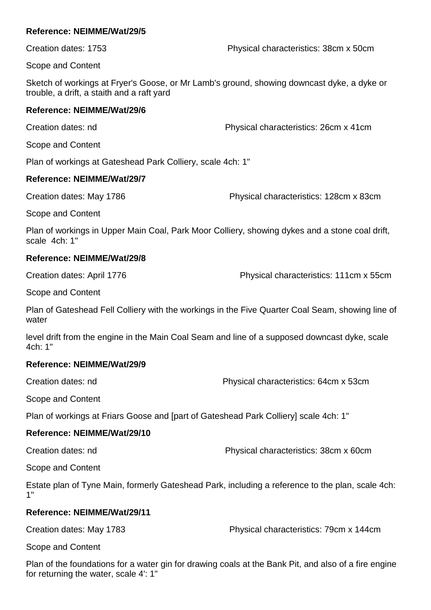Creation dates: 1753 Physical characteristics: 38cm x 50cm

Scope and Content

Sketch of workings at Fryer's Goose, or Mr Lamb's ground, showing downcast dyke, a dyke or trouble, a drift, a staith and a raft yard

# **Reference: NEIMME/Wat/29/6**

Creation dates: nd Physical characteristics: 26cm x 41cm

Scope and Content

Plan of workings at Gateshead Park Colliery, scale 4ch: 1"

# **Reference: NEIMME/Wat/29/7**

Creation dates: May 1786 Physical characteristics: 128cm x 83cm

Scope and Content

Plan of workings in Upper Main Coal, Park Moor Colliery, showing dykes and a stone coal drift, scale 4ch: 1"

# **Reference: NEIMME/Wat/29/8**

Creation dates: April 1776 Physical characteristics: 111cm x 55cm

Scope and Content

Plan of Gateshead Fell Colliery with the workings in the Five Quarter Coal Seam, showing line of water

level drift from the engine in the Main Coal Seam and line of a supposed downcast dyke, scale 4ch: 1"

# **Reference: NEIMME/Wat/29/9**

Creation dates: nd Physical characteristics: 64cm x 53cm

Scope and Content

Plan of workings at Friars Goose and [part of Gateshead Park Colliery] scale 4ch: 1"

# **Reference: NEIMME/Wat/29/10**

Creation dates: nd Physical characteristics: 38cm x 60cm

Scope and Content

Estate plan of Tyne Main, formerly Gateshead Park, including a reference to the plan, scale 4ch: 1"

# **Reference: NEIMME/Wat/29/11**

Creation dates: May 1783 Physical characteristics: 79cm x 144cm

Scope and Content

Plan of the foundations for a water gin for drawing coals at the Bank Pit, and also of a fire engine for returning the water, scale 4': 1"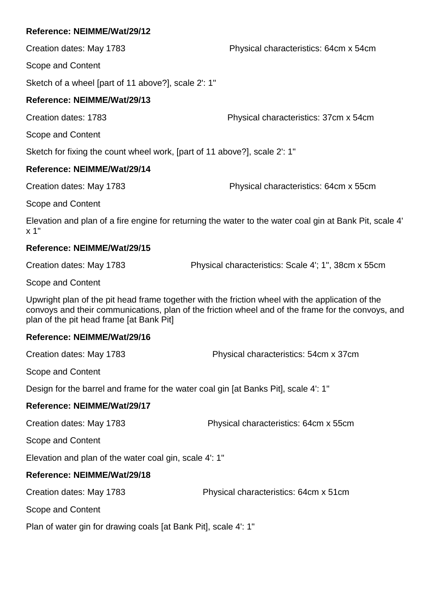Creation dates: May 1783 Physical characteristics: 64cm x 54cm

Scope and Content

Sketch of a wheel [part of 11 above?], scale 2': 1"

# **Reference: NEIMME/Wat/29/13**

Creation dates: 1783 Physical characteristics: 37cm x 54cm

Scope and Content

Sketch for fixing the count wheel work, [part of 11 above?], scale 2': 1"

# **Reference: NEIMME/Wat/29/14**

Creation dates: May 1783 Physical characteristics: 64cm x 55cm

Scope and Content

Elevation and plan of a fire engine for returning the water to the water coal gin at Bank Pit, scale 4' x 1"

# **Reference: NEIMME/Wat/29/15**

Creation dates: May 1783 Physical characteristics: Scale 4'; 1", 38cm x 55cm

Scope and Content

Upwright plan of the pit head frame together with the friction wheel with the application of the convoys and their communications, plan of the friction wheel and of the frame for the convoys, and plan of the pit head frame [at Bank Pit]

# **Reference: NEIMME/Wat/29/16**

Creation dates: May 1783 Physical characteristics: 54cm x 37cm

Scope and Content

Design for the barrel and frame for the water coal gin [at Banks Pit], scale 4': 1"

# **Reference: NEIMME/Wat/29/17**

Creation dates: May 1783 Physical characteristics: 64cm x 55cm

Scope and Content

Elevation and plan of the water coal gin, scale 4': 1"

# **Reference: NEIMME/Wat/29/18**

Creation dates: May 1783 Physical characteristics: 64cm x 51cm

Scope and Content

Plan of water gin for drawing coals [at Bank Pit], scale 4': 1"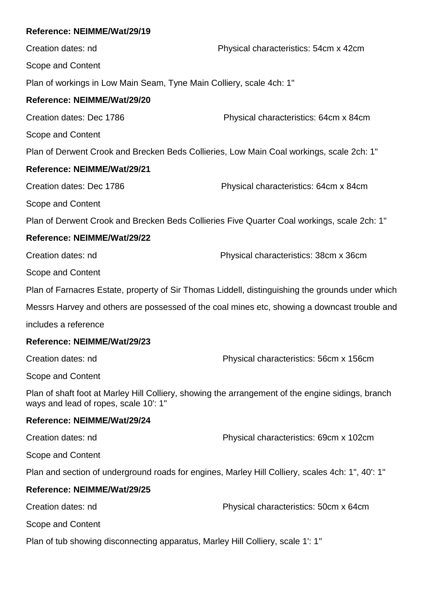Creation dates: nd Physical characteristics: 54cm x 42cm Scope and Content Plan of workings in Low Main Seam, Tyne Main Colliery, scale 4ch: 1" **Reference: NEIMME/Wat/29/20** Creation dates: Dec 1786 Physical characteristics: 64cm x 84cm Scope and Content Plan of Derwent Crook and Brecken Beds Collieries, Low Main Coal workings, scale 2ch: 1" **Reference: NEIMME/Wat/29/21** Creation dates: Dec 1786 Physical characteristics: 64cm x 84cm Scope and Content Plan of Derwent Crook and Brecken Beds Collieries Five Quarter Coal workings, scale 2ch: 1" **Reference: NEIMME/Wat/29/22** Creation dates: nd Physical characteristics: 38cm x 36cm Scope and Content Plan of Farnacres Estate, property of Sir Thomas Liddell, distinguishing the grounds under which Messrs Harvey and others are possessed of the coal mines etc, showing a downcast trouble and includes a reference **Reference: NEIMME/Wat/29/23** Creation dates: nd Physical characteristics: 56cm x 156cm Scope and Content Plan of shaft foot at Marley Hill Colliery, showing the arrangement of the engine sidings, branch ways and lead of ropes, scale 10': 1" **Reference: NEIMME/Wat/29/24** Creation dates: nd Physical characteristics: 69cm x 102cm Scope and Content Plan and section of underground roads for engines, Marley Hill Colliery, scales 4ch: 1", 40': 1" **Reference: NEIMME/Wat/29/25** Creation dates: nd Physical characteristics: 50cm x 64cm Scope and Content Plan of tub showing disconnecting apparatus, Marley Hill Colliery, scale 1': 1"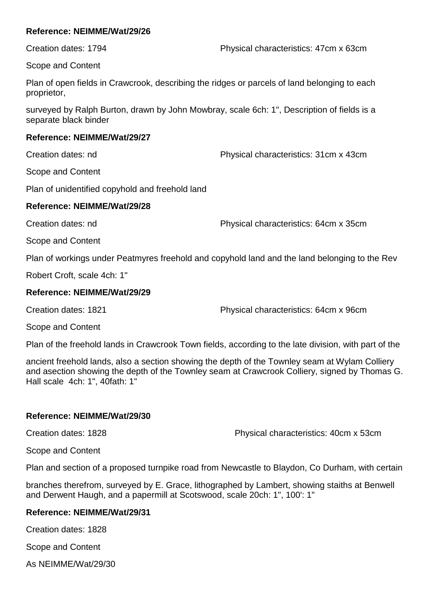Scope and Content

Plan of open fields in Crawcrook, describing the ridges or parcels of land belonging to each proprietor,

surveyed by Ralph Burton, drawn by John Mowbray, scale 6ch: 1", Description of fields is a separate black binder

## **Reference: NEIMME/Wat/29/27**

Creation dates: nd Physical characteristics: 31cm x 43cm

Scope and Content

Plan of unidentified copyhold and freehold land

# **Reference: NEIMME/Wat/29/28**

Creation dates: nd Physical characteristics: 64cm x 35cm

Scope and Content

Plan of workings under Peatmyres freehold and copyhold land and the land belonging to the Rev

Robert Croft, scale 4ch: 1"

# **Reference: NEIMME/Wat/29/29**

Creation dates: 1821 Physical characteristics: 64cm x 96cm

Scope and Content

Plan of the freehold lands in Crawcrook Town fields, according to the late division, with part of the

ancient freehold lands, also a section showing the depth of the Townley seam at Wylam Colliery and asection showing the depth of the Townley seam at Crawcrook Colliery, signed by Thomas G. Hall scale 4ch: 1", 40fath: 1"

# **Reference: NEIMME/Wat/29/30**

Creation dates: 1828 Physical characteristics: 40cm x 53cm

Scope and Content

Plan and section of a proposed turnpike road from Newcastle to Blaydon, Co Durham, with certain

branches therefrom, surveyed by E. Grace, lithographed by Lambert, showing staiths at Benwell and Derwent Haugh, and a papermill at Scotswood, scale 20ch: 1", 100': 1"

# **Reference: NEIMME/Wat/29/31**

Creation dates: 1828

Scope and Content

As NEIMME/Wat/29/30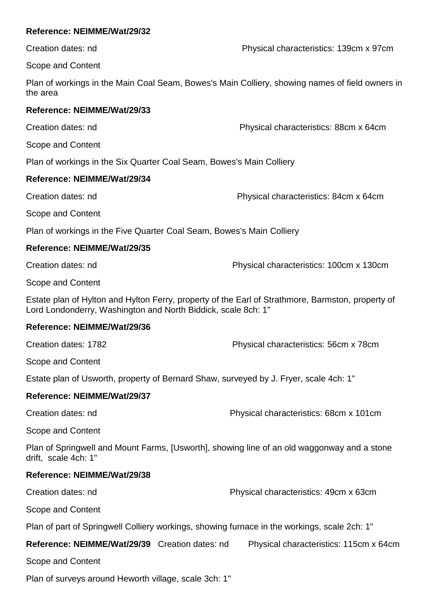Creation dates: nd Physical characteristics: 139cm x 97cm

Scope and Content

Plan of workings in the Main Coal Seam, Bowes's Main Colliery, showing names of field owners in the area

# **Reference: NEIMME/Wat/29/33**

Creation dates: nd Physical characteristics: 88cm x 64cm

Scope and Content

Plan of workings in the Six Quarter Coal Seam, Bowes's Main Colliery

# **Reference: NEIMME/Wat/29/34**

Creation dates: nd Physical characteristics: 84cm x 64cm

Scope and Content

Plan of workings in the Five Quarter Coal Seam, Bowes's Main Colliery

# **Reference: NEIMME/Wat/29/35**

Creation dates: nd Physical characteristics: 100cm x 130cm

Scope and Content

Estate plan of Hylton and Hylton Ferry, property of the Earl of Strathmore, Barmston, property of Lord Londonderry, Washington and North Biddick, scale 8ch: 1"

# **Reference: NEIMME/Wat/29/36**

Creation dates: 1782 Physical characteristics: 56cm x 78cm

Scope and Content

Estate plan of Usworth, property of Bernard Shaw, surveyed by J. Fryer, scale 4ch: 1"

# **Reference: NEIMME/Wat/29/37**

Creation dates: nd Physical characteristics: 68cm x 101cm

Scope and Content

Plan of Springwell and Mount Farms, [Usworth], showing line of an old waggonway and a stone drift, scale 4ch: 1"

# **Reference: NEIMME/Wat/29/38**

Creation dates: nd Physical characteristics: 49cm x 63cm

Scope and Content

Plan of part of Springwell Colliery workings, showing furnace in the workings, scale 2ch: 1"

**Reference: NEIMME/Wat/29/39** Creation dates: nd Physical characteristics: 115cm x 64cm

Scope and Content

Plan of surveys around Heworth village, scale 3ch: 1"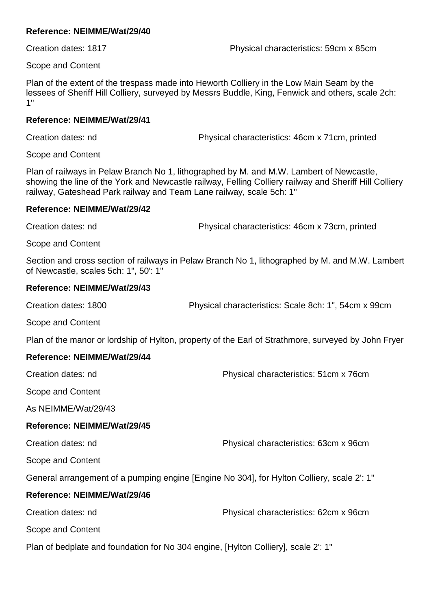Creation dates: 1817 Physical characteristics: 59cm x 85cm

Scope and Content

Plan of the extent of the trespass made into Heworth Colliery in the Low Main Seam by the lessees of Sheriff Hill Colliery, surveyed by Messrs Buddle, King, Fenwick and others, scale 2ch: 1"

## **Reference: NEIMME/Wat/29/41**

Creation dates: nd Physical characteristics: 46cm x 71cm, printed

Scope and Content

Plan of railways in Pelaw Branch No 1, lithographed by M. and M.W. Lambert of Newcastle, showing the line of the York and Newcastle railway, Felling Colliery railway and Sheriff Hill Colliery railway, Gateshead Park railway and Team Lane railway, scale 5ch: 1"

## **Reference: NEIMME/Wat/29/42**

Creation dates: nd Physical characteristics: 46cm x 73cm, printed

Scope and Content

Section and cross section of railways in Pelaw Branch No 1, lithographed by M. and M.W. Lambert of Newcastle, scales 5ch: 1", 50': 1"

# **Reference: NEIMME/Wat/29/43**

Creation dates: 1800 Physical characteristics: Scale 8ch: 1", 54cm x 99cm

Scope and Content

Plan of the manor or lordship of Hylton, property of the Earl of Strathmore, surveyed by John Fryer

# **Reference: NEIMME/Wat/29/44**

Creation dates: nd Physical characteristics: 51cm x 76cm

Scope and Content

As NEIMME/Wat/29/43

# **Reference: NEIMME/Wat/29/45**

Creation dates: nd Physical characteristics: 63cm x 96cm

Scope and Content

General arrangement of a pumping engine [Engine No 304], for Hylton Colliery, scale 2': 1"

# **Reference: NEIMME/Wat/29/46**

Creation dates: nd Physical characteristics: 62cm x 96cm

Scope and Content

Plan of bedplate and foundation for No 304 engine, [Hylton Colliery], scale 2': 1"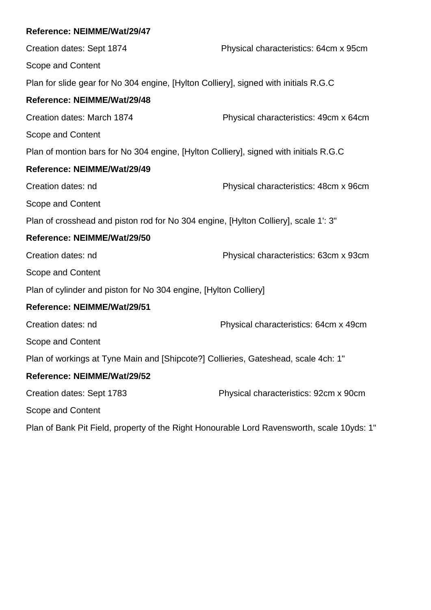Creation dates: Sept 1874 Physical characteristics: 64cm x 95cm Scope and Content Plan for slide gear for No 304 engine, [Hylton Colliery], signed with initials R.G.C **Reference: NEIMME/Wat/29/48** Creation dates: March 1874 Physical characteristics: 49cm x 64cm Scope and Content Plan of montion bars for No 304 engine, [Hylton Colliery], signed with initials R.G.C **Reference: NEIMME/Wat/29/49** Creation dates: nd Physical characteristics: 48cm x 96cm Scope and Content Plan of crosshead and piston rod for No 304 engine, [Hylton Colliery], scale 1': 3" **Reference: NEIMME/Wat/29/50** Creation dates: nd Physical characteristics: 63cm x 93cm Scope and Content Plan of cylinder and piston for No 304 engine, [Hylton Colliery] **Reference: NEIMME/Wat/29/51** Creation dates: nd Physical characteristics: 64cm x 49cm Scope and Content Plan of workings at Tyne Main and [Shipcote?] Collieries, Gateshead, scale 4ch: 1" **Reference: NEIMME/Wat/29/52** Creation dates: Sept 1783 Physical characteristics: 92cm x 90cm Scope and Content

Plan of Bank Pit Field, property of the Right Honourable Lord Ravensworth, scale 10yds: 1"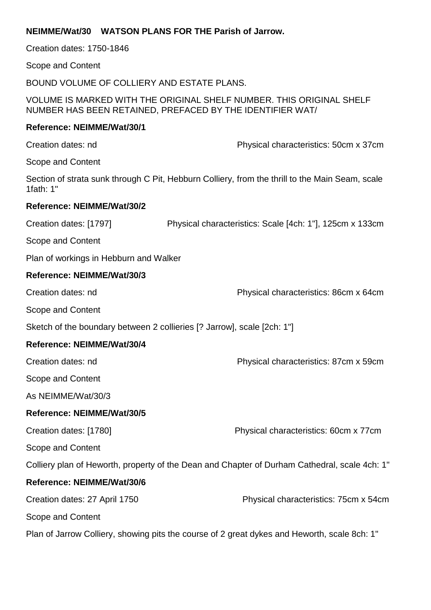|                                                                                                                                   |  | NEIMME/Wat/30 WATSON PLANS FOR THE Parish of Jarrow.                    |
|-----------------------------------------------------------------------------------------------------------------------------------|--|-------------------------------------------------------------------------|
| Creation dates: 1750-1846                                                                                                         |  |                                                                         |
| Scope and Content                                                                                                                 |  |                                                                         |
|                                                                                                                                   |  | BOUND VOLUME OF COLLIERY AND ESTATE PLANS.                              |
| VOLUME IS MARKED WITH THE ORIGINAL SHELF NUMBER. THIS ORIGINAL SHELF<br>NUMBER HAS BEEN RETAINED, PREFACED BY THE IDENTIFIER WAT/ |  |                                                                         |
| Reference: NEIMME/Wat/30/1                                                                                                        |  |                                                                         |
| Creation dates: nd                                                                                                                |  | Physical characteristics: 50cm x 37cm                                   |
| Scope and Content                                                                                                                 |  |                                                                         |
| Section of strata sunk through C Pit, Hebburn Colliery, from the thrill to the Main Seam, scale<br>1fath: $1"$                    |  |                                                                         |
| <b>Reference: NEIMME/Wat/30/2</b>                                                                                                 |  |                                                                         |
| Creation dates: [1797]                                                                                                            |  | Physical characteristics: Scale [4ch: 1"], 125cm x 133cm                |
| Scope and Content                                                                                                                 |  |                                                                         |
| Plan of workings in Hebburn and Walker                                                                                            |  |                                                                         |
| Reference: NEIMME/Wat/30/3                                                                                                        |  |                                                                         |
| Creation dates: nd                                                                                                                |  | Physical characteristics: 86cm x 64cm                                   |
| Scope and Content                                                                                                                 |  |                                                                         |
|                                                                                                                                   |  | Sketch of the boundary between 2 collieries [? Jarrow], scale [2ch: 1"] |
| Reference: NEIMME/Wat/30/4                                                                                                        |  |                                                                         |
| Creation dates: nd                                                                                                                |  | Physical characteristics: 87cm x 59cm                                   |
| Scope and Content                                                                                                                 |  |                                                                         |
| As NEIMME/Wat/30/3                                                                                                                |  |                                                                         |
| Reference: NEIMME/Wat/30/5                                                                                                        |  |                                                                         |
| Creation dates: [1780]                                                                                                            |  | Physical characteristics: 60cm x 77cm                                   |
| Scope and Content                                                                                                                 |  |                                                                         |
| Colliery plan of Heworth, property of the Dean and Chapter of Durham Cathedral, scale 4ch: 1"                                     |  |                                                                         |
| Reference: NEIMME/Wat/30/6                                                                                                        |  |                                                                         |
| Creation dates: 27 April 1750                                                                                                     |  | Physical characteristics: 75cm x 54cm                                   |
| Scope and Content                                                                                                                 |  |                                                                         |
| Plan of Jarrow Colliery, showing pits the course of 2 great dykes and Heworth, scale 8ch: 1"                                      |  |                                                                         |
|                                                                                                                                   |  |                                                                         |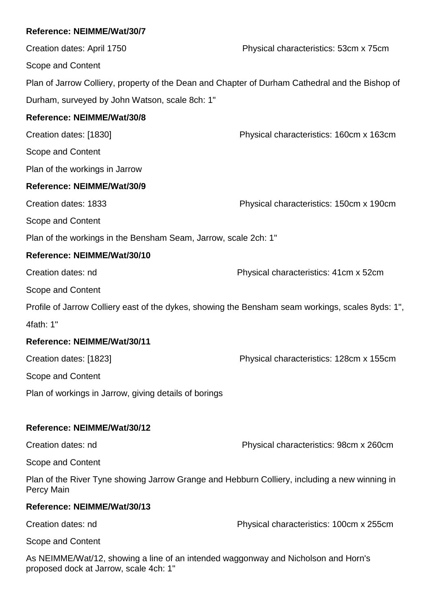Creation dates: April 1750 Physical characteristics: 53cm x 75cm Scope and Content Plan of Jarrow Colliery, property of the Dean and Chapter of Durham Cathedral and the Bishop of Durham, surveyed by John Watson, scale 8ch: 1" **Reference: NEIMME/Wat/30/8** Creation dates: [1830] Physical characteristics: 160cm x 163cm Scope and Content Plan of the workings in Jarrow **Reference: NEIMME/Wat/30/9** Creation dates: 1833 Physical characteristics: 150cm x 190cm Scope and Content Plan of the workings in the Bensham Seam, Jarrow, scale 2ch: 1" **Reference: NEIMME/Wat/30/10** Creation dates: nd Physical characteristics: 41cm x 52cm Scope and Content Profile of Jarrow Colliery east of the dykes, showing the Bensham seam workings, scales 8yds: 1", 4fath: 1" **Reference: NEIMME/Wat/30/11** Creation dates: [1823] Physical characteristics: 128cm x 155cm Scope and Content Plan of workings in Jarrow, giving details of borings **Reference: NEIMME/Wat/30/12** Creation dates: nd Physical characteristics: 98cm x 260cm Scope and Content Plan of the River Tyne showing Jarrow Grange and Hebburn Colliery, including a new winning in Percy Main

# **Reference: NEIMME/Wat/30/13**

Creation dates: nd Physical characteristics: 100cm x 255cm

Scope and Content

As NEIMME/Wat/12, showing a line of an intended waggonway and Nicholson and Horn's proposed dock at Jarrow, scale 4ch: 1"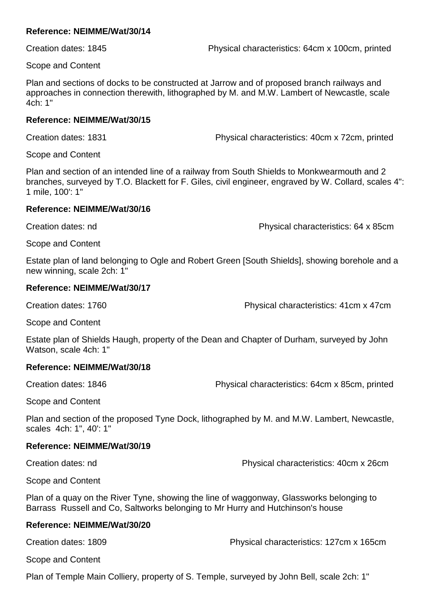Creation dates: 1845 Physical characteristics: 64cm x 100cm, printed

Scope and Content

Plan and sections of docks to be constructed at Jarrow and of proposed branch railways and approaches in connection therewith, lithographed by M. and M.W. Lambert of Newcastle, scale 4ch: 1"

## **Reference: NEIMME/Wat/30/15**

Creation dates: 1831 Physical characteristics: 40cm x 72cm, printed

Scope and Content

Plan and section of an intended line of a railway from South Shields to Monkwearmouth and 2 branches, surveyed by T.O. Blackett for F. Giles, civil engineer, engraved by W. Collard, scales 4": 1 mile, 100': 1"

# **Reference: NEIMME/Wat/30/16**

Creation dates: nd Physical characteristics: 64 x 85cm

Scope and Content

Estate plan of land belonging to Ogle and Robert Green [South Shields], showing borehole and a new winning, scale 2ch: 1"

# **Reference: NEIMME/Wat/30/17**

Creation dates: 1760 Creation dates: 1760

Scope and Content

Estate plan of Shields Haugh, property of the Dean and Chapter of Durham, surveyed by John Watson, scale 4ch: 1"

# **Reference: NEIMME/Wat/30/18**

Creation dates: 1846 Physical characteristics: 64cm x 85cm, printed

Scope and Content

Plan and section of the proposed Tyne Dock, lithographed by M. and M.W. Lambert, Newcastle, scales 4ch: 1", 40': 1"

# **Reference: NEIMME/Wat/30/19**

Creation dates: nd Physical characteristics: 40cm x 26cm

Scope and Content

Plan of a quay on the River Tyne, showing the line of waggonway, Glassworks belonging to Barrass Russell and Co, Saltworks belonging to Mr Hurry and Hutchinson's house

# **Reference: NEIMME/Wat/30/20**

Creation dates: 1809 Physical characteristics: 127cm x 165cm

Scope and Content

Plan of Temple Main Colliery, property of S. Temple, surveyed by John Bell, scale 2ch: 1"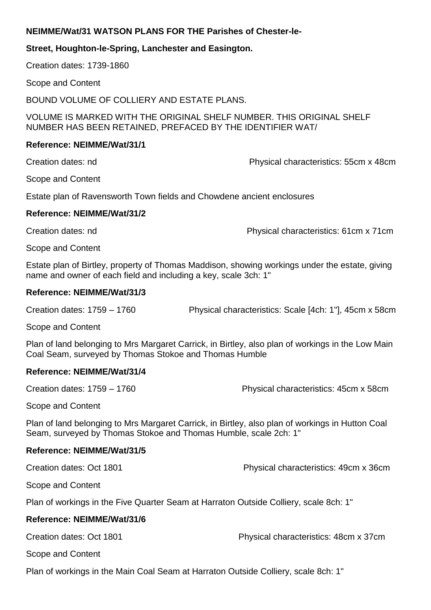# **NEIMME/Wat/31 WATSON PLANS FOR THE Parishes of Chester-le-**

# **Street, Houghton-le-Spring, Lanchester and Easington.**

Creation dates: 1739-1860

Scope and Content

BOUND VOLUME OF COLLIERY AND ESTATE PLANS.

VOLUME IS MARKED WITH THE ORIGINAL SHELF NUMBER. THIS ORIGINAL SHELF NUMBER HAS BEEN RETAINED, PREFACED BY THE IDENTIFIER WAT/

## **Reference: NEIMME/Wat/31/1**

Creation dates: nd Physical characteristics: 55cm x 48cm

Scope and Content

Estate plan of Ravensworth Town fields and Chowdene ancient enclosures

## **Reference: NEIMME/Wat/31/2**

Creation dates: nd Physical characteristics: 61cm x 71cm

Scope and Content

Estate plan of Birtley, property of Thomas Maddison, showing workings under the estate, giving name and owner of each field and including a key, scale 3ch: 1"

## **Reference: NEIMME/Wat/31/3**

Creation dates: 1759 – 1760 Physical characteristics: Scale [4ch: 1"], 45cm x 58cm

Scope and Content

Plan of land belonging to Mrs Margaret Carrick, in Birtley, also plan of workings in the Low Main Coal Seam, surveyed by Thomas Stokoe and Thomas Humble

# **Reference: NEIMME/Wat/31/4**

Creation dates: 1759 – 1760 Physical characteristics: 45cm x 58cm

Scope and Content

Plan of land belonging to Mrs Margaret Carrick, in Birtley, also plan of workings in Hutton Coal Seam, surveyed by Thomas Stokoe and Thomas Humble, scale 2ch: 1"

# **Reference: NEIMME/Wat/31/5**

Creation dates: Oct 1801 Physical characteristics: 49cm x 36cm

Scope and Content

Plan of workings in the Five Quarter Seam at Harraton Outside Colliery, scale 8ch: 1"

# **Reference: NEIMME/Wat/31/6**

Creation dates: Oct 1801 Physical characteristics: 48cm x 37cm

Scope and Content

Plan of workings in the Main Coal Seam at Harraton Outside Colliery, scale 8ch: 1"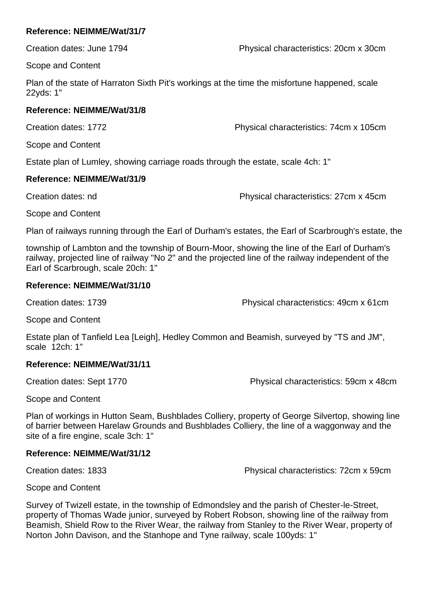Creation dates: June 1794 Physical characteristics: 20cm x 30cm

Scope and Content

Plan of the state of Harraton Sixth Pit's workings at the time the misfortune happened, scale 22yds: 1"

# **Reference: NEIMME/Wat/31/8**

Creation dates: 1772 Physical characteristics: 74cm x 105cm

Scope and Content

Estate plan of Lumley, showing carriage roads through the estate, scale 4ch: 1"

# **Reference: NEIMME/Wat/31/9**

Creation dates: nd Physical characteristics: 27cm x 45cm

Scope and Content

Plan of railways running through the Earl of Durham's estates, the Earl of Scarbrough's estate, the

township of Lambton and the township of Bourn-Moor, showing the line of the Earl of Durham's railway, projected line of railway "No 2" and the projected line of the railway independent of the Earl of Scarbrough, scale 20ch: 1"

# **Reference: NEIMME/Wat/31/10**

Creation dates: 1739 Physical characteristics: 49cm x 61cm

Scope and Content

Estate plan of Tanfield Lea [Leigh], Hedley Common and Beamish, surveyed by "TS and JM", scale 12ch: 1"

# **Reference: NEIMME/Wat/31/11**

Creation dates: Sept 1770 Physical characteristics: 59cm x 48cm

Scope and Content

Plan of workings in Hutton Seam, Bushblades Colliery, property of George Silvertop, showing line of barrier between Harelaw Grounds and Bushblades Colliery, the line of a waggonway and the site of a fire engine, scale 3ch: 1"

# **Reference: NEIMME/Wat/31/12**

Creation dates: 1833 Physical characteristics: 72cm x 59cm

Scope and Content

Survey of Twizell estate, in the township of Edmondsley and the parish of Chester-le-Street, property of Thomas Wade junior, surveyed by Robert Robson, showing line of the railway from Beamish, Shield Row to the River Wear, the railway from Stanley to the River Wear, property of Norton John Davison, and the Stanhope and Tyne railway, scale 100yds: 1"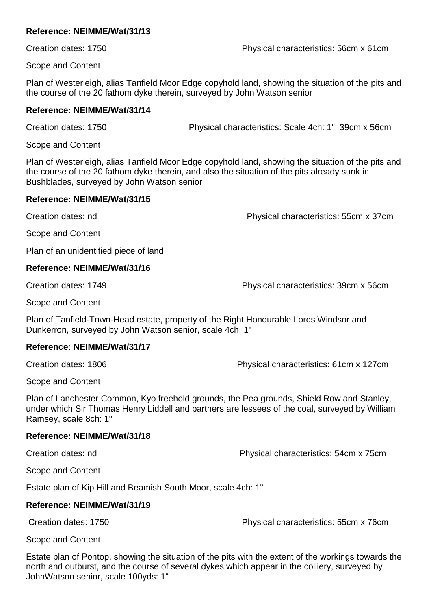Creation dates: 1750 Physical characteristics: 56cm x 61cm

Scope and Content

Plan of Westerleigh, alias Tanfield Moor Edge copyhold land, showing the situation of the pits and the course of the 20 fathom dyke therein, surveyed by John Watson senior

## **Reference: NEIMME/Wat/31/14**

Creation dates: 1750 Physical characteristics: Scale 4ch: 1", 39cm x 56cm

Scope and Content

Plan of Westerleigh, alias Tanfield Moor Edge copyhold land, showing the situation of the pits and the course of the 20 fathom dyke therein, and also the situation of the pits already sunk in Bushblades, surveyed by John Watson senior

## **Reference: NEIMME/Wat/31/15**

Creation dates: nd Physical characteristics: 55cm x 37cm

Scope and Content

Plan of an unidentified piece of land

# **Reference: NEIMME/Wat/31/16**

Creation dates: 1749 Physical characteristics: 39cm x 56cm

Scope and Content

Plan of Tanfield-Town-Head estate, property of the Right Honourable Lords Windsor and Dunkerron, surveyed by John Watson senior, scale 4ch: 1"

# **Reference: NEIMME/Wat/31/17**

Creation dates: 1806 Physical characteristics: 61cm x 127cm

Scope and Content

Plan of Lanchester Common, Kyo freehold grounds, the Pea grounds, Shield Row and Stanley, under which Sir Thomas Henry Liddell and partners are lessees of the coal, surveyed by William Ramsey, scale 8ch: 1"

# **Reference: NEIMME/Wat/31/18**

Creation dates: nd Physical characteristics: 54cm x 75cm

Scope and Content

Estate plan of Kip Hill and Beamish South Moor, scale 4ch: 1"

# **Reference: NEIMME/Wat/31/19**

Creation dates: 1750 Physical characteristics: 55cm x 76cm

Scope and Content

Estate plan of Pontop, showing the situation of the pits with the extent of the workings towards the north and outburst, and the course of several dykes which appear in the colliery, surveyed by JohnWatson senior, scale 100yds: 1"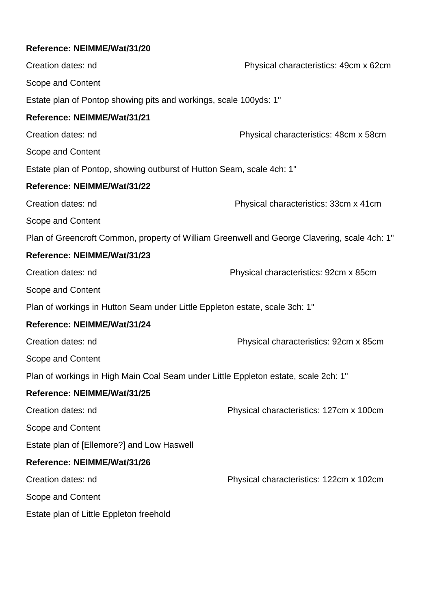| Creation dates: nd                                                                  | Physical characteristics: 49cm x 62cm                                                        |
|-------------------------------------------------------------------------------------|----------------------------------------------------------------------------------------------|
| Scope and Content                                                                   |                                                                                              |
| Estate plan of Pontop showing pits and workings, scale 100yds: 1"                   |                                                                                              |
| Reference: NEIMME/Wat/31/21                                                         |                                                                                              |
| Creation dates: nd                                                                  | Physical characteristics: 48cm x 58cm                                                        |
| Scope and Content                                                                   |                                                                                              |
| Estate plan of Pontop, showing outburst of Hutton Seam, scale 4ch: 1"               |                                                                                              |
| Reference: NEIMME/Wat/31/22                                                         |                                                                                              |
| Creation dates: nd                                                                  | Physical characteristics: 33cm x 41cm                                                        |
| Scope and Content                                                                   |                                                                                              |
|                                                                                     | Plan of Greencroft Common, property of William Greenwell and George Clavering, scale 4ch: 1" |
| Reference: NEIMME/Wat/31/23                                                         |                                                                                              |
| Creation dates: nd                                                                  | Physical characteristics: 92cm x 85cm                                                        |
| Scope and Content                                                                   |                                                                                              |
| Plan of workings in Hutton Seam under Little Eppleton estate, scale 3ch: 1"         |                                                                                              |
| Reference: NEIMME/Wat/31/24                                                         |                                                                                              |
| Creation dates: nd                                                                  | Physical characteristics: 92cm x 85cm                                                        |
| Scope and Content                                                                   |                                                                                              |
| Plan of workings in High Main Coal Seam under Little Eppleton estate, scale 2ch: 1" |                                                                                              |
| Reference: NEIMME/Wat/31/25                                                         |                                                                                              |
| Creation dates: nd                                                                  | Physical characteristics: 127cm x 100cm                                                      |
| Scope and Content                                                                   |                                                                                              |
| Estate plan of [Ellemore?] and Low Haswell                                          |                                                                                              |
| Reference: NEIMME/Wat/31/26                                                         |                                                                                              |
| Creation dates: nd                                                                  | Physical characteristics: 122cm x 102cm                                                      |
| Scope and Content                                                                   |                                                                                              |
| Estate plan of Little Eppleton freehold                                             |                                                                                              |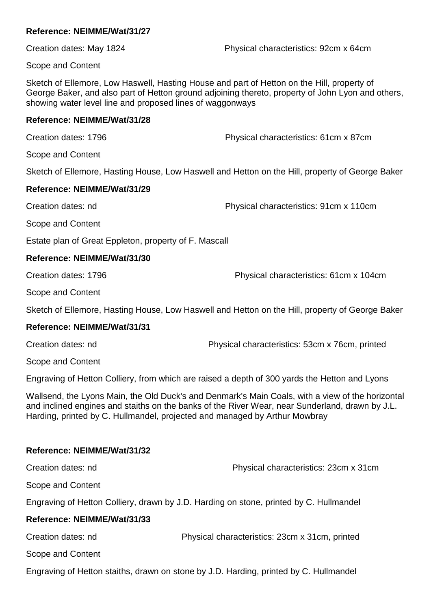Creation dates: May 1824 Physical characteristics: 92cm x 64cm

Scope and Content

Sketch of Ellemore, Low Haswell, Hasting House and part of Hetton on the Hill, property of George Baker, and also part of Hetton ground adjoining thereto, property of John Lyon and others, showing water level line and proposed lines of waggonways

## **Reference: NEIMME/Wat/31/28**

Creation dates: 1796 Physical characteristics: 61cm x 87cm

Scope and Content

Sketch of Ellemore, Hasting House, Low Haswell and Hetton on the Hill, property of George Baker

# **Reference: NEIMME/Wat/31/29**

Creation dates: nd Physical characteristics: 91cm x 110cm

Scope and Content

Estate plan of Great Eppleton, property of F. Mascall

# **Reference: NEIMME/Wat/31/30**

Creation dates: 1796 Physical characteristics: 61cm x 104cm

Scope and Content

Sketch of Ellemore, Hasting House, Low Haswell and Hetton on the Hill, property of George Baker

# **Reference: NEIMME/Wat/31/31**

Creation dates: nd Physical characteristics: 53cm x 76cm, printed

Scope and Content

Engraving of Hetton Colliery, from which are raised a depth of 300 yards the Hetton and Lyons

Wallsend, the Lyons Main, the Old Duck's and Denmark's Main Coals, with a view of the horizontal and inclined engines and staiths on the banks of the River Wear, near Sunderland, drawn by J.L. Harding, printed by C. Hullmandel, projected and managed by Arthur Mowbray

#### **Reference: NEIMME/Wat/31/32**

Creation dates: nd Physical characteristics: 23cm x 31cm Scope and Content Engraving of Hetton Colliery, drawn by J.D. Harding on stone, printed by C. Hullmandel **Reference: NEIMME/Wat/31/33** Creation dates: nd Physical characteristics: 23cm x 31cm, printed Scope and Content

Engraving of Hetton staiths, drawn on stone by J.D. Harding, printed by C. Hullmandel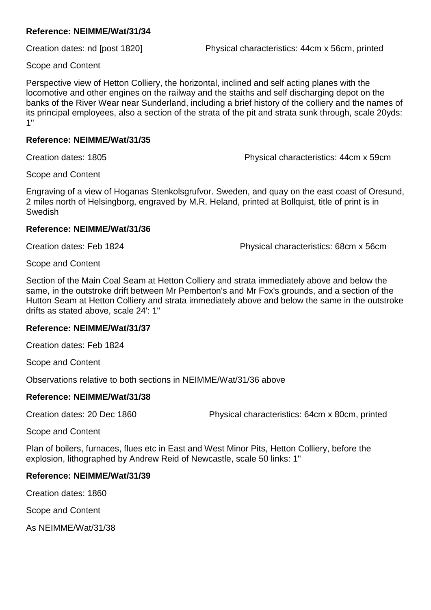Creation dates: nd [post 1820] Physical characteristics: 44cm x 56cm, printed

Scope and Content

Perspective view of Hetton Colliery, the horizontal, inclined and self acting planes with the locomotive and other engines on the railway and the staiths and self discharging depot on the banks of the River Wear near Sunderland, including a brief history of the colliery and the names of its principal employees, also a section of the strata of the pit and strata sunk through, scale 20yds: 1"

## **Reference: NEIMME/Wat/31/35**

Creation dates: 1805 Physical characteristics: 44cm x 59cm

Scope and Content

Engraving of a view of Hoganas Stenkolsgrufvor. Sweden, and quay on the east coast of Oresund, 2 miles north of Helsingborg, engraved by M.R. Heland, printed at Bollquist, title of print is in Swedish

## **Reference: NEIMME/Wat/31/36**

Creation dates: Feb 1824 Physical characteristics: 68cm x 56cm

Scope and Content

Section of the Main Coal Seam at Hetton Colliery and strata immediately above and below the same, in the outstroke drift between Mr Pemberton's and Mr Fox's grounds, and a section of the Hutton Seam at Hetton Colliery and strata immediately above and below the same in the outstroke drifts as stated above, scale 24': 1"

# **Reference: NEIMME/Wat/31/37**

Creation dates: Feb 1824

Scope and Content

Observations relative to both sections in NEIMME/Wat/31/36 above

# **Reference: NEIMME/Wat/31/38**

Creation dates: 20 Dec 1860 Physical characteristics: 64cm x 80cm, printed

Scope and Content

Plan of boilers, furnaces, flues etc in East and West Minor Pits, Hetton Colliery, before the explosion, lithographed by Andrew Reid of Newcastle, scale 50 links: 1"

# **Reference: NEIMME/Wat/31/39**

Creation dates: 1860

Scope and Content

As NEIMME/Wat/31/38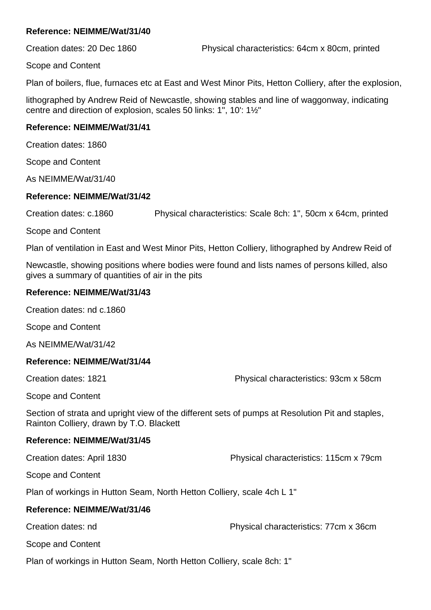Scope and Content

Plan of boilers, flue, furnaces etc at East and West Minor Pits, Hetton Colliery, after the explosion,

lithographed by Andrew Reid of Newcastle, showing stables and line of waggonway, indicating centre and direction of explosion, scales 50 links: 1", 10': 1½"

# **Reference: NEIMME/Wat/31/41**

Creation dates: 1860

Scope and Content

As NEIMME/Wat/31/40

## **Reference: NEIMME/Wat/31/42**

Creation dates: c.1860 Physical characteristics: Scale 8ch: 1", 50cm x 64cm, printed

Scope and Content

Plan of ventilation in East and West Minor Pits, Hetton Colliery, lithographed by Andrew Reid of

Newcastle, showing positions where bodies were found and lists names of persons killed, also gives a summary of quantities of air in the pits

## **Reference: NEIMME/Wat/31/43**

Creation dates: nd c.1860

Scope and Content

As NEIMME/Wat/31/42

# **Reference: NEIMME/Wat/31/44**

Creation dates: 1821 Physical characteristics: 93cm x 58cm

Scope and Content

Section of strata and upright view of the different sets of pumps at Resolution Pit and staples, Rainton Colliery, drawn by T.O. Blackett

#### **Reference: NEIMME/Wat/31/45**

Creation dates: April 1830 Physical characteristics: 115cm x 79cm

Scope and Content

Plan of workings in Hutton Seam, North Hetton Colliery, scale 4ch L 1"

# **Reference: NEIMME/Wat/31/46**

Creation dates: nd Physical characteristics: 77cm x 36cm

Scope and Content

Plan of workings in Hutton Seam, North Hetton Colliery, scale 8ch: 1"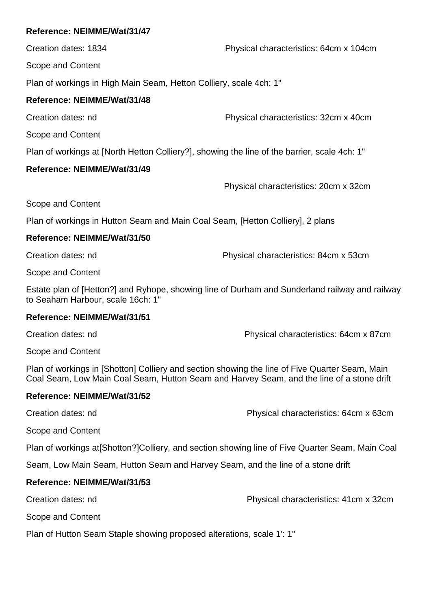Creation dates: 1834 Physical characteristics: 64cm x 104cm

Scope and Content

Plan of workings in High Main Seam, Hetton Colliery, scale 4ch: 1"

# **Reference: NEIMME/Wat/31/48**

Creation dates: nd Physical characteristics: 32cm x 40cm

Scope and Content

Plan of workings at [North Hetton Colliery?], showing the line of the barrier, scale 4ch: 1"

# **Reference: NEIMME/Wat/31/49**

Physical characteristics: 20cm x 32cm

Scope and Content

Plan of workings in Hutton Seam and Main Coal Seam, [Hetton Colliery], 2 plans

# **Reference: NEIMME/Wat/31/50**

Creation dates: nd Physical characteristics: 84cm x 53cm

Scope and Content

Estate plan of [Hetton?] and Ryhope, showing line of Durham and Sunderland railway and railway to Seaham Harbour, scale 16ch: 1"

# **Reference: NEIMME/Wat/31/51**

Creation dates: nd Physical characteristics: 64cm x 87cm

Scope and Content

Plan of workings in [Shotton] Colliery and section showing the line of Five Quarter Seam, Main Coal Seam, Low Main Coal Seam, Hutton Seam and Harvey Seam, and the line of a stone drift

# **Reference: NEIMME/Wat/31/52**

Creation dates: nd Physical characteristics: 64cm x 63cm

Scope and Content

Plan of workings at[Shotton?]Colliery, and section showing line of Five Quarter Seam, Main Coal

Seam, Low Main Seam, Hutton Seam and Harvey Seam, and the line of a stone drift

# **Reference: NEIMME/Wat/31/53**

Creation dates: nd Physical characteristics: 41cm x 32cm

Scope and Content

Plan of Hutton Seam Staple showing proposed alterations, scale 1': 1"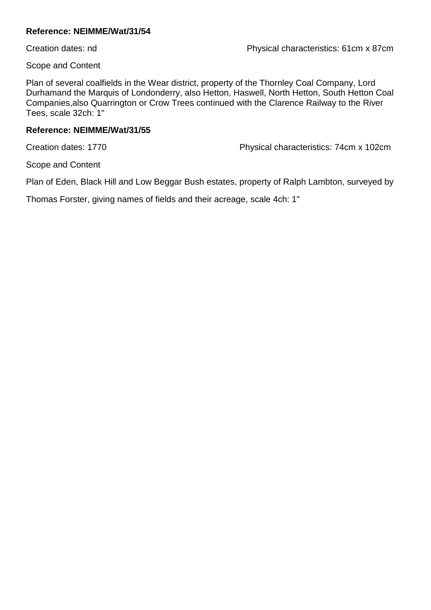Scope and Content

Plan of several coalfields in the Wear district, property of the Thornley Coal Company, Lord Durhamand the Marquis of Londonderry, also Hetton, Haswell, North Hetton, South Hetton Coal Companies,also Quarrington or Crow Trees continued with the Clarence Railway to the River Tees, scale 32ch: 1"

#### **Reference: NEIMME/Wat/31/55**

Creation dates: 1770 Physical characteristics: 74cm x 102cm

Scope and Content

Plan of Eden, Black Hill and Low Beggar Bush estates, property of Ralph Lambton, surveyed by

Thomas Forster, giving names of fields and their acreage, scale 4ch: 1"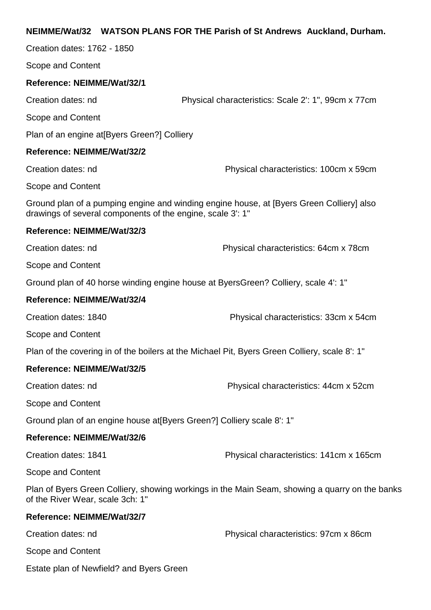### **NEIMME/Wat/32 WATSON PLANS FOR THE Parish of St Andrews Auckland, Durham.**

Creation dates: 1762 - 1850

Scope and Content

#### **Reference: NEIMME/Wat/32/1**

Creation dates: nd Physical characteristics: Scale 2': 1", 99cm x 77cm

Scope and Content

Plan of an engine at[Byers Green?] Colliery

#### **Reference: NEIMME/Wat/32/2**

Creation dates: nd Physical characteristics: 100cm x 59cm

Scope and Content

Ground plan of a pumping engine and winding engine house, at [Byers Green Colliery] also drawings of several components of the engine, scale 3': 1"

#### **Reference: NEIMME/Wat/32/3**

Creation dates: nd Physical characteristics: 64cm x 78cm

Scope and Content

Ground plan of 40 horse winding engine house at ByersGreen? Colliery, scale 4': 1"

#### **Reference: NEIMME/Wat/32/4**

Creation dates: 1840 Physical characteristics: 33cm x 54cm

Scope and Content

Plan of the covering in of the boilers at the Michael Pit, Byers Green Colliery, scale 8': 1"

#### **Reference: NEIMME/Wat/32/5**

Creation dates: nd Physical characteristics: 44cm x 52cm

Scope and Content

Ground plan of an engine house at[Byers Green?] Colliery scale 8': 1"

#### **Reference: NEIMME/Wat/32/6**

Creation dates: 1841 Physical characteristics: 141cm x 165cm

Scope and Content

Plan of Byers Green Colliery, showing workings in the Main Seam, showing a quarry on the banks of the River Wear, scale 3ch: 1"

#### **Reference: NEIMME/Wat/32/7**

Creation dates: nd Physical characteristics: 97cm x 86cm Scope and Content Estate plan of Newfield? and Byers Green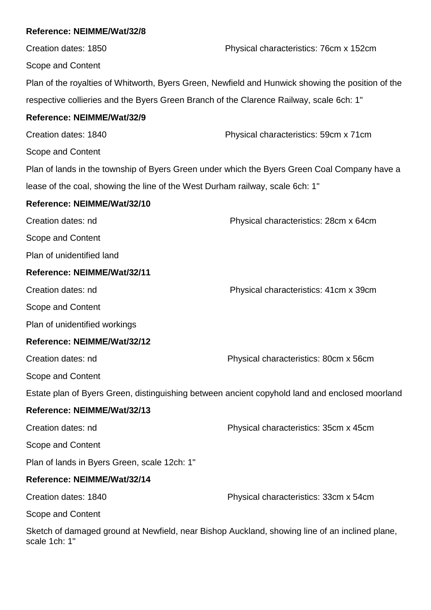# **Reference: NEIMME/Wat/32/8** Creation dates: 1850 Physical characteristics: 76cm x 152cm Scope and Content Plan of the royalties of Whitworth, Byers Green, Newfield and Hunwick showing the position of the respective collieries and the Byers Green Branch of the Clarence Railway, scale 6ch: 1" **Reference: NEIMME/Wat/32/9** Creation dates: 1840 Physical characteristics: 59cm x 71cm Scope and Content Plan of lands in the township of Byers Green under which the Byers Green Coal Company have a lease of the coal, showing the line of the West Durham railway, scale 6ch: 1" **Reference: NEIMME/Wat/32/10** Creation dates: nd Physical characteristics: 28cm x 64cm Scope and Content Plan of unidentified land **Reference: NEIMME/Wat/32/11** Creation dates: nd Physical characteristics: 41cm x 39cm Scope and Content Plan of unidentified workings **Reference: NEIMME/Wat/32/12** Creation dates: nd Physical characteristics: 80cm x 56cm Scope and Content Estate plan of Byers Green, distinguishing between ancient copyhold land and enclosed moorland **Reference: NEIMME/Wat/32/13** Creation dates: nd Physical characteristics: 35cm x 45cm Scope and Content Plan of lands in Byers Green, scale 12ch: 1" **Reference: NEIMME/Wat/32/14** Creation dates: 1840 Physical characteristics: 33cm x 54cm Scope and Content

Sketch of damaged ground at Newfield, near Bishop Auckland, showing line of an inclined plane, scale 1ch: 1"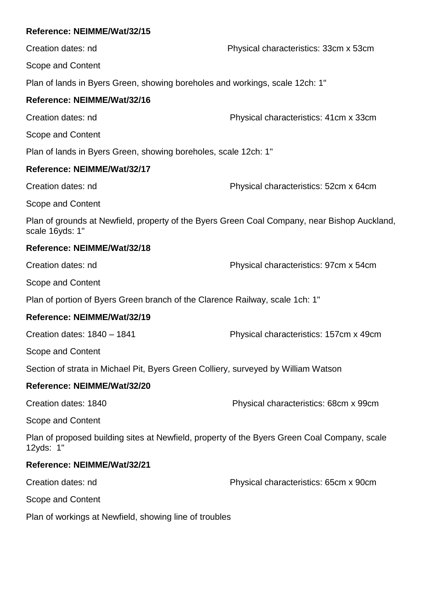| Reference: NEIMME/Wat/32/15                                                                                     |                                        |
|-----------------------------------------------------------------------------------------------------------------|----------------------------------------|
| Creation dates: nd                                                                                              | Physical characteristics: 33cm x 53cm  |
| Scope and Content                                                                                               |                                        |
| Plan of lands in Byers Green, showing boreholes and workings, scale 12ch: 1"                                    |                                        |
| Reference: NEIMME/Wat/32/16                                                                                     |                                        |
| Creation dates: nd                                                                                              | Physical characteristics: 41cm x 33cm  |
| Scope and Content                                                                                               |                                        |
| Plan of lands in Byers Green, showing boreholes, scale 12ch: 1"                                                 |                                        |
| Reference: NEIMME/Wat/32/17                                                                                     |                                        |
| Creation dates: nd                                                                                              | Physical characteristics: 52cm x 64cm  |
| Scope and Content                                                                                               |                                        |
| Plan of grounds at Newfield, property of the Byers Green Coal Company, near Bishop Auckland,<br>scale 16yds: 1" |                                        |
| Reference: NEIMME/Wat/32/18                                                                                     |                                        |
| Creation dates: nd                                                                                              | Physical characteristics: 97cm x 54cm  |
| Scope and Content                                                                                               |                                        |
| Plan of portion of Byers Green branch of the Clarence Railway, scale 1ch: 1"                                    |                                        |
| Reference: NEIMME/Wat/32/19                                                                                     |                                        |
| Creation dates: 1840 - 1841                                                                                     | Physical characteristics: 157cm x 49cm |
| Scope and Content                                                                                               |                                        |
| Section of strata in Michael Pit, Byers Green Colliery, surveyed by William Watson                              |                                        |
| Reference: NEIMME/Wat/32/20                                                                                     |                                        |
| Creation dates: 1840                                                                                            | Physical characteristics: 68cm x 99cm  |
| Scope and Content                                                                                               |                                        |
| Plan of proposed building sites at Newfield, property of the Byers Green Coal Company, scale<br>12yds: 1"       |                                        |
| Reference: NEIMME/Wat/32/21                                                                                     |                                        |
| Creation dates: nd                                                                                              | Physical characteristics: 65cm x 90cm  |
| Scope and Content                                                                                               |                                        |
| Plan of workings at Newfield, showing line of troubles                                                          |                                        |
|                                                                                                                 |                                        |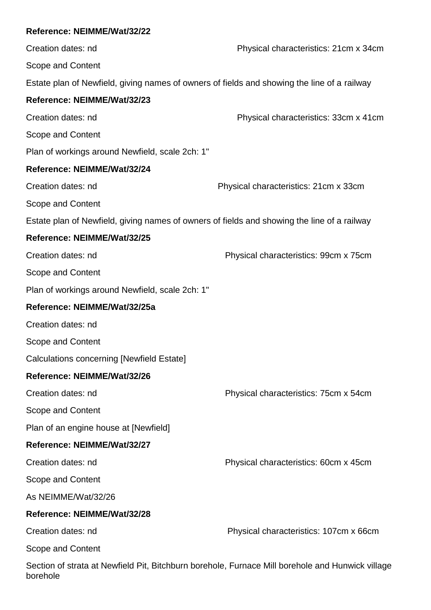borehole

Creation dates: nd Physical characteristics: 21cm x 34cm Scope and Content Estate plan of Newfield, giving names of owners of fields and showing the line of a railway **Reference: NEIMME/Wat/32/23** Creation dates: nd Physical characteristics: 33cm x 41cm Scope and Content Plan of workings around Newfield, scale 2ch: 1" **Reference: NEIMME/Wat/32/24** Creation dates: nd Physical characteristics: 21cm x 33cm Scope and Content Estate plan of Newfield, giving names of owners of fields and showing the line of a railway **Reference: NEIMME/Wat/32/25** Creation dates: nd Physical characteristics: 99cm x 75cm Scope and Content Plan of workings around Newfield, scale 2ch: 1" **Reference: NEIMME/Wat/32/25a** Creation dates: nd Scope and Content Calculations concerning [Newfield Estate] **Reference: NEIMME/Wat/32/26** Creation dates: nd Physical characteristics: 75cm x 54cm Scope and Content Plan of an engine house at [Newfield] **Reference: NEIMME/Wat/32/27** Creation dates: nd Physical characteristics: 60cm x 45cm Scope and Content As NEIMME/Wat/32/26 **Reference: NEIMME/Wat/32/28** Creation dates: nd Physical characteristics: 107cm x 66cm Scope and Content Section of strata at Newfield Pit, Bitchburn borehole, Furnace Mill borehole and Hunwick village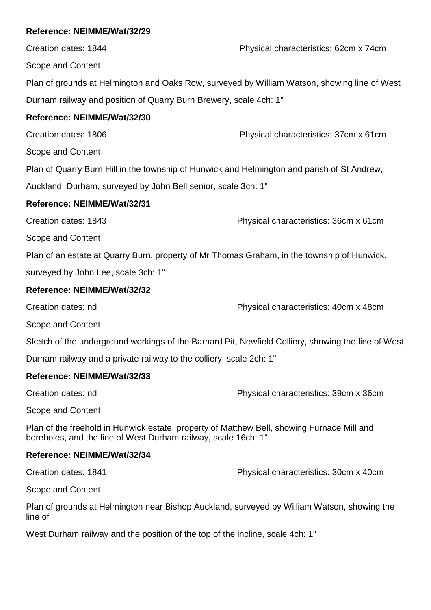Creation dates: 1844 Physical characteristics: 62cm x 74cm Scope and Content Plan of grounds at Helmington and Oaks Row, surveyed by William Watson, showing line of West Durham railway and position of Quarry Burn Brewery, scale 4ch: 1" **Reference: NEIMME/Wat/32/30** Creation dates: 1806 Physical characteristics: 37cm x 61cm Scope and Content Plan of Quarry Burn Hill in the township of Hunwick and Helmington and parish of St Andrew, Auckland, Durham, surveyed by John Bell senior, scale 3ch: 1" **Reference: NEIMME/Wat/32/31** Creation dates: 1843 Physical characteristics: 36cm x 61cm Scope and Content Plan of an estate at Quarry Burn, property of Mr Thomas Graham, in the township of Hunwick, surveyed by John Lee, scale 3ch: 1" **Reference: NEIMME/Wat/32/32** Creation dates: nd Physical characteristics: 40cm x 48cm Scope and Content

Sketch of the underground workings of the Barnard Pit, Newfield Colliery, showing the line of West

Durham railway and a private railway to the colliery, scale 2ch: 1"

# **Reference: NEIMME/Wat/32/33**

Creation dates: nd Physical characteristics: 39cm x 36cm

Scope and Content

Plan of the freehold in Hunwick estate, property of Matthew Bell, showing Furnace Mill and boreholes, and the line of West Durham railway, scale 16ch: 1"

# **Reference: NEIMME/Wat/32/34**

Creation dates: 1841 Physical characteristics: 30cm x 40cm

Scope and Content

Plan of grounds at Helmington near Bishop Auckland, surveyed by William Watson, showing the line of

West Durham railway and the position of the top of the incline, scale 4ch: 1"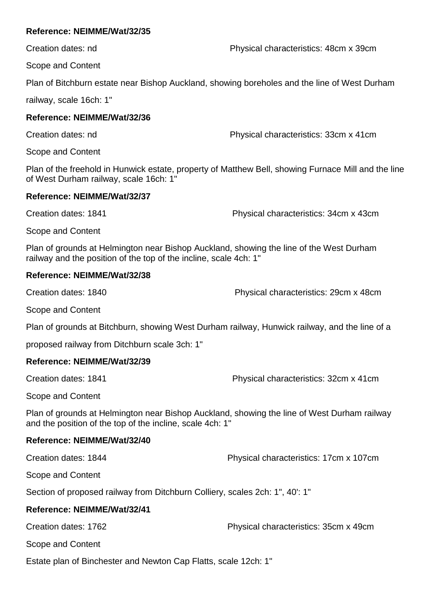Creation dates: nd Physical characteristics: 48cm x 39cm

Scope and Content

Plan of Bitchburn estate near Bishop Auckland, showing boreholes and the line of West Durham

railway, scale 16ch: 1"

### **Reference: NEIMME/Wat/32/36**

Creation dates: nd Physical characteristics: 33cm x 41cm

Scope and Content

Plan of the freehold in Hunwick estate, property of Matthew Bell, showing Furnace Mill and the line of West Durham railway, scale 16ch: 1"

#### **Reference: NEIMME/Wat/32/37**

Creation dates: 1841 Physical characteristics: 34cm x 43cm

Scope and Content

Plan of grounds at Helmington near Bishop Auckland, showing the line of the West Durham railway and the position of the top of the incline, scale 4ch: 1"

### **Reference: NEIMME/Wat/32/38**

Creation dates: 1840 Physical characteristics: 29cm x 48cm

Scope and Content

Plan of grounds at Bitchburn, showing West Durham railway, Hunwick railway, and the line of a

proposed railway from Ditchburn scale 3ch: 1"

### **Reference: NEIMME/Wat/32/39**

Creation dates: 1841 Physical characteristics: 32cm x 41cm

Scope and Content

Plan of grounds at Helmington near Bishop Auckland, showing the line of West Durham railway and the position of the top of the incline, scale 4ch: 1"

### **Reference: NEIMME/Wat/32/40**

Creation dates: 1844 Physical characteristics: 17cm x 107cm

Scope and Content

Section of proposed railway from Ditchburn Colliery, scales 2ch: 1", 40': 1"

# **Reference: NEIMME/Wat/32/41**

Creation dates: 1762 Physical characteristics: 35cm x 49cm

Scope and Content

Estate plan of Binchester and Newton Cap Flatts, scale 12ch: 1"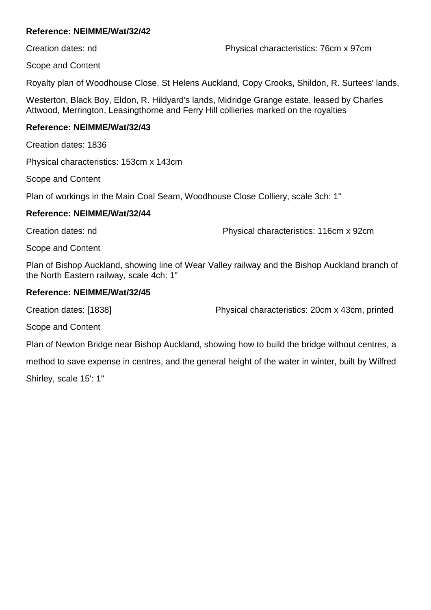Creation dates: nd Physical characteristics: 76cm x 97cm

Scope and Content

Royalty plan of Woodhouse Close, St Helens Auckland, Copy Crooks, Shildon, R. Surtees' lands,

Westerton, Black Boy, Eldon, R. Hildyard's lands, Midridge Grange estate, leased by Charles Attwood, Merrington, Leasingthorne and Ferry Hill collieries marked on the royalties

#### **Reference: NEIMME/Wat/32/43**

Creation dates: 1836

Physical characteristics: 153cm x 143cm

Scope and Content

Plan of workings in the Main Coal Seam, Woodhouse Close Colliery, scale 3ch: 1"

#### **Reference: NEIMME/Wat/32/44**

Creation dates: nd Physical characteristics: 116cm x 92cm

Scope and Content

Plan of Bishop Auckland, showing line of Wear Valley railway and the Bishop Auckland branch of the North Eastern railway, scale 4ch: 1"

### **Reference: NEIMME/Wat/32/45**

Creation dates: [1838] Physical characteristics: 20cm x 43cm, printed

Scope and Content

Plan of Newton Bridge near Bishop Auckland, showing how to build the bridge without centres, a

method to save expense in centres, and the general height of the water in winter, built by Wilfred

Shirley, scale 15': 1"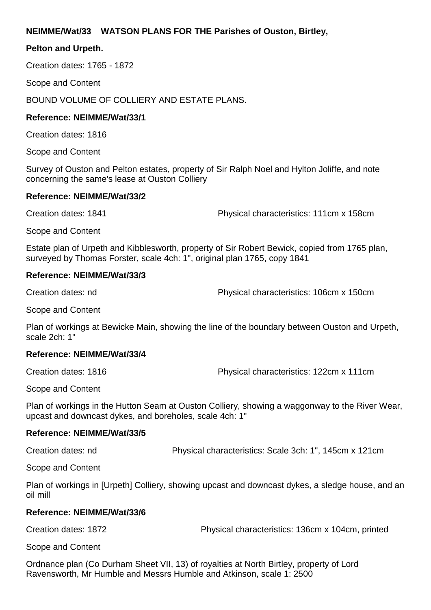### **NEIMME/Wat/33 WATSON PLANS FOR THE Parishes of Ouston, Birtley,**

#### **Pelton and Urpeth.**

Creation dates: 1765 - 1872

Scope and Content

BOUND VOLUME OF COLLIERY AND ESTATE PLANS.

#### **Reference: NEIMME/Wat/33/1**

Creation dates: 1816

Scope and Content

Survey of Ouston and Pelton estates, property of Sir Ralph Noel and Hylton Joliffe, and note concerning the same's lease at Ouston Colliery

#### **Reference: NEIMME/Wat/33/2**

Creation dates: 1841 Physical characteristics: 111cm x 158cm

Scope and Content

Estate plan of Urpeth and Kibblesworth, property of Sir Robert Bewick, copied from 1765 plan, surveyed by Thomas Forster, scale 4ch: 1", original plan 1765, copy 1841

#### **Reference: NEIMME/Wat/33/3**

Creation dates: nd Physical characteristics: 106cm x 150cm

Scope and Content

Plan of workings at Bewicke Main, showing the line of the boundary between Ouston and Urpeth, scale 2ch: 1"

#### **Reference: NEIMME/Wat/33/4**

Creation dates: 1816 Physical characteristics: 122cm x 111cm

Scope and Content

Plan of workings in the Hutton Seam at Ouston Colliery, showing a waggonway to the River Wear, upcast and downcast dykes, and boreholes, scale 4ch: 1"

### **Reference: NEIMME/Wat/33/5**

Creation dates: nd Physical characteristics: Scale 3ch: 1", 145cm x 121cm

Scope and Content

Plan of workings in [Urpeth] Colliery, showing upcast and downcast dykes, a sledge house, and an oil mill

#### **Reference: NEIMME/Wat/33/6**

Creation dates: 1872 Physical characteristics: 136cm x 104cm, printed

Scope and Content

Ordnance plan (Co Durham Sheet VII, 13) of royalties at North Birtley, property of Lord Ravensworth, Mr Humble and Messrs Humble and Atkinson, scale 1: 2500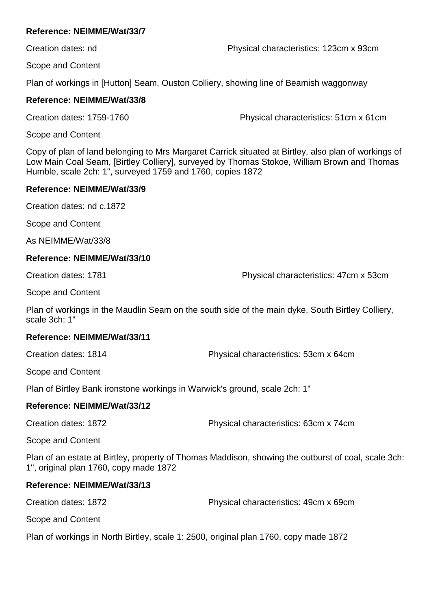Creation dates: nd Physical characteristics: 123cm x 93cm

Scope and Content

Plan of workings in [Hutton] Seam, Ouston Colliery, showing line of Beamish waggonway

### **Reference: NEIMME/Wat/33/8**

Creation dates: 1759-1760 Physical characteristics: 51cm x 61cm

Scope and Content

Copy of plan of land belonging to Mrs Margaret Carrick situated at Birtley, also plan of workings of Low Main Coal Seam, [Birtley Colliery], surveyed by Thomas Stokoe, William Brown and Thomas Humble, scale 2ch: 1", surveyed 1759 and 1760, copies 1872

#### **Reference: NEIMME/Wat/33/9**

Creation dates: nd c.1872

Scope and Content

As NEIMME/Wat/33/8

#### **Reference: NEIMME/Wat/33/10**

Creation dates: 1781 Physical characteristics: 47cm x 53cm

Scope and Content

Plan of workings in the Maudlin Seam on the south side of the main dyke, South Birtley Colliery, scale 3ch: 1"

#### **Reference: NEIMME/Wat/33/11**

Creation dates: 1814 Physical characteristics: 53cm x 64cm

Scope and Content

Plan of Birtley Bank ironstone workings in Warwick's ground, scale 2ch: 1"

### **Reference: NEIMME/Wat/33/12**

Creation dates: 1872 Physical characteristics: 63cm x 74cm

Scope and Content

Plan of an estate at Birtley, property of Thomas Maddison, showing the outburst of coal, scale 3ch: 1", original plan 1760, copy made 1872

### **Reference: NEIMME/Wat/33/13**

Creation dates: 1872 Physical characteristics: 49cm x 69cm

Scope and Content

Plan of workings in North Birtley, scale 1: 2500, original plan 1760, copy made 1872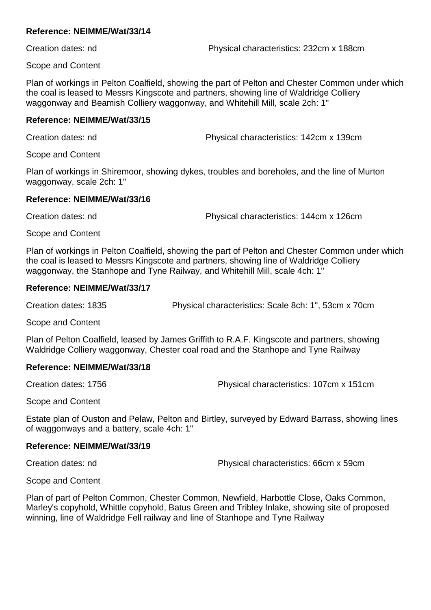Creation dates: nd Physical characteristics: 232cm x 188cm

Scope and Content

Plan of workings in Pelton Coalfield, showing the part of Pelton and Chester Common under which the coal is leased to Messrs Kingscote and partners, showing line of Waldridge Colliery waggonway and Beamish Colliery waggonway, and Whitehill Mill, scale 2ch: 1"

### **Reference: NEIMME/Wat/33/15**

Creation dates: nd Physical characteristics: 142cm x 139cm

Scope and Content

Plan of workings in Shiremoor, showing dykes, troubles and boreholes, and the line of Murton waggonway, scale 2ch: 1"

### **Reference: NEIMME/Wat/33/16**

Creation dates: nd Physical characteristics: 144cm x 126cm

Scope and Content

Plan of workings in Pelton Coalfield, showing the part of Pelton and Chester Common under which the coal is leased to Messrs Kingscote and partners, showing line of Waldridge Colliery waggonway, the Stanhope and Tyne Railway, and Whitehill Mill, scale 4ch: 1"

### **Reference: NEIMME/Wat/33/17**

Creation dates: 1835 Physical characteristics: Scale 8ch: 1", 53cm x 70cm

Scope and Content

Plan of Pelton Coalfield, leased by James Griffith to R.A.F. Kingscote and partners, showing Waldridge Colliery waggonway, Chester coal road and the Stanhope and Tyne Railway

### **Reference: NEIMME/Wat/33/18**

Creation dates: 1756 Physical characteristics: 107cm x 151cm

Scope and Content

Estate plan of Ouston and Pelaw, Pelton and Birtley, surveyed by Edward Barrass, showing lines of waggonways and a battery, scale 4ch: 1"

### **Reference: NEIMME/Wat/33/19**

Creation dates: nd Physical characteristics: 66cm x 59cm

Scope and Content

Plan of part of Pelton Common, Chester Common, Newfield, Harbottle Close, Oaks Common, Marley's copyhold, Whittle copyhold, Batus Green and Tribley Inlake, showing site of proposed winning, line of Waldridge Fell railway and line of Stanhope and Tyne Railway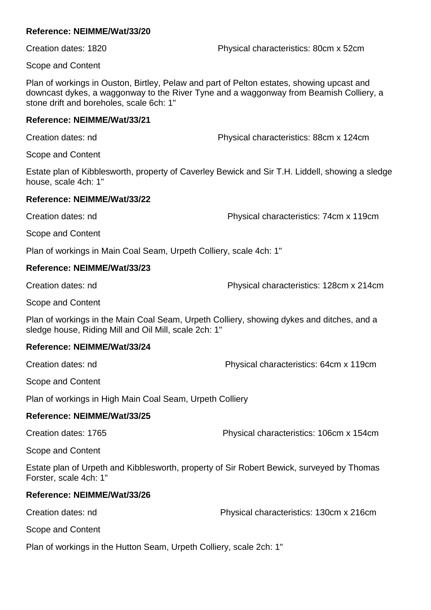Creation dates: 1820 Physical characteristics: 80cm x 52cm

Scope and Content

Plan of workings in Ouston, Birtley, Pelaw and part of Pelton estates, showing upcast and downcast dykes, a waggonway to the River Tyne and a waggonway from Beamish Colliery, a stone drift and boreholes, scale 6ch: 1"

#### **Reference: NEIMME/Wat/33/21**

Creation dates: nd Physical characteristics: 88cm x 124cm

Scope and Content

Estate plan of Kibblesworth, property of Caverley Bewick and Sir T.H. Liddell, showing a sledge house, scale 4ch: 1"

### **Reference: NEIMME/Wat/33/22**

Creation dates: nd Physical characteristics: 74cm x 119cm

Scope and Content

Plan of workings in Main Coal Seam, Urpeth Colliery, scale 4ch: 1"

### **Reference: NEIMME/Wat/33/23**

Creation dates: nd Physical characteristics: 128cm x 214cm

Scope and Content

Plan of workings in the Main Coal Seam, Urpeth Colliery, showing dykes and ditches, and a sledge house, Riding Mill and Oil Mill, scale 2ch: 1"

### **Reference: NEIMME/Wat/33/24**

Creation dates: nd Physical characteristics: 64cm x 119cm

Scope and Content

Plan of workings in High Main Coal Seam, Urpeth Colliery

### **Reference: NEIMME/Wat/33/25**

Creation dates: 1765 Physical characteristics: 106cm x 154cm

Scope and Content

Estate plan of Urpeth and Kibblesworth, property of Sir Robert Bewick, surveyed by Thomas Forster, scale 4ch: 1"

### **Reference: NEIMME/Wat/33/26**

Creation dates: nd Physical characteristics: 130cm x 216cm

Scope and Content

Plan of workings in the Hutton Seam, Urpeth Colliery, scale 2ch: 1"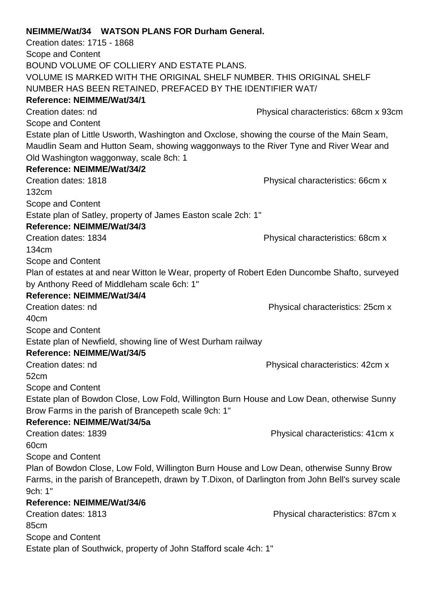|                             | NEIMME/Wat/34 WATSON PLANS FOR Durham General.                    |                                                                                                   |
|-----------------------------|-------------------------------------------------------------------|---------------------------------------------------------------------------------------------------|
| Creation dates: 1715 - 1868 |                                                                   |                                                                                                   |
| <b>Scope and Content</b>    |                                                                   |                                                                                                   |
|                             | BOUND VOLUME OF COLLIERY AND ESTATE PLANS.                        |                                                                                                   |
|                             |                                                                   | VOLUME IS MARKED WITH THE ORIGINAL SHELF NUMBER. THIS ORIGINAL SHELF                              |
|                             | NUMBER HAS BEEN RETAINED, PREFACED BY THE IDENTIFIER WAT/         |                                                                                                   |
| Reference: NEIMME/Wat/34/1  |                                                                   |                                                                                                   |
| Creation dates: nd          |                                                                   | Physical characteristics: 68cm x 93cm                                                             |
| Scope and Content           |                                                                   |                                                                                                   |
|                             |                                                                   | Estate plan of Little Usworth, Washington and Oxclose, showing the course of the Main Seam,       |
|                             |                                                                   | Maudlin Seam and Hutton Seam, showing waggonways to the River Tyne and River Wear and             |
|                             | Old Washington waggonway, scale 8ch: 1                            |                                                                                                   |
| Reference: NEIMME/Wat/34/2  |                                                                   |                                                                                                   |
| Creation dates: 1818        |                                                                   | Physical characteristics: 66cm x                                                                  |
| 132cm                       |                                                                   |                                                                                                   |
| Scope and Content           |                                                                   |                                                                                                   |
|                             | Estate plan of Satley, property of James Easton scale 2ch: 1"     |                                                                                                   |
| Reference: NEIMME/Wat/34/3  |                                                                   |                                                                                                   |
| Creation dates: 1834        |                                                                   | Physical characteristics: 68cm x                                                                  |
| 134cm                       |                                                                   |                                                                                                   |
| Scope and Content           |                                                                   |                                                                                                   |
|                             |                                                                   | Plan of estates at and near Witton le Wear, property of Robert Eden Duncombe Shafto, surveyed     |
|                             | by Anthony Reed of Middleham scale 6ch: 1"                        |                                                                                                   |
| Reference: NEIMME/Wat/34/4  |                                                                   |                                                                                                   |
| Creation dates: nd          |                                                                   | Physical characteristics: 25cm x                                                                  |
| 40cm                        |                                                                   |                                                                                                   |
| Scope and Content           |                                                                   |                                                                                                   |
|                             | Estate plan of Newfield, showing line of West Durham railway      |                                                                                                   |
| Reference: NEIMME/Wat/34/5  |                                                                   |                                                                                                   |
| Creation dates: nd          |                                                                   | Physical characteristics: 42cm x                                                                  |
| 52cm                        |                                                                   |                                                                                                   |
| Scope and Content           |                                                                   |                                                                                                   |
|                             |                                                                   | Estate plan of Bowdon Close, Low Fold, Willington Burn House and Low Dean, otherwise Sunny        |
|                             | Brow Farms in the parish of Brancepeth scale 9ch: 1"              |                                                                                                   |
| Reference: NEIMME/Wat/34/5a |                                                                   |                                                                                                   |
| Creation dates: 1839        |                                                                   | Physical characteristics: 41cm x                                                                  |
| 60cm                        |                                                                   |                                                                                                   |
| Scope and Content           |                                                                   |                                                                                                   |
|                             |                                                                   | Plan of Bowdon Close, Low Fold, Willington Burn House and Low Dean, otherwise Sunny Brow          |
|                             |                                                                   | Farms, in the parish of Brancepeth, drawn by T.Dixon, of Darlington from John Bell's survey scale |
| 9ch: 1"                     |                                                                   |                                                                                                   |
| Reference: NEIMME/Wat/34/6  |                                                                   |                                                                                                   |
| Creation dates: 1813        |                                                                   | Physical characteristics: 87cm x                                                                  |
| 85cm                        |                                                                   |                                                                                                   |
| Scope and Content           |                                                                   |                                                                                                   |
|                             | Estate plan of Southwick, property of John Stafford scale 4ch: 1" |                                                                                                   |
|                             |                                                                   |                                                                                                   |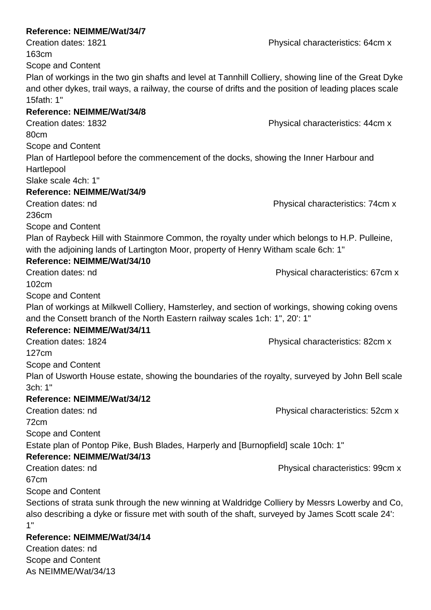# **Reference: NEIMME/Wat/34/7** Creation dates: 1821 **Creation dates: 1821** Physical characteristics: 64cm x 163cm Scope and Content Plan of workings in the two gin shafts and level at Tannhill Colliery, showing line of the Great Dyke and other dykes, trail ways, a railway, the course of drifts and the position of leading places scale 15fath: 1" **Reference: NEIMME/Wat/34/8** Creation dates: 1832 Physical characteristics: 44cm x 80cm Scope and Content Plan of Hartlepool before the commencement of the docks, showing the Inner Harbour and Hartlepool Slake scale 4ch: 1" **Reference: NEIMME/Wat/34/9** Creation dates: nd Physical characteristics: 74cm x 236cm Scope and Content Plan of Raybeck Hill with Stainmore Common, the royalty under which belongs to H.P. Pulleine, with the adjoining lands of Lartington Moor, property of Henry Witham scale 6ch: 1" **Reference: NEIMME/Wat/34/10** Creation dates: nd Physical characteristics: 67cm x 102cm Scope and Content Plan of workings at Milkwell Colliery, Hamsterley, and section of workings, showing coking ovens and the Consett branch of the North Eastern railway scales 1ch: 1", 20': 1" **Reference: NEIMME/Wat/34/11** Creation dates: 1824 Physical characteristics: 82cm x 127cm Scope and Content Plan of Usworth House estate, showing the boundaries of the royalty, surveyed by John Bell scale 3ch: 1" **Reference: NEIMME/Wat/34/12** Creation dates: nd Physical characteristics: 52cm x 72cm Scope and Content Estate plan of Pontop Pike, Bush Blades, Harperly and [Burnopfield] scale 10ch: 1" **Reference: NEIMME/Wat/34/13** Creation dates: nd Physical characteristics: 99cm x 67cm Scope and Content Sections of strata sunk through the new winning at Waldridge Colliery by Messrs Lowerby and Co, also describing a dyke or fissure met with south of the shaft, surveyed by James Scott scale 24': 1" **Reference: NEIMME/Wat/34/14** Creation dates: nd

Scope and Content As NEIMME/Wat/34/13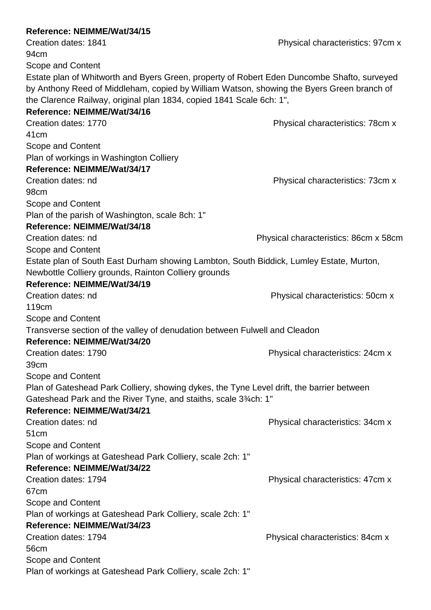| Reference: NEIMME/Wat/34/15                                                                 |                                       |
|---------------------------------------------------------------------------------------------|---------------------------------------|
| Creation dates: 1841                                                                        | Physical characteristics: 97cm x      |
| 94 <sub>cm</sub>                                                                            |                                       |
| Scope and Content                                                                           |                                       |
| Estate plan of Whitworth and Byers Green, property of Robert Eden Duncombe Shafto, surveyed |                                       |
| by Anthony Reed of Middleham, copied by William Watson, showing the Byers Green branch of   |                                       |
| the Clarence Railway, original plan 1834, copied 1841 Scale 6ch: 1",                        |                                       |
| Reference: NEIMME/Wat/34/16                                                                 |                                       |
| Creation dates: 1770                                                                        | Physical characteristics: 78cm x      |
| 41 <sub>cm</sub>                                                                            |                                       |
| Scope and Content                                                                           |                                       |
| Plan of workings in Washington Colliery                                                     |                                       |
| Reference: NEIMME/Wat/34/17                                                                 |                                       |
| Creation dates: nd                                                                          | Physical characteristics: 73cm x      |
| 98 <sub>cm</sub>                                                                            |                                       |
| Scope and Content                                                                           |                                       |
| Plan of the parish of Washington, scale 8ch: 1"                                             |                                       |
| Reference: NEIMME/Wat/34/18                                                                 |                                       |
| Creation dates: nd                                                                          | Physical characteristics: 86cm x 58cm |
| Scope and Content                                                                           |                                       |
| Estate plan of South East Durham showing Lambton, South Biddick, Lumley Estate, Murton,     |                                       |
| Newbottle Colliery grounds, Rainton Colliery grounds                                        |                                       |
| Reference: NEIMME/Wat/34/19                                                                 |                                       |
| Creation dates: nd                                                                          | Physical characteristics: 50cm x      |
| 119 <sub>cm</sub>                                                                           |                                       |
| Scope and Content                                                                           |                                       |
| Transverse section of the valley of denudation between Fulwell and Cleadon                  |                                       |
| Reference: NEIMME/Wat/34/20                                                                 |                                       |
| Creation dates: 1790                                                                        | Physical characteristics: 24cm x      |
| 39 <sub>cm</sub>                                                                            |                                       |
| Scope and Content                                                                           |                                       |
| Plan of Gateshead Park Colliery, showing dykes, the Tyne Level drift, the barrier between   |                                       |
| Gateshead Park and the River Tyne, and staiths, scale 3 <sup>3</sup> / <sub>4</sub> ch: 1"  |                                       |
| Reference: NEIMME/Wat/34/21                                                                 |                                       |
| Creation dates: nd                                                                          | Physical characteristics: 34cm x      |
| 51 <sub>cm</sub>                                                                            |                                       |
| Scope and Content                                                                           |                                       |
| Plan of workings at Gateshead Park Colliery, scale 2ch: 1"                                  |                                       |
| Reference: NEIMME/Wat/34/22                                                                 |                                       |
| Creation dates: 1794                                                                        | Physical characteristics: 47cm x      |
| 67 <sub>cm</sub>                                                                            |                                       |
| Scope and Content                                                                           |                                       |
| Plan of workings at Gateshead Park Colliery, scale 2ch: 1"                                  |                                       |
| Reference: NEIMME/Wat/34/23                                                                 |                                       |
| Creation dates: 1794                                                                        | Physical characteristics: 84cm x      |
| 56cm                                                                                        |                                       |
| Scope and Content                                                                           |                                       |
|                                                                                             |                                       |
| Plan of workings at Gateshead Park Colliery, scale 2ch: 1"                                  |                                       |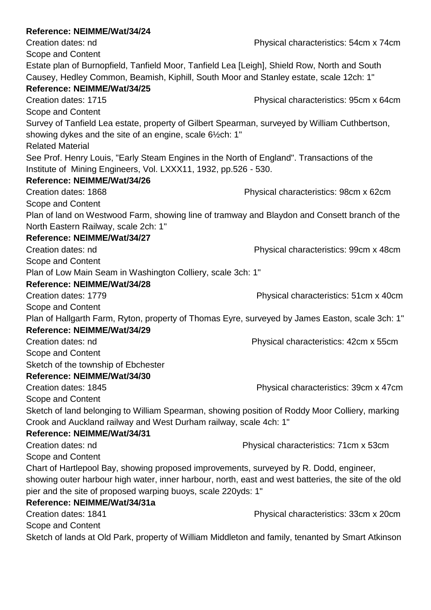| Reference: NEIMME/Wat/34/24                                                                          |                                       |
|------------------------------------------------------------------------------------------------------|---------------------------------------|
| Creation dates: nd                                                                                   | Physical characteristics: 54cm x 74cm |
| Scope and Content                                                                                    |                                       |
| Estate plan of Burnopfield, Tanfield Moor, Tanfield Lea [Leigh], Shield Row, North and South         |                                       |
| Causey, Hedley Common, Beamish, Kiphill, South Moor and Stanley estate, scale 12ch: 1"               |                                       |
| Reference: NEIMME/Wat/34/25                                                                          |                                       |
| Creation dates: 1715                                                                                 | Physical characteristics: 95cm x 64cm |
| Scope and Content                                                                                    |                                       |
| Survey of Tanfield Lea estate, property of Gilbert Spearman, surveyed by William Cuthbertson,        |                                       |
| showing dykes and the site of an engine, scale 6½ch: 1"                                              |                                       |
| <b>Related Material</b>                                                                              |                                       |
| See Prof. Henry Louis, "Early Steam Engines in the North of England". Transactions of the            |                                       |
| Institute of Mining Engineers, Vol. LXXX11, 1932, pp.526 - 530.                                      |                                       |
| Reference: NEIMME/Wat/34/26                                                                          |                                       |
| Creation dates: 1868                                                                                 | Physical characteristics: 98cm x 62cm |
| Scope and Content                                                                                    |                                       |
| Plan of land on Westwood Farm, showing line of tramway and Blaydon and Consett branch of the         |                                       |
| North Eastern Railway, scale 2ch: 1"                                                                 |                                       |
| Reference: NEIMME/Wat/34/27                                                                          |                                       |
| Creation dates: nd                                                                                   | Physical characteristics: 99cm x 48cm |
| Scope and Content                                                                                    |                                       |
| Plan of Low Main Seam in Washington Colliery, scale 3ch: 1"                                          |                                       |
| Reference: NEIMME/Wat/34/28                                                                          |                                       |
| Creation dates: 1779                                                                                 | Physical characteristics: 51cm x 40cm |
| Scope and Content                                                                                    |                                       |
| Plan of Hallgarth Farm, Ryton, property of Thomas Eyre, surveyed by James Easton, scale 3ch: 1"      |                                       |
| Reference: NEIMME/Wat/34/29                                                                          |                                       |
| Creation dates: nd                                                                                   | Physical characteristics: 42cm x 55cm |
| Scope and Content                                                                                    |                                       |
| Sketch of the township of Ebchester                                                                  |                                       |
| Reference: NEIMME/Wat/34/30                                                                          |                                       |
| Creation dates: 1845                                                                                 | Physical characteristics: 39cm x 47cm |
| Scope and Content                                                                                    |                                       |
| Sketch of land belonging to William Spearman, showing position of Roddy Moor Colliery, marking       |                                       |
| Crook and Auckland railway and West Durham railway, scale 4ch: 1"                                    |                                       |
| Reference: NEIMME/Wat/34/31                                                                          |                                       |
| Creation dates: nd                                                                                   | Physical characteristics: 71cm x 53cm |
| Scope and Content                                                                                    |                                       |
| Chart of Hartlepool Bay, showing proposed improvements, surveyed by R. Dodd, engineer,               |                                       |
| showing outer harbour high water, inner harbour, north, east and west batteries, the site of the old |                                       |
| pier and the site of proposed warping buoys, scale 220yds: 1"                                        |                                       |
| Reference: NEIMME/Wat/34/31a                                                                         |                                       |
| Creation dates: 1841                                                                                 | Physical characteristics: 33cm x 20cm |
| Scope and Content                                                                                    |                                       |
| Sketch of lands at Old Park, property of William Middleton and family, tenanted by Smart Atkinson    |                                       |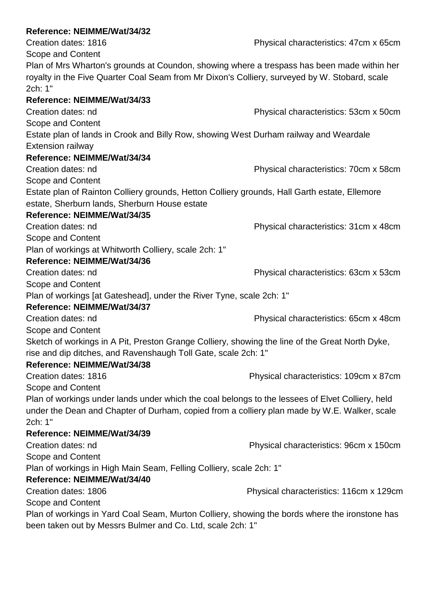Creation dates: 1816 **Physical characteristics: 47cm x 65cm** Scope and Content Plan of Mrs Wharton's grounds at Coundon, showing where a trespass has been made within her royalty in the Five Quarter Coal Seam from Mr Dixon's Colliery, surveyed by W. Stobard, scale 2ch: 1" **Reference: NEIMME/Wat/34/33** Creation dates: nd Physical characteristics: 53cm x 50cm Scope and Content Estate plan of lands in Crook and Billy Row, showing West Durham railway and Weardale Extension railway **Reference: NEIMME/Wat/34/34** Creation dates: nd Physical characteristics: 70cm x 58cm Scope and Content Estate plan of Rainton Colliery grounds, Hetton Colliery grounds, Hall Garth estate, Ellemore estate, Sherburn lands, Sherburn House estate **Reference: NEIMME/Wat/34/35** Creation dates: nd Physical characteristics: 31cm x 48cm Scope and Content Plan of workings at Whitworth Colliery, scale 2ch: 1" **Reference: NEIMME/Wat/34/36** Creation dates: nd Physical characteristics: 63cm x 53cm Scope and Content Plan of workings [at Gateshead], under the River Tyne, scale 2ch: 1" **Reference: NEIMME/Wat/34/37** Creation dates: nd Physical characteristics: 65cm x 48cm Scope and Content Sketch of workings in A Pit, Preston Grange Colliery, showing the line of the Great North Dyke, rise and dip ditches, and Ravenshaugh Toll Gate, scale 2ch: 1" **Reference: NEIMME/Wat/34/38** Creation dates: 1816 Physical characteristics: 109cm x 87cm Scope and Content Plan of workings under lands under which the coal belongs to the lessees of Elvet Colliery, held under the Dean and Chapter of Durham, copied from a colliery plan made by W.E. Walker, scale 2ch: 1" **Reference: NEIMME/Wat/34/39** Creation dates: nd Physical characteristics: 96cm x 150cm Scope and Content Plan of workings in High Main Seam, Felling Colliery, scale 2ch: 1" **Reference: NEIMME/Wat/34/40** Creation dates: 1806 Physical characteristics: 116cm x 129cm Scope and Content Plan of workings in Yard Coal Seam, Murton Colliery, showing the bords where the ironstone has been taken out by Messrs Bulmer and Co. Ltd, scale 2ch: 1"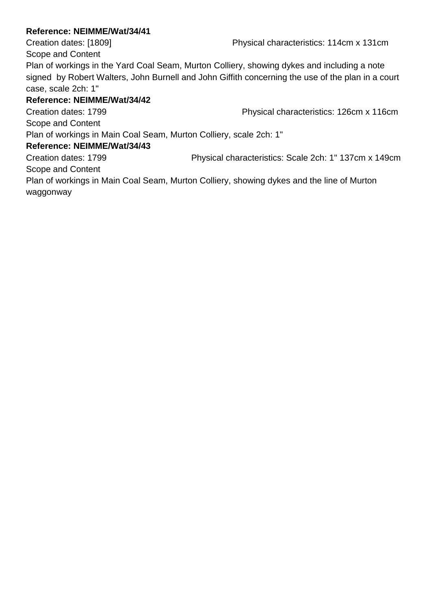Creation dates: [1809] Physical characteristics: 114cm x 131cm

Scope and Content Plan of workings in the Yard Coal Seam, Murton Colliery, showing dykes and including a note signed by Robert Walters, John Burnell and John Giffith concerning the use of the plan in a court case, scale 2ch: 1"

### **Reference: NEIMME/Wat/34/42**

Creation dates: 1799 Physical characteristics: 126cm x 116cm Scope and Content Plan of workings in Main Coal Seam, Murton Colliery, scale 2ch: 1" **Reference: NEIMME/Wat/34/43**

Creation dates: 1799 Physical characteristics: Scale 2ch: 1" 137cm x 149cm Scope and Content

Plan of workings in Main Coal Seam, Murton Colliery, showing dykes and the line of Murton waggonway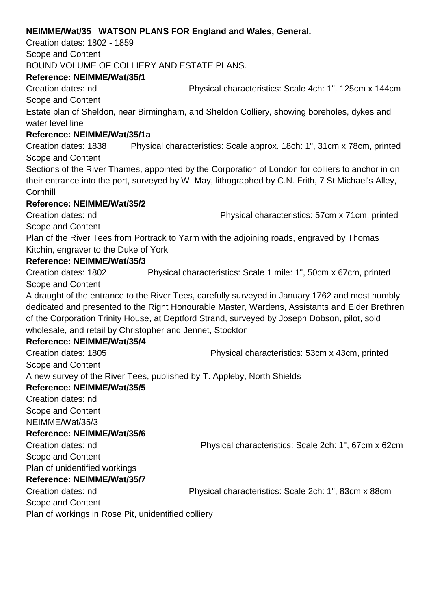### **NEIMME/Wat/35 WATSON PLANS FOR England and Wales, General.**

Creation dates: 1802 - 1859 Scope and Content BOUND VOLUME OF COLLIERY AND ESTATE PLANS.

### **Reference: NEIMME/Wat/35/1**

Creation dates: nd Physical characteristics: Scale 4ch: 1", 125cm x 144cm Scope and Content

Estate plan of Sheldon, near Birmingham, and Sheldon Colliery, showing boreholes, dykes and water level line

### **Reference: NEIMME/Wat/35/1a**

Creation dates: 1838 Physical characteristics: Scale approx. 18ch: 1", 31cm x 78cm, printed Scope and Content

Sections of the River Thames, appointed by the Corporation of London for colliers to anchor in on their entrance into the port, surveyed by W. May, lithographed by C.N. Frith, 7 St Michael's Alley, **Cornhill** 

### **Reference: NEIMME/Wat/35/2**

Creation dates: nd Physical characteristics: 57cm x 71cm, printed Scope and Content

Plan of the River Tees from Portrack to Yarm with the adjoining roads, engraved by Thomas Kitchin, engraver to the Duke of York

### **Reference: NEIMME/Wat/35/3**

Creation dates: 1802 Physical characteristics: Scale 1 mile: 1", 50cm x 67cm, printed Scope and Content

A draught of the entrance to the River Tees, carefully surveyed in January 1762 and most humbly dedicated and presented to the Right Honourable Master, Wardens, Assistants and Elder Brethren of the Corporation Trinity House, at Deptford Strand, surveyed by Joseph Dobson, pilot, sold wholesale, and retail by Christopher and Jennet, Stockton

# **Reference: NEIMME/Wat/35/4**

Creation dates: 1805 Physical characteristics: 53cm x 43cm, printed Scope and Content

A new survey of the River Tees, published by T. Appleby, North Shields

# **Reference: NEIMME/Wat/35/5**

Creation dates: nd Scope and Content NEIMME/Wat/35/3

### **Reference: NEIMME/Wat/35/6**

Scope and Content

Creation dates: nd Physical characteristics: Scale 2ch: 1", 67cm x 62cm

Plan of unidentified workings

### **Reference: NEIMME/Wat/35/7**

Creation dates: nd Physical characteristics: Scale 2ch: 1", 83cm x 88cm

Scope and Content

Plan of workings in Rose Pit, unidentified colliery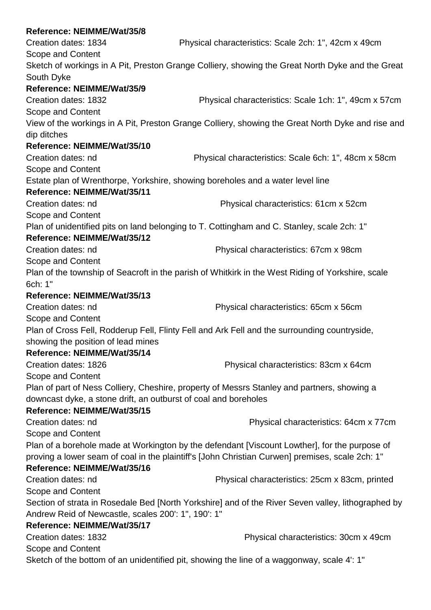| Reference: NEIMME/Wat/35/8                                                         |                                                                                                    |
|------------------------------------------------------------------------------------|----------------------------------------------------------------------------------------------------|
| Creation dates: 1834                                                               | Physical characteristics: Scale 2ch: 1", 42cm x 49cm                                               |
| Scope and Content                                                                  |                                                                                                    |
|                                                                                    | Sketch of workings in A Pit, Preston Grange Colliery, showing the Great North Dyke and the Great   |
| South Dyke                                                                         |                                                                                                    |
| Reference: NEIMME/Wat/35/9                                                         |                                                                                                    |
| Creation dates: 1832                                                               | Physical characteristics: Scale 1ch: 1", 49cm x 57cm                                               |
| Scope and Content                                                                  |                                                                                                    |
| dip ditches                                                                        | View of the workings in A Pit, Preston Grange Colliery, showing the Great North Dyke and rise and  |
| Reference: NEIMME/Wat/35/10                                                        |                                                                                                    |
| Creation dates: nd                                                                 | Physical characteristics: Scale 6ch: 1", 48cm x 58cm                                               |
| Scope and Content                                                                  |                                                                                                    |
|                                                                                    | Estate plan of Wrenthorpe, Yorkshire, showing boreholes and a water level line                     |
| Reference: NEIMME/Wat/35/11                                                        |                                                                                                    |
| Creation dates: nd                                                                 | Physical characteristics: 61cm x 52cm                                                              |
| Scope and Content                                                                  |                                                                                                    |
|                                                                                    | Plan of unidentified pits on land belonging to T. Cottingham and C. Stanley, scale 2ch: 1"         |
| Reference: NEIMME/Wat/35/12                                                        |                                                                                                    |
| Creation dates: nd                                                                 | Physical characteristics: 67cm x 98cm                                                              |
| Scope and Content                                                                  |                                                                                                    |
|                                                                                    | Plan of the township of Seacroft in the parish of Whitkirk in the West Riding of Yorkshire, scale  |
| 6ch: 1"                                                                            |                                                                                                    |
| Reference: NEIMME/Wat/35/13                                                        |                                                                                                    |
| Creation dates: nd                                                                 | Physical characteristics: 65cm x 56cm                                                              |
| Scope and Content                                                                  |                                                                                                    |
|                                                                                    | Plan of Cross Fell, Rodderup Fell, Flinty Fell and Ark Fell and the surrounding countryside,       |
| showing the position of lead mines                                                 |                                                                                                    |
| Reference: NEIMME/Wat/35/14                                                        |                                                                                                    |
| Creation dates: 1826                                                               | Physical characteristics: 83cm x 64cm                                                              |
| Scope and Content                                                                  |                                                                                                    |
|                                                                                    | Plan of part of Ness Colliery, Cheshire, property of Messrs Stanley and partners, showing a        |
| downcast dyke, a stone drift, an outburst of coal and boreholes                    |                                                                                                    |
| Reference: NEIMME/Wat/35/15                                                        |                                                                                                    |
| Creation dates: nd                                                                 | Physical characteristics: 64cm x 77cm                                                              |
| <b>Scope and Content</b>                                                           |                                                                                                    |
|                                                                                    | Plan of a borehole made at Workington by the defendant [Viscount Lowther], for the purpose of      |
|                                                                                    | proving a lower seam of coal in the plaintiff's [John Christian Curwen] premises, scale 2ch: 1"    |
| Reference: NEIMME/Wat/35/16                                                        |                                                                                                    |
| Creation dates: nd                                                                 | Physical characteristics: 25cm x 83cm, printed                                                     |
| Scope and Content                                                                  |                                                                                                    |
|                                                                                    | Section of strata in Rosedale Bed [North Yorkshire] and of the River Seven valley, lithographed by |
| Andrew Reid of Newcastle, scales 200': 1", 190': 1"<br>Reference: NEIMME/Wat/35/17 |                                                                                                    |
| Creation dates: 1832                                                               | Physical characteristics: 30cm x 49cm                                                              |
| Scope and Content                                                                  |                                                                                                    |
|                                                                                    | Sketch of the bottom of an unidentified pit, showing the line of a waggonway, scale 4: 1"          |
|                                                                                    |                                                                                                    |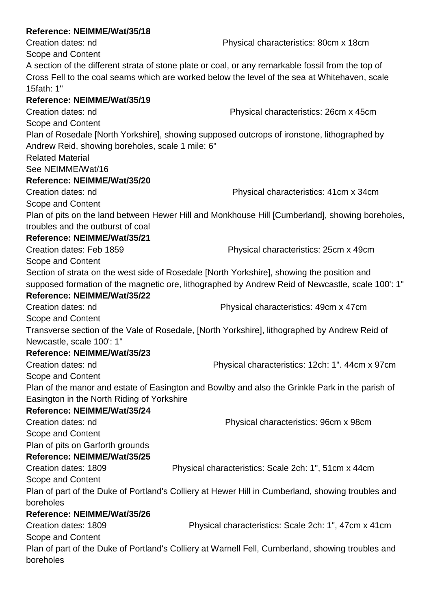Scope and Content

A section of the different strata of stone plate or coal, or any remarkable fossil from the top of Cross Fell to the coal seams which are worked below the level of the sea at Whitehaven, scale 15fath: 1"

# **Reference: NEIMME/Wat/35/19**

Scope and Content

Creation dates: nd Physical characteristics: 26cm x 45cm

Plan of Rosedale [North Yorkshire], showing supposed outcrops of ironstone, lithographed by Andrew Reid, showing boreholes, scale 1 mile: 6"

Related Material

See NEIMME/Wat/16

### **Reference: NEIMME/Wat/35/20**

Creation dates: nd Physical characteristics: 41cm x 34cm Scope and Content Plan of pits on the land between Hewer Hill and Monkhouse Hill [Cumberland], showing boreholes,

troubles and the outburst of coal

# **Reference: NEIMME/Wat/35/21**

Creation dates: Feb 1859 Physical characteristics: 25cm x 49cm Scope and Content

Section of strata on the west side of Rosedale [North Yorkshire], showing the position and supposed formation of the magnetic ore, lithographed by Andrew Reid of Newcastle, scale 100': 1"

### **Reference: NEIMME/Wat/35/22**

Creation dates: nd Physical characteristics: 49cm x 47cm Scope and Content

Transverse section of the Vale of Rosedale, [North Yorkshire], lithographed by Andrew Reid of Newcastle, scale 100': 1"

# **Reference: NEIMME/Wat/35/23**

Scope and Content

Creation dates: nd Physical characteristics: 12ch: 1". 44cm x 97cm

Plan of the manor and estate of Easington and Bowlby and also the Grinkle Park in the parish of Easington in the North Riding of Yorkshire

# **Reference: NEIMME/Wat/35/24**

Creation dates: nd Physical characteristics: 96cm x 98cm

Scope and Content

Plan of pits on Garforth grounds

# **Reference: NEIMME/Wat/35/25**

Creation dates: 1809 Physical characteristics: Scale 2ch: 1", 51cm x 44cm Scope and Content

Plan of part of the Duke of Portland's Colliery at Hewer Hill in Cumberland, showing troubles and boreholes

# **Reference: NEIMME/Wat/35/26**

Creation dates: 1809 Physical characteristics: Scale 2ch: 1", 47cm x 41cm Scope and Content

Plan of part of the Duke of Portland's Colliery at Warnell Fell, Cumberland, showing troubles and boreholes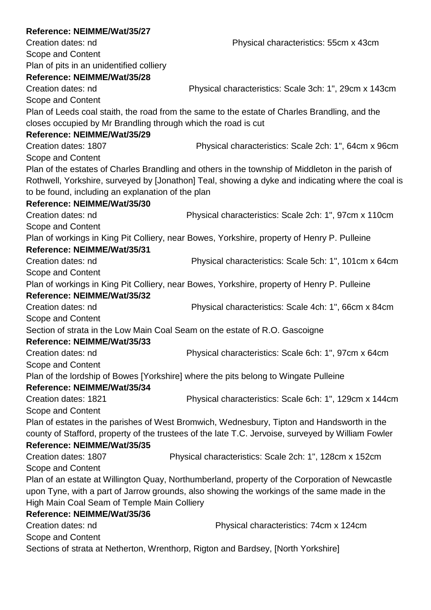# **Reference: NEIMME/Wat/35/27** Creation dates: nd Physical characteristics: 55cm x 43cm Scope and Content Plan of pits in an unidentified colliery **Reference: NEIMME/Wat/35/28** Creation dates: nd Physical characteristics: Scale 3ch: 1", 29cm x 143cm Scope and Content Plan of Leeds coal staith, the road from the same to the estate of Charles Brandling, and the closes occupied by Mr Brandling through which the road is cut **Reference: NEIMME/Wat/35/29** Creation dates: 1807 Physical characteristics: Scale 2ch: 1", 64cm x 96cm Scope and Content Plan of the estates of Charles Brandling and others in the township of Middleton in the parish of Rothwell, Yorkshire, surveyed by [Jonathon] Teal, showing a dyke and indicating where the coal is to be found, including an explanation of the plan **Reference: NEIMME/Wat/35/30** Creation dates: nd Physical characteristics: Scale 2ch: 1", 97cm x 110cm Scope and Content Plan of workings in King Pit Colliery, near Bowes, Yorkshire, property of Henry P. Pulleine **Reference: NEIMME/Wat/35/31** Creation dates: nd Physical characteristics: Scale 5ch: 1", 101cm x 64cm Scope and Content Plan of workings in King Pit Colliery, near Bowes, Yorkshire, property of Henry P. Pulleine **Reference: NEIMME/Wat/35/32** Creation dates: nd Physical characteristics: Scale 4ch: 1", 66cm x 84cm Scope and Content Section of strata in the Low Main Coal Seam on the estate of R.O. Gascoigne **Reference: NEIMME/Wat/35/33** Creation dates: nd Physical characteristics: Scale 6ch: 1", 97cm x 64cm Scope and Content Plan of the lordship of Bowes [Yorkshire] where the pits belong to Wingate Pulleine **Reference: NEIMME/Wat/35/34** Creation dates: 1821 Physical characteristics: Scale 6ch: 1", 129cm x 144cm Scope and Content Plan of estates in the parishes of West Bromwich, Wednesbury, Tipton and Handsworth in the county of Stafford, property of the trustees of the late T.C. Jervoise, surveyed by William Fowler **Reference: NEIMME/Wat/35/35** Creation dates: 1807 Physical characteristics: Scale 2ch: 1", 128cm x 152cm Scope and Content Plan of an estate at Willington Quay, Northumberland, property of the Corporation of Newcastle upon Tyne, with a part of Jarrow grounds, also showing the workings of the same made in the High Main Coal Seam of Temple Main Colliery **Reference: NEIMME/Wat/35/36** Creation dates: nd Physical characteristics: 74cm x 124cm Scope and Content Sections of strata at Netherton, Wrenthorp, Rigton and Bardsey, [North Yorkshire]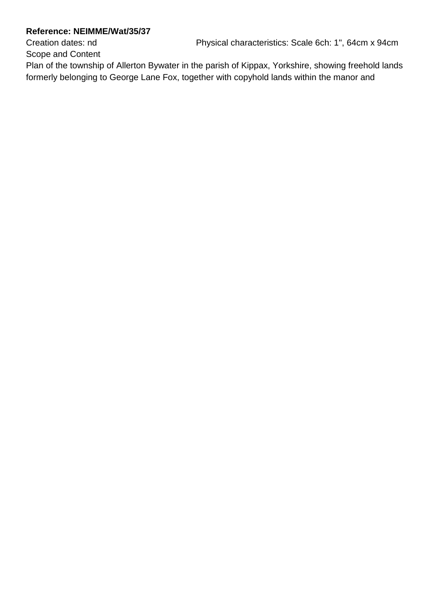Creation dates: nd Physical characteristics: Scale 6ch: 1", 64cm x 94cm

Scope and Content

Plan of the township of Allerton Bywater in the parish of Kippax, Yorkshire, showing freehold lands formerly belonging to George Lane Fox, together with copyhold lands within the manor and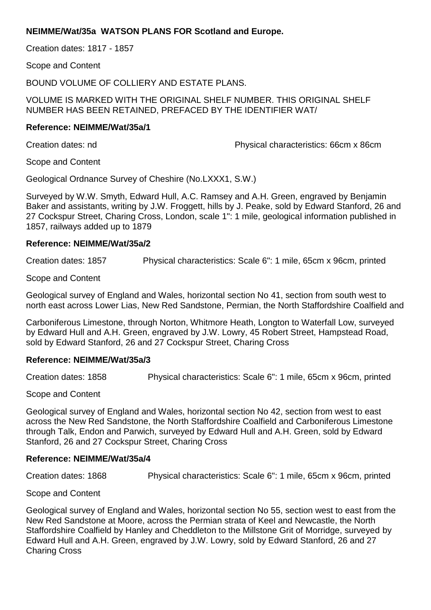### **NEIMME/Wat/35a WATSON PLANS FOR Scotland and Europe.**

Creation dates: 1817 - 1857

Scope and Content

BOUND VOLUME OF COLLIERY AND ESTATE PLANS.

VOLUME IS MARKED WITH THE ORIGINAL SHELF NUMBER. THIS ORIGINAL SHELF NUMBER HAS BEEN RETAINED, PREFACED BY THE IDENTIFIER WAT/

#### **Reference: NEIMME/Wat/35a/1**

Creation dates: nd Physical characteristics: 66cm x 86cm

Scope and Content

Geological Ordnance Survey of Cheshire (No.LXXX1, S.W.)

Surveyed by W.W. Smyth, Edward Hull, A.C. Ramsey and A.H. Green, engraved by Benjamin Baker and assistants, writing by J.W. Froggett, hills by J. Peake, sold by Edward Stanford, 26 and 27 Cockspur Street, Charing Cross, London, scale 1": 1 mile, geological information published in 1857, railways added up to 1879

#### **Reference: NEIMME/Wat/35a/2**

Creation dates: 1857 Physical characteristics: Scale 6": 1 mile, 65cm x 96cm, printed

Scope and Content

Geological survey of England and Wales, horizontal section No 41, section from south west to north east across Lower Lias, New Red Sandstone, Permian, the North Staffordshire Coalfield and

Carboniferous Limestone, through Norton, Whitmore Heath, Longton to Waterfall Low, surveyed by Edward Hull and A.H. Green, engraved by J.W. Lowry, 45 Robert Street, Hampstead Road, sold by Edward Stanford, 26 and 27 Cockspur Street, Charing Cross

#### **Reference: NEIMME/Wat/35a/3**

Creation dates: 1858 Physical characteristics: Scale 6": 1 mile, 65cm x 96cm, printed

Scope and Content

Geological survey of England and Wales, horizontal section No 42, section from west to east across the New Red Sandstone, the North Staffordshire Coalfield and Carboniferous Limestone through Talk, Endon and Parwich, surveyed by Edward Hull and A.H. Green, sold by Edward Stanford, 26 and 27 Cockspur Street, Charing Cross

### **Reference: NEIMME/Wat/35a/4**

Creation dates: 1868 Physical characteristics: Scale 6": 1 mile, 65cm x 96cm, printed

Scope and Content

Geological survey of England and Wales, horizontal section No 55, section west to east from the New Red Sandstone at Moore, across the Permian strata of Keel and Newcastle, the North Staffordshire Coalfield by Hanley and Cheddleton to the Millstone Grit of Morridge, surveyed by Edward Hull and A.H. Green, engraved by J.W. Lowry, sold by Edward Stanford, 26 and 27 Charing Cross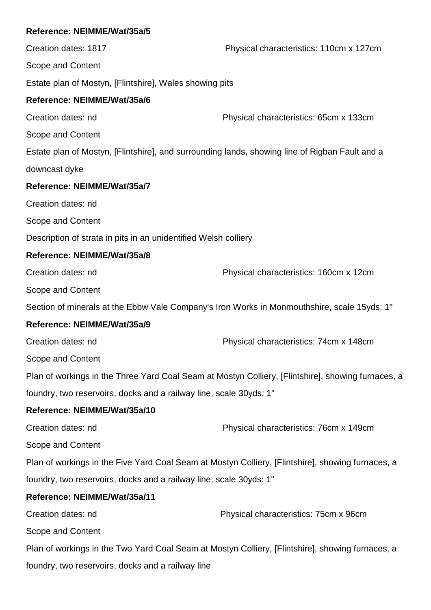# **Reference: NEIMME/Wat/35a/5** Creation dates: 1817 Physical characteristics: 110cm x 127cm Scope and Content Estate plan of Mostyn, [Flintshire], Wales showing pits **Reference: NEIMME/Wat/35a/6** Creation dates: nd Physical characteristics: 65cm x 133cm Scope and Content Estate plan of Mostyn, [Flintshire], and surrounding lands, showing line of Rigban Fault and a downcast dyke **Reference: NEIMME/Wat/35a/7** Creation dates: nd Scope and Content Description of strata in pits in an unidentified Welsh colliery **Reference: NEIMME/Wat/35a/8** Creation dates: nd Physical characteristics: 160cm x 12cm Scope and Content Section of minerals at the Ebbw Vale Company's Iron Works in Monmouthshire, scale 15yds: 1" **Reference: NEIMME/Wat/35a/9** Creation dates: nd Physical characteristics: 74cm x 148cm Scope and Content Plan of workings in the Three Yard Coal Seam at Mostyn Colliery, [Flintshire], showing furnaces, a foundry, two reservoirs, docks and a railway line, scale 30yds: 1" **Reference: NEIMME/Wat/35a/10** Creation dates: nd Physical characteristics: 76cm x 149cm Scope and Content Plan of workings in the Five Yard Coal Seam at Mostyn Colliery, [Flintshire], showing furnaces, a foundry, two reservoirs, docks and a railway line, scale 30yds: 1" **Reference: NEIMME/Wat/35a/11** Creation dates: nd Physical characteristics: 75cm x 96cm Scope and Content Plan of workings in the Two Yard Coal Seam at Mostyn Colliery, [Flintshire], showing furnaces, a foundry, two reservoirs, docks and a railway line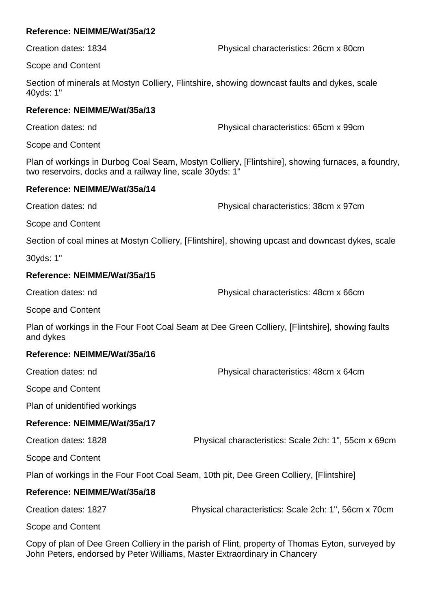Creation dates: 1834 Physical characteristics: 26cm x 80cm

Scope and Content

Section of minerals at Mostyn Colliery, Flintshire, showing downcast faults and dykes, scale 40yds: 1"

### **Reference: NEIMME/Wat/35a/13**

Creation dates: nd Physical characteristics: 65cm x 99cm

Scope and Content

Plan of workings in Durbog Coal Seam, Mostyn Colliery, [Flintshire], showing furnaces, a foundry, two reservoirs, docks and a railway line, scale 30yds: 1"

### **Reference: NEIMME/Wat/35a/14**

Creation dates: nd Physical characteristics: 38cm x 97cm

Scope and Content

Section of coal mines at Mostyn Colliery, [Flintshire], showing upcast and downcast dykes, scale

30yds: 1"

### **Reference: NEIMME/Wat/35a/15**

Creation dates: nd Physical characteristics: 48cm x 66cm

Scope and Content

Plan of workings in the Four Foot Coal Seam at Dee Green Colliery, [Flintshire], showing faults and dykes

### **Reference: NEIMME/Wat/35a/16**

Creation dates: nd Physical characteristics: 48cm x 64cm

Scope and Content

Plan of unidentified workings

### **Reference: NEIMME/Wat/35a/17**

Creation dates: 1828 Physical characteristics: Scale 2ch: 1", 55cm x 69cm

Scope and Content

Plan of workings in the Four Foot Coal Seam, 10th pit, Dee Green Colliery, [Flintshire]

### **Reference: NEIMME/Wat/35a/18**

Creation dates: 1827 Physical characteristics: Scale 2ch: 1", 56cm x 70cm

Scope and Content

Copy of plan of Dee Green Colliery in the parish of Flint, property of Thomas Eyton, surveyed by John Peters, endorsed by Peter Williams, Master Extraordinary in Chancery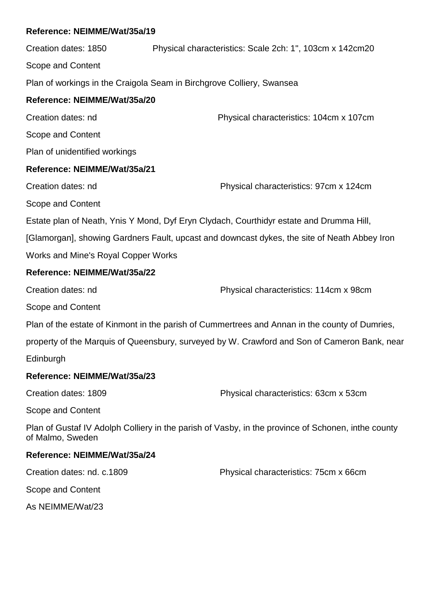Creation dates: 1850 Physical characteristics: Scale 2ch: 1", 103cm x 142cm20 Scope and Content Plan of workings in the Craigola Seam in Birchgrove Colliery, Swansea **Reference: NEIMME/Wat/35a/20** Creation dates: nd Physical characteristics: 104cm x 107cm Scope and Content Plan of unidentified workings **Reference: NEIMME/Wat/35a/21** Creation dates: nd Physical characteristics: 97cm x 124cm Scope and Content Estate plan of Neath, Ynis Y Mond, Dyf Eryn Clydach, Courthidyr estate and Drumma Hill, [Glamorgan], showing Gardners Fault, upcast and downcast dykes, the site of Neath Abbey Iron Works and Mine's Royal Copper Works **Reference: NEIMME/Wat/35a/22** Creation dates: nd Physical characteristics: 114cm x 98cm Scope and Content Plan of the estate of Kinmont in the parish of Cummertrees and Annan in the county of Dumries, property of the Marquis of Queensbury, surveyed by W. Crawford and Son of Cameron Bank, near Edinburgh **Reference: NEIMME/Wat/35a/23** Creation dates: 1809 Physical characteristics: 63cm x 53cm Scope and Content Plan of Gustaf IV Adolph Colliery in the parish of Vasby, in the province of Schonen, inthe county of Malmo, Sweden **Reference: NEIMME/Wat/35a/24** Creation dates: nd. c.1809 Physical characteristics: 75cm x 66cm Scope and Content

As NEIMME/Wat/23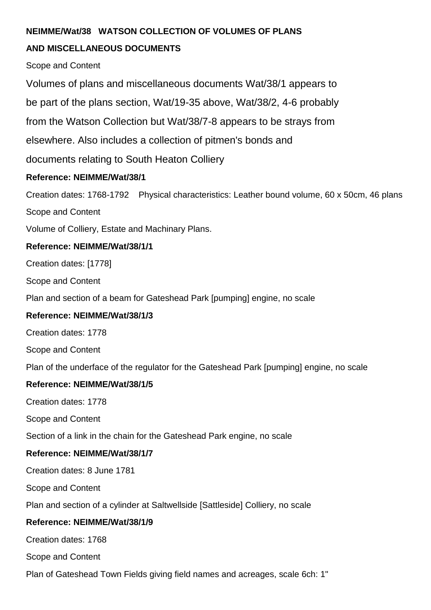### **NEIMME/Wat/38 WATSON COLLECTION OF VOLUMES OF PLANS**

# **AND MISCELLANEOUS DOCUMENTS**

Scope and Content

Volumes of plans and miscellaneous documents Wat/38/1 appears to

be part of the plans section, Wat/19-35 above, Wat/38/2, 4-6 probably

from the Watson Collection but Wat/38/7-8 appears to be strays from

elsewhere. Also includes a collection of pitmen's bonds and

documents relating to South Heaton Colliery

# **Reference: NEIMME/Wat/38/1**

Creation dates: 1768-1792 Physical characteristics: Leather bound volume, 60 x 50cm, 46 plans

Scope and Content

Volume of Colliery, Estate and Machinary Plans.

### **Reference: NEIMME/Wat/38/1/1**

Creation dates: [1778]

Scope and Content

Plan and section of a beam for Gateshead Park [pumping] engine, no scale

### **Reference: NEIMME/Wat/38/1/3**

Creation dates: 1778

Scope and Content

Plan of the underface of the regulator for the Gateshead Park [pumping] engine, no scale

### **Reference: NEIMME/Wat/38/1/5**

Creation dates: 1778

Scope and Content

Section of a link in the chain for the Gateshead Park engine, no scale

# **Reference: NEIMME/Wat/38/1/7**

Creation dates: 8 June 1781

Scope and Content

Plan and section of a cylinder at Saltwellside [Sattleside] Colliery, no scale

### **Reference: NEIMME/Wat/38/1/9**

Creation dates: 1768

Scope and Content

Plan of Gateshead Town Fields giving field names and acreages, scale 6ch: 1"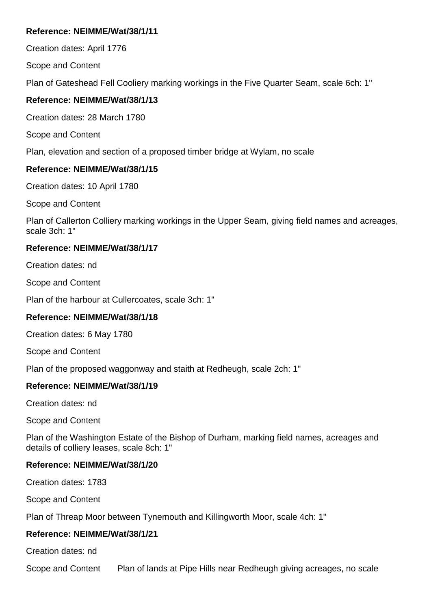Creation dates: April 1776

Scope and Content

Plan of Gateshead Fell Cooliery marking workings in the Five Quarter Seam, scale 6ch: 1"

### **Reference: NEIMME/Wat/38/1/13**

Creation dates: 28 March 1780

Scope and Content

Plan, elevation and section of a proposed timber bridge at Wylam, no scale

### **Reference: NEIMME/Wat/38/1/15**

Creation dates: 10 April 1780

Scope and Content

Plan of Callerton Colliery marking workings in the Upper Seam, giving field names and acreages, scale 3ch: 1"

### **Reference: NEIMME/Wat/38/1/17**

Creation dates: nd

Scope and Content

Plan of the harbour at Cullercoates, scale 3ch: 1"

# **Reference: NEIMME/Wat/38/1/18**

Creation dates: 6 May 1780

Scope and Content

Plan of the proposed waggonway and staith at Redheugh, scale 2ch: 1"

# **Reference: NEIMME/Wat/38/1/19**

Creation dates: nd

Scope and Content

Plan of the Washington Estate of the Bishop of Durham, marking field names, acreages and details of colliery leases, scale 8ch: 1"

# **Reference: NEIMME/Wat/38/1/20**

Creation dates: 1783

Scope and Content

Plan of Threap Moor between Tynemouth and Killingworth Moor, scale 4ch: 1"

### **Reference: NEIMME/Wat/38/1/21**

Creation dates: nd

Scope and Content Plan of lands at Pipe Hills near Redheugh giving acreages, no scale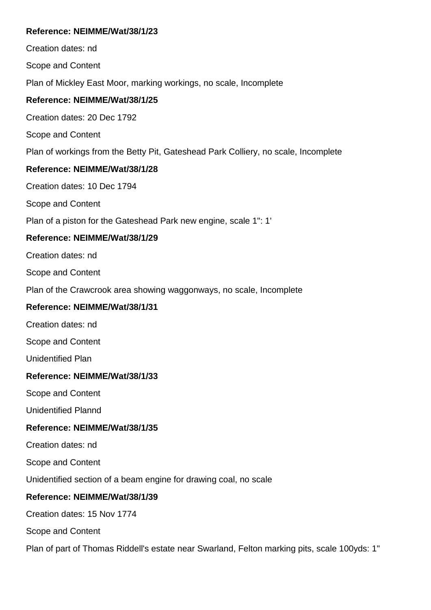Creation dates: nd Scope and Content Plan of Mickley East Moor, marking workings, no scale, Incomplete **Reference: NEIMME/Wat/38/1/25** Creation dates: 20 Dec 1792 Scope and Content Plan of workings from the Betty Pit, Gateshead Park Colliery, no scale, Incomplete **Reference: NEIMME/Wat/38/1/28** Creation dates: 10 Dec 1794 Scope and Content Plan of a piston for the Gateshead Park new engine, scale 1": 1' **Reference: NEIMME/Wat/38/1/29** Creation dates: nd Scope and Content Plan of the Crawcrook area showing waggonways, no scale, Incomplete **Reference: NEIMME/Wat/38/1/31** Creation dates: nd Scope and Content Unidentified Plan **Reference: NEIMME/Wat/38/1/33** Scope and Content Unidentified Plannd **Reference: NEIMME/Wat/38/1/35** Creation dates: nd Scope and Content Unidentified section of a beam engine for drawing coal, no scale **Reference: NEIMME/Wat/38/1/39** Creation dates: 15 Nov 1774 Scope and Content Plan of part of Thomas Riddell's estate near Swarland, Felton marking pits, scale 100yds: 1"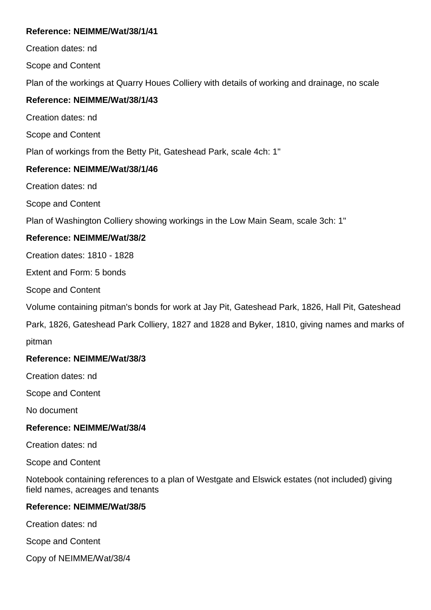Creation dates: nd

Scope and Content

Plan of the workings at Quarry Houes Colliery with details of working and drainage, no scale

### **Reference: NEIMME/Wat/38/1/43**

Creation dates: nd

Scope and Content

Plan of workings from the Betty Pit, Gateshead Park, scale 4ch: 1"

### **Reference: NEIMME/Wat/38/1/46**

Creation dates: nd

Scope and Content

Plan of Washington Colliery showing workings in the Low Main Seam, scale 3ch: 1"

### **Reference: NEIMME/Wat/38/2**

Creation dates: 1810 - 1828

Extent and Form: 5 bonds

Scope and Content

Volume containing pitman's bonds for work at Jay Pit, Gateshead Park, 1826, Hall Pit, Gateshead

Park, 1826, Gateshead Park Colliery, 1827 and 1828 and Byker, 1810, giving names and marks of pitman

### **Reference: NEIMME/Wat/38/3**

Creation dates: nd

Scope and Content

No document

### **Reference: NEIMME/Wat/38/4**

Creation dates: nd

Scope and Content

Notebook containing references to a plan of Westgate and Elswick estates (not included) giving field names, acreages and tenants

### **Reference: NEIMME/Wat/38/5**

Creation dates: nd

Scope and Content

Copy of NEIMME/Wat/38/4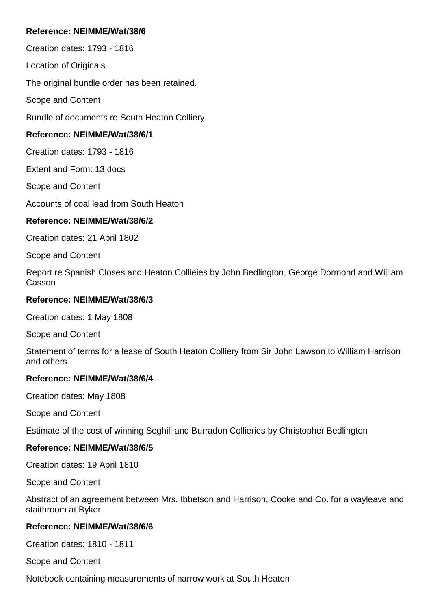Creation dates: 1793 - 1816

Location of Originals

The original bundle order has been retained.

Scope and Content

Bundle of documents re South Heaton Colliery

### **Reference: NEIMME/Wat/38/6/1**

Creation dates: 1793 - 1816

Extent and Form: 13 docs

Scope and Content

Accounts of coal lead from South Heaton

### **Reference: NEIMME/Wat/38/6/2**

Creation dates: 21 April 1802

Scope and Content

Report re Spanish Closes and Heaton Collieies by John Bedlington, George Dormond and William Casson

#### **Reference: NEIMME/Wat/38/6/3**

Creation dates: 1 May 1808

Scope and Content

Statement of terms for a lease of South Heaton Colliery from Sir John Lawson to William Harrison and others

### **Reference: NEIMME/Wat/38/6/4**

Creation dates: May 1808

Scope and Content

Estimate of the cost of winning Seghill and Burradon Collieries by Christopher Bedlington

### **Reference: NEIMME/Wat/38/6/5**

Creation dates: 19 April 1810

Scope and Content

Abstract of an agreement between Mrs. Ibbetson and Harrison, Cooke and Co. for a wayleave and staithroom at Byker

### **Reference: NEIMME/Wat/38/6/6**

Creation dates: 1810 - 1811

Scope and Content

Notebook containing measurements of narrow work at South Heaton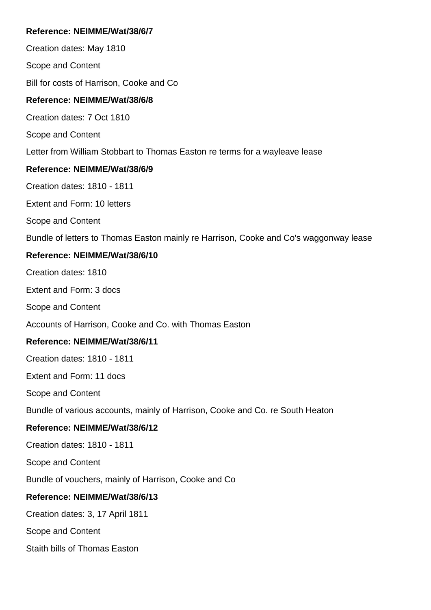Creation dates: May 1810

Scope and Content

Bill for costs of Harrison, Cooke and Co

### **Reference: NEIMME/Wat/38/6/8**

Creation dates: 7 Oct 1810

Scope and Content

Letter from William Stobbart to Thomas Easton re terms for a wayleave lease

### **Reference: NEIMME/Wat/38/6/9**

Creation dates: 1810 - 1811

Extent and Form: 10 letters

Scope and Content

Bundle of letters to Thomas Easton mainly re Harrison, Cooke and Co's waggonway lease

### **Reference: NEIMME/Wat/38/6/10**

Creation dates: 1810

Extent and Form: 3 docs

Scope and Content

Accounts of Harrison, Cooke and Co. with Thomas Easton

### **Reference: NEIMME/Wat/38/6/11**

Creation dates: 1810 - 1811

Extent and Form: 11 docs

Scope and Content

Bundle of various accounts, mainly of Harrison, Cooke and Co. re South Heaton

### **Reference: NEIMME/Wat/38/6/12**

Creation dates: 1810 - 1811

Scope and Content

Bundle of vouchers, mainly of Harrison, Cooke and Co

### **Reference: NEIMME/Wat/38/6/13**

Creation dates: 3, 17 April 1811

Scope and Content

Staith bills of Thomas Easton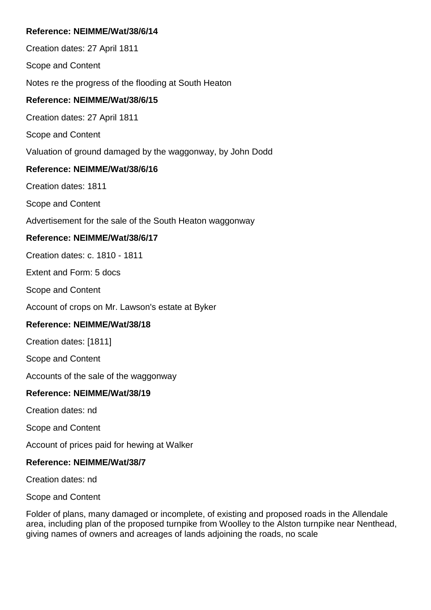Creation dates: 27 April 1811

Scope and Content

Notes re the progress of the flooding at South Heaton

### **Reference: NEIMME/Wat/38/6/15**

Creation dates: 27 April 1811

Scope and Content

Valuation of ground damaged by the waggonway, by John Dodd

### **Reference: NEIMME/Wat/38/6/16**

Creation dates: 1811

Scope and Content

Advertisement for the sale of the South Heaton waggonway

### **Reference: NEIMME/Wat/38/6/17**

Creation dates: c. 1810 - 1811

Extent and Form: 5 docs

Scope and Content

Account of crops on Mr. Lawson's estate at Byker

### **Reference: NEIMME/Wat/38/18**

Creation dates: [1811]

Scope and Content

Accounts of the sale of the waggonway

### **Reference: NEIMME/Wat/38/19**

Creation dates: nd

Scope and Content

Account of prices paid for hewing at Walker

### **Reference: NEIMME/Wat/38/7**

Creation dates: nd

Scope and Content

Folder of plans, many damaged or incomplete, of existing and proposed roads in the Allendale area, including plan of the proposed turnpike from Woolley to the Alston turnpike near Nenthead, giving names of owners and acreages of lands adjoining the roads, no scale